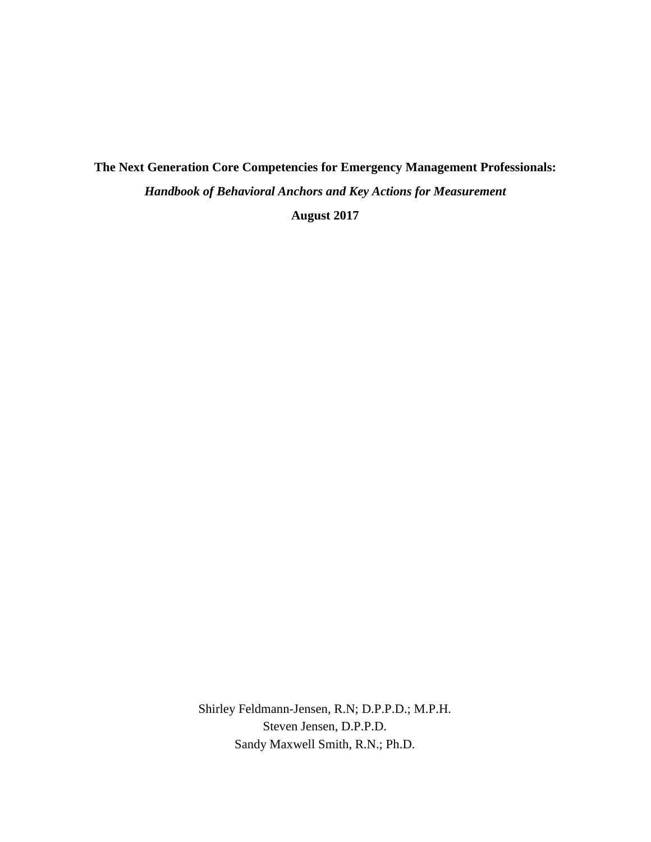# **The Next Generation Core Competencies for Emergency Management Professionals:** *Handbook of Behavioral Anchors and Key Actions for Measurement*

**August 2017** 

Shirley Feldmann-Jensen, R.N; D.P.P.D.; M.P.H. Steven Jensen, D.P.P.D. Sandy Maxwell Smith, R.N.; Ph.D.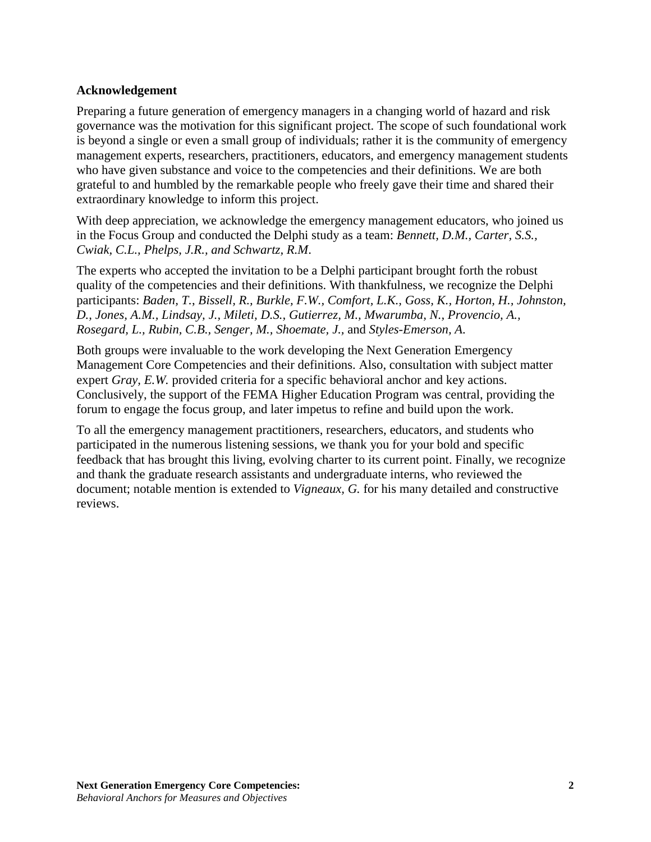## <span id="page-1-0"></span>**Acknowledgement**

Preparing a future generation of emergency managers in a changing world of hazard and risk governance was the motivation for this significant project. The scope of such foundational work is beyond a single or even a small group of individuals; rather it is the community of emergency management experts, researchers, practitioners, educators, and emergency management students who have given substance and voice to the competencies and their definitions. We are both grateful to and humbled by the remarkable people who freely gave their time and shared their extraordinary knowledge to inform this project.

With deep appreciation, we acknowledge the emergency management educators, who joined us in the Focus Group and conducted the Delphi study as a team: *Bennett, D.M., Carter, S.S., Cwiak, C.L., Phelps, J.R., and Schwartz, R.M*.

The experts who accepted the invitation to be a Delphi participant brought forth the robust quality of the competencies and their definitions. With thankfulness, we recognize the Delphi participants: *Baden, T.*, *Bissell, R., Burkle, F.W., Comfort, L.K., Goss, K., Horton, H., Johnston, D., Jones, A.M., Lindsay, J., Mileti, D.S., Gutierrez, M., Mwarumba, N., Provencio, A., Rosegard, L., Rubin, C.B., Senger, M., Shoemate, J.,* and *Styles-Emerson, A.*

Both groups were invaluable to the work developing the Next Generation Emergency Management Core Competencies and their definitions. Also, consultation with subject matter expert *Gray, E.W.* provided criteria for a specific behavioral anchor and key actions. Conclusively, the support of the FEMA Higher Education Program was central, providing the forum to engage the focus group, and later impetus to refine and build upon the work.

To all the emergency management practitioners, researchers, educators, and students who participated in the numerous listening sessions, we thank you for your bold and specific feedback that has brought this living, evolving charter to its current point. Finally, we recognize and thank the graduate research assistants and undergraduate interns, who reviewed the document; notable mention is extended to *Vigneaux, G.* for his many detailed and constructive reviews.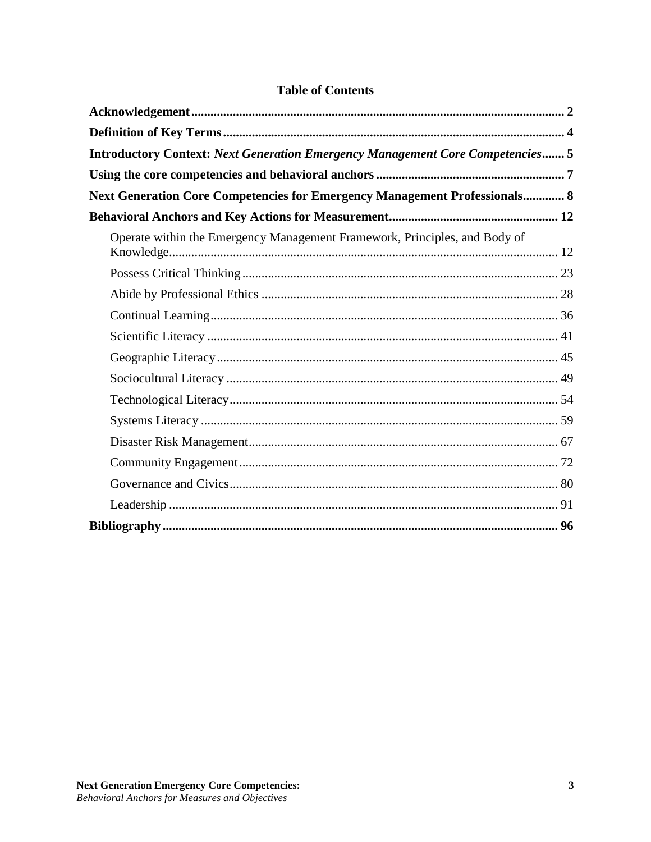| Introductory Context: Next Generation Emergency Management Core Competencies 5    |
|-----------------------------------------------------------------------------------|
|                                                                                   |
| <b>Next Generation Core Competencies for Emergency Management Professionals 8</b> |
|                                                                                   |
| Operate within the Emergency Management Framework, Principles, and Body of        |
|                                                                                   |
|                                                                                   |
|                                                                                   |
|                                                                                   |
|                                                                                   |
|                                                                                   |
|                                                                                   |
|                                                                                   |
|                                                                                   |
|                                                                                   |
|                                                                                   |
|                                                                                   |
|                                                                                   |

# **Table of Contents**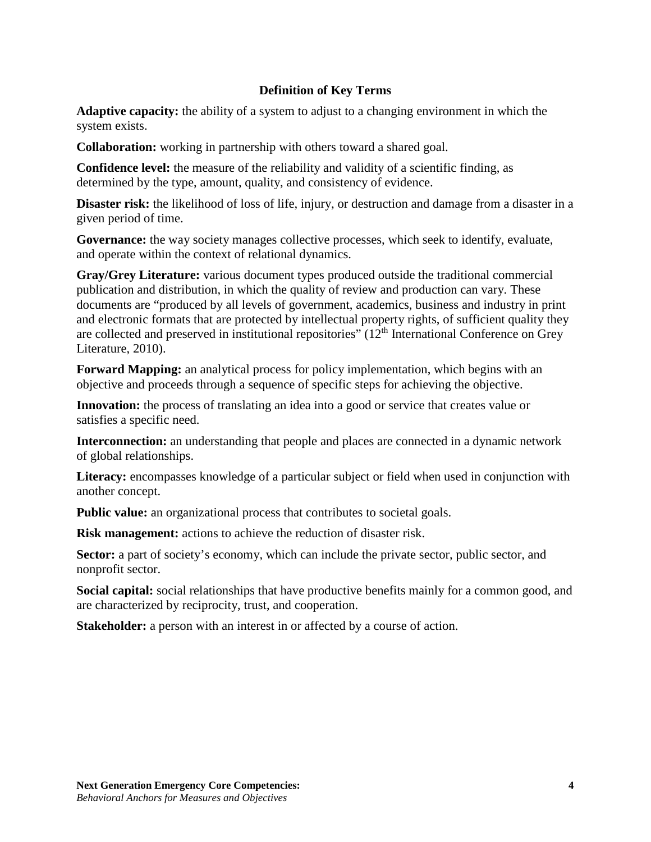## **Definition of Key Terms**

<span id="page-3-0"></span>**Adaptive capacity:** the ability of a system to adjust to a changing environment in which the system exists.

**Collaboration:** working in partnership with others toward a shared goal.

**Confidence level:** the measure of the reliability and validity of a scientific finding, as determined by the type, amount, quality, and consistency of evidence.

**Disaster risk:** the likelihood of loss of life, injury, or destruction and damage from a disaster in a given period of time.

Governance: the way society manages collective processes, which seek to identify, evaluate, and operate within the context of relational dynamics.

**Gray/Grey Literature:** various document types produced outside the traditional commercial publication and distribution, in which the quality of review and production can vary. These documents are "produced by all levels of government, academics, business and industry in print and electronic formats that are protected by intellectual property rights, of sufficient quality they are collected and preserved in institutional repositories" (12th International Conference on Grey Literature, 2010).

**Forward Mapping:** an analytical process for policy implementation, which begins with an objective and proceeds through a sequence of specific steps for achieving the objective.

Innovation: the process of translating an idea into a good or service that creates value or satisfies a specific need.

**Interconnection:** an understanding that people and places are connected in a dynamic network of global relationships.

**Literacy:** encompasses knowledge of a particular subject or field when used in conjunction with another concept.

**Public value:** an organizational process that contributes to societal goals.

**Risk management:** actions to achieve the reduction of disaster risk.

Sector: a part of society's economy, which can include the private sector, public sector, and nonprofit sector.

**Social capital:** social relationships that have productive benefits mainly for a common good, and are characterized by reciprocity, trust, and cooperation.

**Stakeholder:** a person with an interest in or affected by a course of action.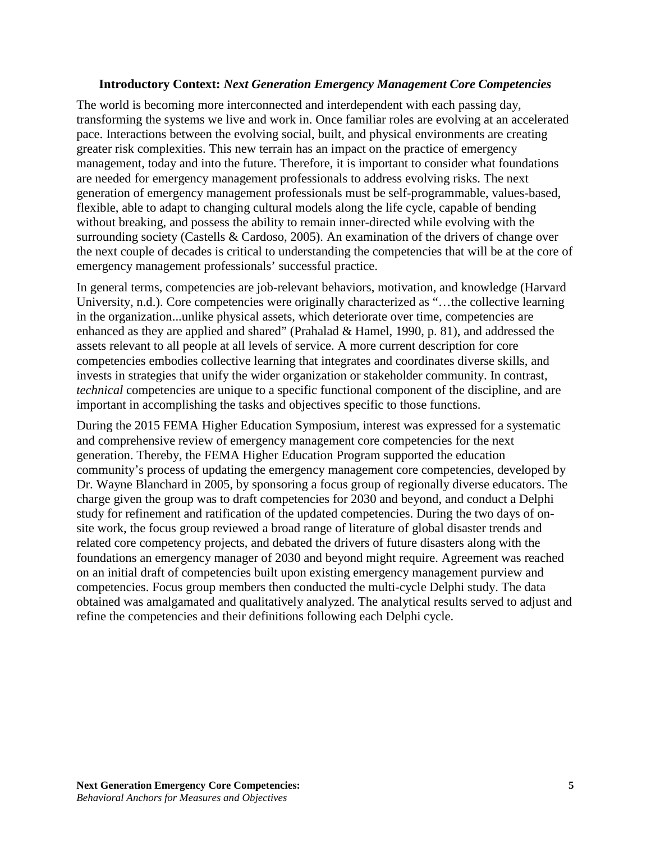#### **Introductory Context:** *Next Generation Emergency Management Core Competencies*

<span id="page-4-0"></span>The world is becoming more interconnected and interdependent with each passing day, transforming the systems we live and work in. Once familiar roles are evolving at an accelerated pace. Interactions between the evolving social, built, and physical environments are creating greater risk complexities. This new terrain has an impact on the practice of emergency management, today and into the future. Therefore, it is important to consider what foundations are needed for emergency management professionals to address evolving risks. The next generation of emergency management professionals must be self-programmable, values-based, flexible, able to adapt to changing cultural models along the life cycle, capable of bending without breaking, and possess the ability to remain inner-directed while evolving with the surrounding society (Castells & Cardoso, 2005). An examination of the drivers of change over the next couple of decades is critical to understanding the competencies that will be at the core of emergency management professionals' successful practice.

In general terms, competencies are job-relevant behaviors, motivation, and knowledge (Harvard University, n.d.). Core competencies were originally characterized as "…the collective learning in the organization...unlike physical assets, which deteriorate over time, competencies are enhanced as they are applied and shared" (Prahalad & Hamel, 1990, p. 81), and addressed the assets relevant to all people at all levels of service. A more current description for core competencies embodies collective learning that integrates and coordinates diverse skills, and invests in strategies that unify the wider organization or stakeholder community. In contrast, *technical* competencies are unique to a specific functional component of the discipline, and are important in accomplishing the tasks and objectives specific to those functions.

During the 2015 FEMA Higher Education Symposium, interest was expressed for a systematic and comprehensive review of emergency management core competencies for the next generation. Thereby, the FEMA Higher Education Program supported the education community's process of updating the emergency management core competencies, developed by Dr. Wayne Blanchard in 2005, by sponsoring a focus group of regionally diverse educators. The charge given the group was to draft competencies for 2030 and beyond, and conduct a Delphi study for refinement and ratification of the updated competencies. During the two days of onsite work, the focus group reviewed a broad range of literature of global disaster trends and related core competency projects, and debated the drivers of future disasters along with the foundations an emergency manager of 2030 and beyond might require. Agreement was reached on an initial draft of competencies built upon existing emergency management purview and competencies. Focus group members then conducted the multi-cycle Delphi study. The data obtained was amalgamated and qualitatively analyzed. The analytical results served to adjust and refine the competencies and their definitions following each Delphi cycle.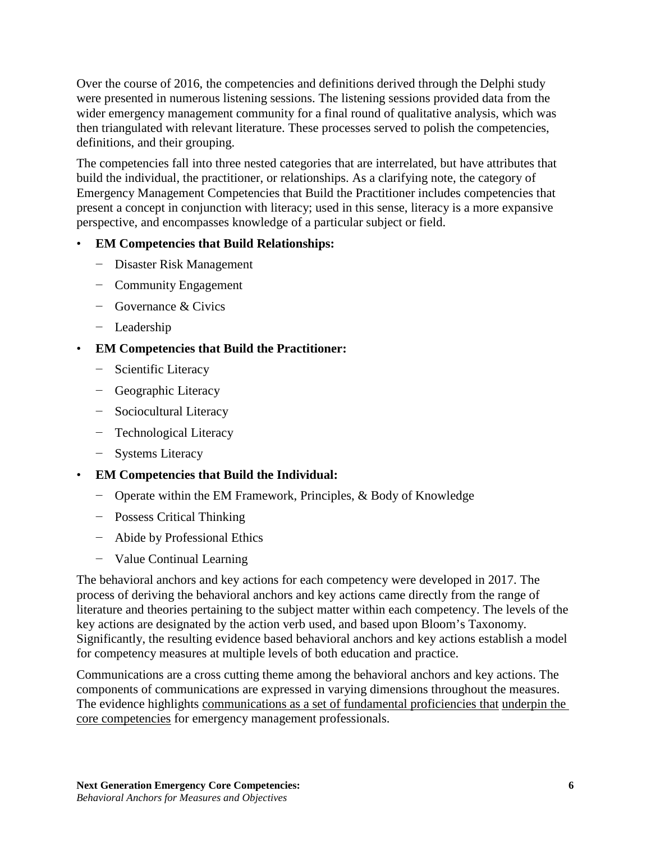Over the course of 2016, the competencies and definitions derived through the Delphi study were presented in numerous listening sessions. The listening sessions provided data from the wider emergency management community for a final round of qualitative analysis, which was then triangulated with relevant literature. These processes served to polish the competencies, definitions, and their grouping.

The competencies fall into three nested categories that are interrelated, but have attributes that build the individual, the practitioner, or relationships. As a clarifying note, the category of Emergency Management Competencies that Build the Practitioner includes competencies that present a concept in conjunction with literacy; used in this sense, literacy is a more expansive perspective, and encompasses knowledge of a particular subject or field.

# • **EM Competencies that Build Relationships:**

- − Disaster Risk Management
- − Community Engagement
- − Governance & Civics
- − Leadership

# • **EM Competencies that Build the Practitioner:**

- − Scientific Literacy
- − Geographic Literacy
- − Sociocultural Literacy
- − Technological Literacy
- − Systems Literacy

## • **EM Competencies that Build the Individual:**

- − Operate within the EM Framework, Principles, & Body of Knowledge
- − Possess Critical Thinking
- − Abide by Professional Ethics
- − Value Continual Learning

The behavioral anchors and key actions for each competency were developed in 2017. The process of deriving the behavioral anchors and key actions came directly from the range of literature and theories pertaining to the subject matter within each competency. The levels of the key actions are designated by the action verb used, and based upon Bloom's Taxonomy. Significantly, the resulting evidence based behavioral anchors and key actions establish a model for competency measures at multiple levels of both education and practice.

Communications are a cross cutting theme among the behavioral anchors and key actions. The components of communications are expressed in varying dimensions throughout the measures. The evidence highlights communications as a set of fundamental proficiencies that underpin the core competencies for emergency management professionals.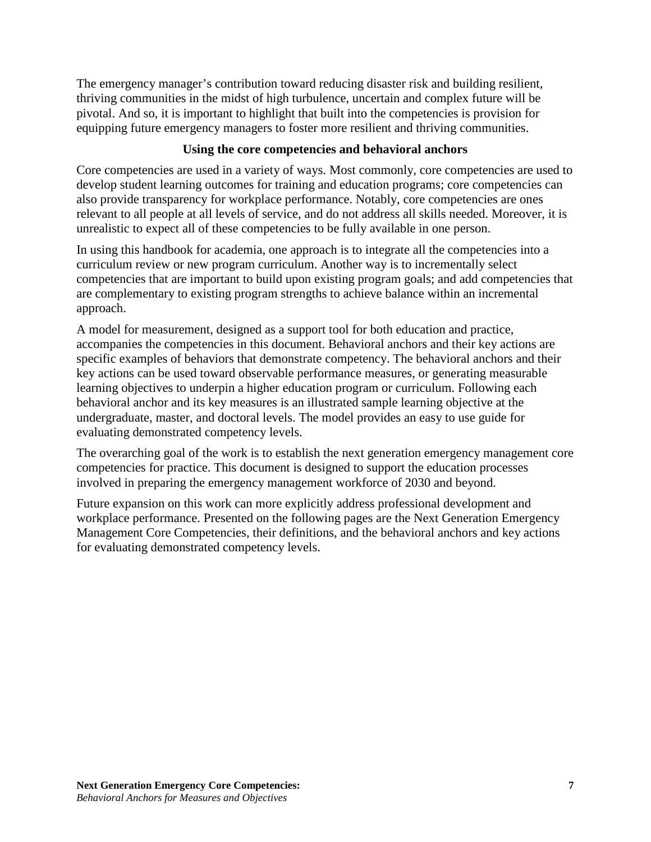The emergency manager's contribution toward reducing disaster risk and building resilient, thriving communities in the midst of high turbulence, uncertain and complex future will be pivotal. And so, it is important to highlight that built into the competencies is provision for equipping future emergency managers to foster more resilient and thriving communities.

# **Using the core competencies and behavioral anchors**

<span id="page-6-0"></span>Core competencies are used in a variety of ways. Most commonly, core competencies are used to develop student learning outcomes for training and education programs; core competencies can also provide transparency for workplace performance. Notably, core competencies are ones relevant to all people at all levels of service, and do not address all skills needed. Moreover, it is unrealistic to expect all of these competencies to be fully available in one person.

In using this handbook for academia, one approach is to integrate all the competencies into a curriculum review or new program curriculum. Another way is to incrementally select competencies that are important to build upon existing program goals; and add competencies that are complementary to existing program strengths to achieve balance within an incremental approach.

A model for measurement, designed as a support tool for both education and practice, accompanies the competencies in this document. Behavioral anchors and their key actions are specific examples of behaviors that demonstrate competency. The behavioral anchors and their key actions can be used toward observable performance measures, or generating measurable learning objectives to underpin a higher education program or curriculum. Following each behavioral anchor and its key measures is an illustrated sample learning objective at the undergraduate, master, and doctoral levels. The model provides an easy to use guide for evaluating demonstrated competency levels.

The overarching goal of the work is to establish the next generation emergency management core competencies for practice. This document is designed to support the education processes involved in preparing the emergency management workforce of 2030 and beyond.

Future expansion on this work can more explicitly address professional development and workplace performance. Presented on the following pages are the Next Generation Emergency Management Core Competencies, their definitions, and the behavioral anchors and key actions for evaluating demonstrated competency levels.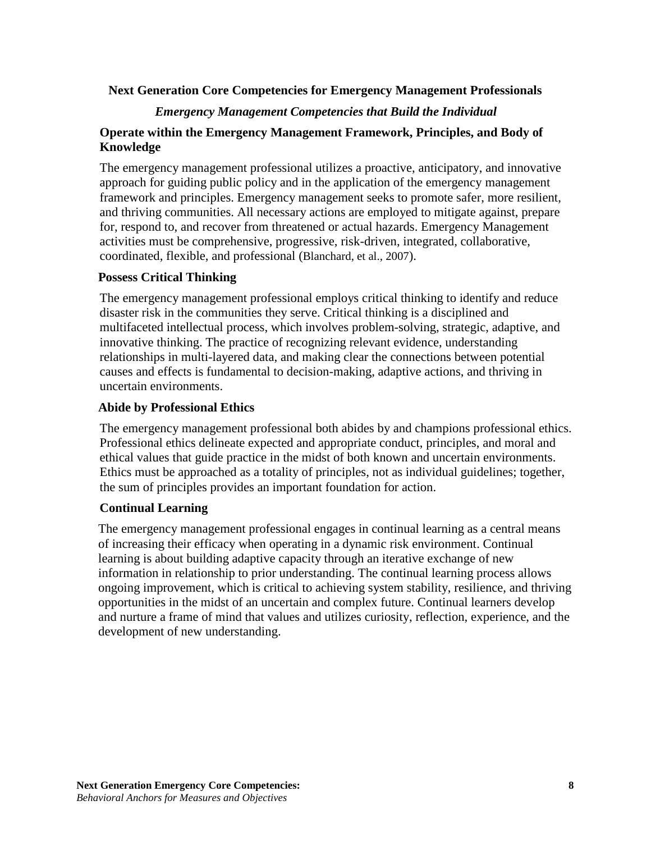## <span id="page-7-0"></span>**Next Generation Core Competencies for Emergency Management Professionals**

## *Emergency Management Competencies that Build the Individual*

## **Operate within the Emergency Management Framework, Principles, and Body of Knowledge**

The emergency management professional utilizes a proactive, anticipatory, and innovative approach for guiding public policy and in the application of the emergency management framework and principles. Emergency management seeks to promote safer, more resilient, and thriving communities. All necessary actions are employed to mitigate against, prepare for, respond to, and recover from threatened or actual hazards. Emergency Management activities must be comprehensive, progressive, risk-driven, integrated, collaborative, coordinated, flexible, and professional (Blanchard, et al., 2007).

## **Possess Critical Thinking**

The emergency management professional employs critical thinking to identify and reduce disaster risk in the communities they serve. Critical thinking is a disciplined and multifaceted intellectual process, which involves problem-solving, strategic, adaptive, and innovative thinking. The practice of recognizing relevant evidence, understanding relationships in multi-layered data, and making clear the connections between potential causes and effects is fundamental to decision-making, adaptive actions, and thriving in uncertain environments.

## **Abide by Professional Ethics**

The emergency management professional both abides by and champions professional ethics. Professional ethics delineate expected and appropriate conduct, principles, and moral and ethical values that guide practice in the midst of both known and uncertain environments. Ethics must be approached as a totality of principles, not as individual guidelines; together, the sum of principles provides an important foundation for action.

## **Continual Learning**

The emergency management professional engages in continual learning as a central means of increasing their efficacy when operating in a dynamic risk environment. Continual learning is about building adaptive capacity through an iterative exchange of new information in relationship to prior understanding. The continual learning process allows ongoing improvement, which is critical to achieving system stability, resilience, and thriving opportunities in the midst of an uncertain and complex future. Continual learners develop and nurture a frame of mind that values and utilizes curiosity, reflection, experience, and the development of new understanding.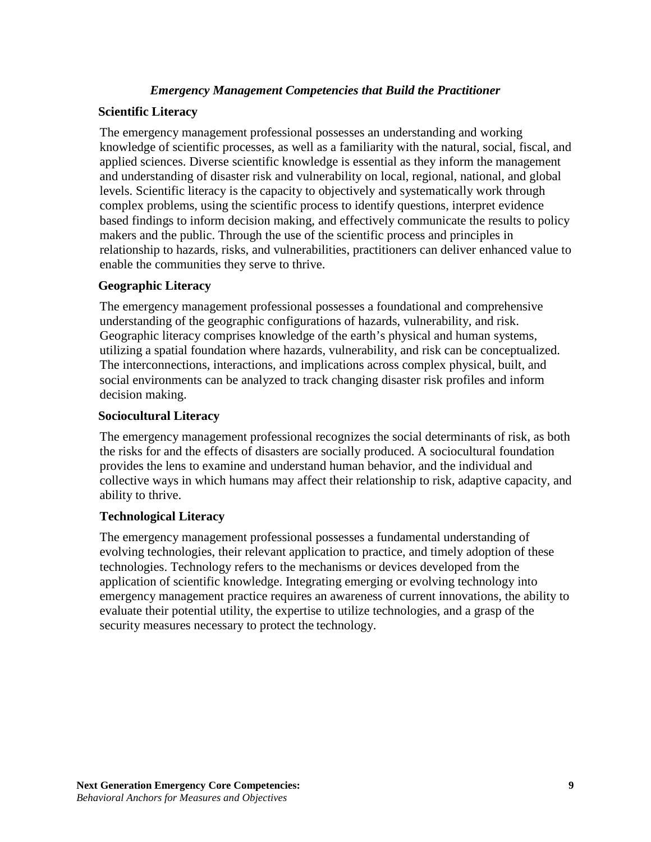## *Emergency Management Competencies that Build the Practitioner*

## **Scientific Literacy**

The emergency management professional possesses an understanding and working knowledge of scientific processes, as well as a familiarity with the natural, social, fiscal, and applied sciences. Diverse scientific knowledge is essential as they inform the management and understanding of disaster risk and vulnerability on local, regional, national, and global levels. Scientific literacy is the capacity to objectively and systematically work through complex problems, using the scientific process to identify questions, interpret evidence based findings to inform decision making, and effectively communicate the results to policy makers and the public. Through the use of the scientific process and principles in relationship to hazards, risks, and vulnerabilities, practitioners can deliver enhanced value to enable the communities they serve to thrive.

## **Geographic Literacy**

The emergency management professional possesses a foundational and comprehensive understanding of the geographic configurations of hazards, vulnerability, and risk. Geographic literacy comprises knowledge of the earth's physical and human systems, utilizing a spatial foundation where hazards, vulnerability, and risk can be conceptualized. The interconnections, interactions, and implications across complex physical, built, and social environments can be analyzed to track changing disaster risk profiles and inform decision making.

#### **Sociocultural Literacy**

The emergency management professional recognizes the social determinants of risk, as both the risks for and the effects of disasters are socially produced. A sociocultural foundation provides the lens to examine and understand human behavior, and the individual and collective ways in which humans may affect their relationship to risk, adaptive capacity, and ability to thrive.

#### **Technological Literacy**

The emergency management professional possesses a fundamental understanding of evolving technologies, their relevant application to practice, and timely adoption of these technologies. Technology refers to the mechanisms or devices developed from the application of scientific knowledge. Integrating emerging or evolving technology into emergency management practice requires an awareness of current innovations, the ability to evaluate their potential utility, the expertise to utilize technologies, and a grasp of the security measures necessary to protect the technology.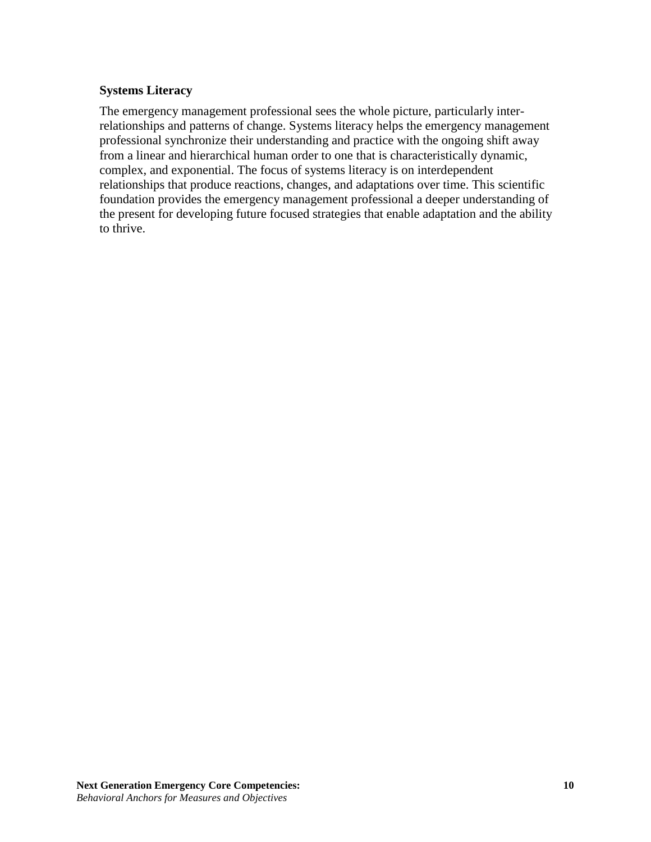## **Systems Literacy**

The emergency management professional sees the whole picture, particularly interrelationships and patterns of change. Systems literacy helps the emergency management professional synchronize their understanding and practice with the ongoing shift away from a linear and hierarchical human order to one that is characteristically dynamic, complex, and exponential. The focus of systems literacy is on interdependent relationships that produce reactions, changes, and adaptations over time. This scientific foundation provides the emergency management professional a deeper understanding of the present for developing future focused strategies that enable adaptation and the ability to thrive.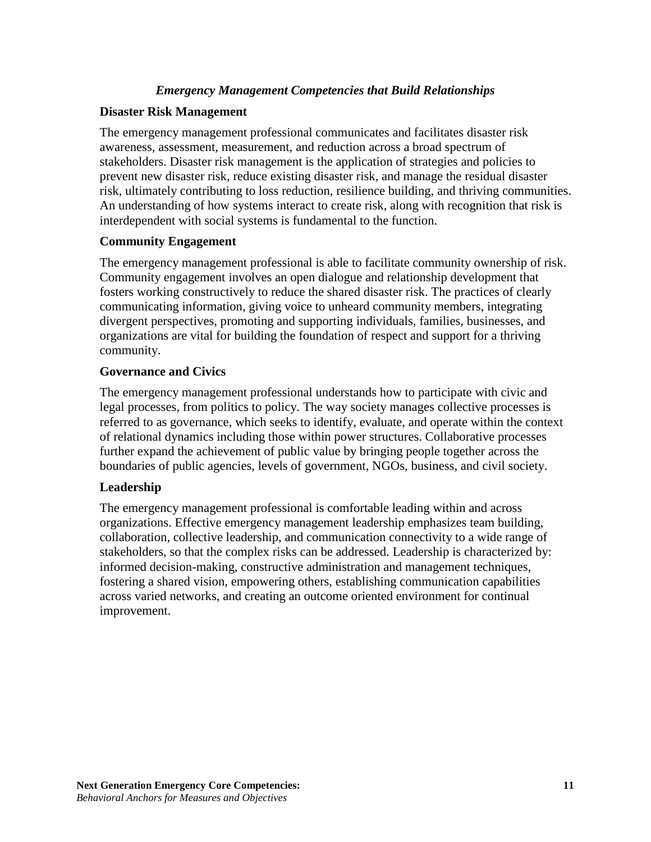## *Emergency Management Competencies that Build Relationships*

## **Disaster Risk Management**

The emergency management professional communicates and facilitates disaster risk awareness, assessment, measurement, and reduction across a broad spectrum of stakeholders. Disaster risk management is the application of strategies and policies to prevent new disaster risk, reduce existing disaster risk, and manage the residual disaster risk, ultimately contributing to loss reduction, resilience building, and thriving communities. An understanding of how systems interact to create risk, along with recognition that risk is interdependent with social systems is fundamental to the function.

#### **Community Engagement**

The emergency management professional is able to facilitate community ownership of risk. Community engagement involves an open dialogue and relationship development that fosters working constructively to reduce the shared disaster risk. The practices of clearly communicating information, giving voice to unheard community members, integrating divergent perspectives, promoting and supporting individuals, families, businesses, and organizations are vital for building the foundation of respect and support for a thriving community.

## **Governance and Civics**

The emergency management professional understands how to participate with civic and legal processes, from politics to policy. The way society manages collective processes is referred to as governance, which seeks to identify, evaluate, and operate within the context of relational dynamics including those within power structures. Collaborative processes further expand the achievement of public value by bringing people together across the boundaries of public agencies, levels of government, NGOs, business, and civil society.

## **Leadership**

The emergency management professional is comfortable leading within and across organizations. Effective emergency management leadership emphasizes team building, collaboration, collective leadership, and communication connectivity to a wide range of stakeholders, so that the complex risks can be addressed. Leadership is characterized by: informed decision-making, constructive administration and management techniques, fostering a shared vision, empowering others, establishing communication capabilities across varied networks, and creating an outcome oriented environment for continual improvement.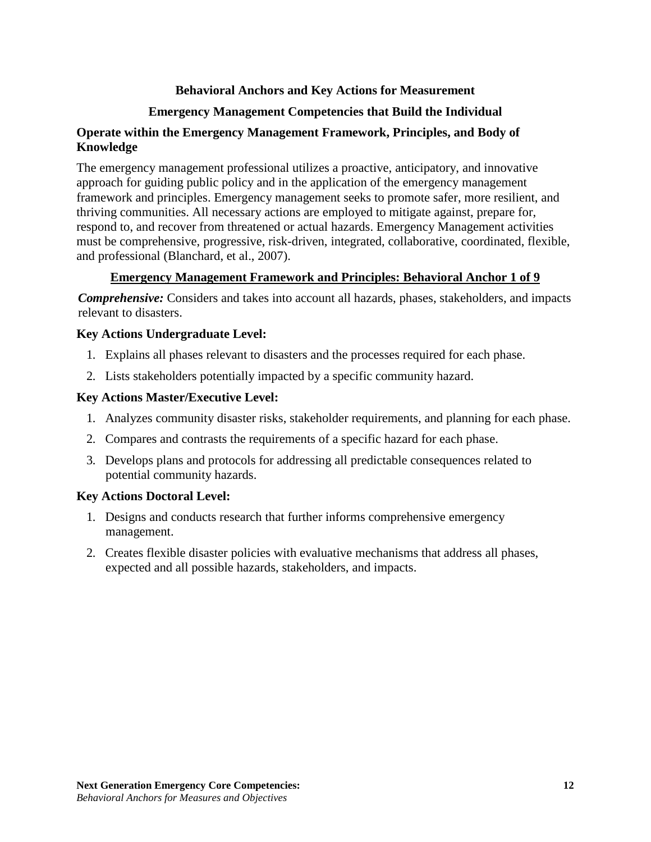# **Behavioral Anchors and Key Actions for Measurement**

# **Emergency Management Competencies that Build the Individual**

## <span id="page-11-1"></span><span id="page-11-0"></span>**Operate within the Emergency Management Framework, Principles, and Body of Knowledge**

The emergency management professional utilizes a proactive, anticipatory, and innovative approach for guiding public policy and in the application of the emergency management framework and principles. Emergency management seeks to promote safer, more resilient, and thriving communities. All necessary actions are employed to mitigate against, prepare for, respond to, and recover from threatened or actual hazards. Emergency Management activities must be comprehensive, progressive, risk-driven, integrated, collaborative, coordinated, flexible, and professional (Blanchard, et al., 2007).

# **Emergency Management Framework and Principles: Behavioral Anchor 1 of 9**

*Comprehensive:* Considers and takes into account all hazards, phases, stakeholders, and impacts relevant to disasters.

## **Key Actions Undergraduate Level:**

- 1. Explains all phases relevant to disasters and the processes required for each phase.
- 2. Lists stakeholders potentially impacted by a specific community hazard.

## **Key Actions Master/Executive Level:**

- 1. Analyzes community disaster risks, stakeholder requirements, and planning for each phase.
- 2. Compares and contrasts the requirements of a specific hazard for each phase.
- 3. Develops plans and protocols for addressing all predictable consequences related to potential community hazards.

## **Key Actions Doctoral Level:**

- 1. Designs and conducts research that further informs comprehensive emergency management.
- 2. Creates flexible disaster policies with evaluative mechanisms that address all phases, expected and all possible hazards, stakeholders, and impacts.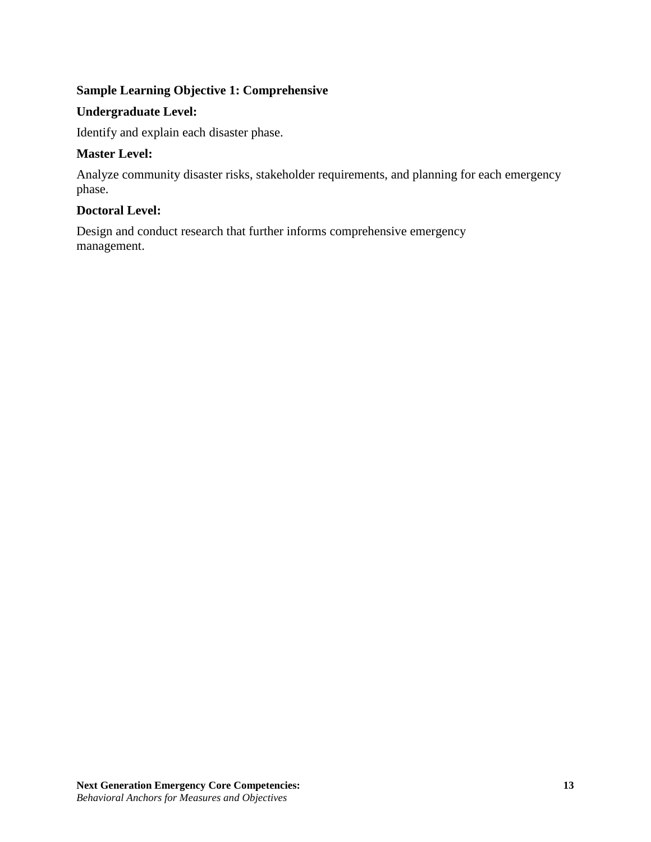# **Sample Learning Objective 1: Comprehensive**

## **Undergraduate Level:**

Identify and explain each disaster phase.

## **Master Level:**

Analyze community disaster risks, stakeholder requirements, and planning for each emergency phase.

## **Doctoral Level:**

Design and conduct research that further informs comprehensive emergency management.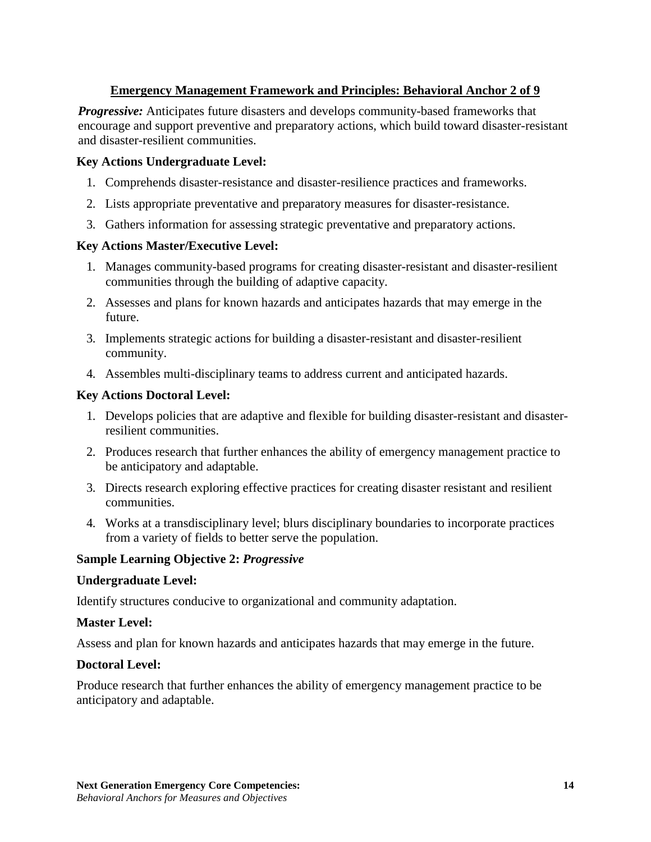# **Emergency Management Framework and Principles: Behavioral Anchor 2 of 9**

*Progressive:* Anticipates future disasters and develops community-based frameworks that encourage and support preventive and preparatory actions, which build toward disaster-resistant and disaster-resilient communities.

## **Key Actions Undergraduate Level:**

- 1. Comprehends disaster-resistance and disaster-resilience practices and frameworks.
- 2. Lists appropriate preventative and preparatory measures for disaster-resistance.
- 3. Gathers information for assessing strategic preventative and preparatory actions.

## **Key Actions Master/Executive Level:**

- 1. Manages community-based programs for creating disaster-resistant and disaster-resilient communities through the building of adaptive capacity.
- 2. Assesses and plans for known hazards and anticipates hazards that may emerge in the future.
- 3. Implements strategic actions for building a disaster-resistant and disaster-resilient community.
- 4. Assembles multi-disciplinary teams to address current and anticipated hazards.

## **Key Actions Doctoral Level:**

- 1. Develops policies that are adaptive and flexible for building disaster-resistant and disasterresilient communities.
- 2. Produces research that further enhances the ability of emergency management practice to be anticipatory and adaptable.
- 3. Directs research exploring effective practices for creating disaster resistant and resilient communities.
- 4. Works at a transdisciplinary level; blurs disciplinary boundaries to incorporate practices from a variety of fields to better serve the population.

## **Sample Learning Objective 2:** *Progressive*

#### **Undergraduate Level:**

Identify structures conducive to organizational and community adaptation.

## **Master Level:**

Assess and plan for known hazards and anticipates hazards that may emerge in the future.

## **Doctoral Level:**

Produce research that further enhances the ability of emergency management practice to be anticipatory and adaptable.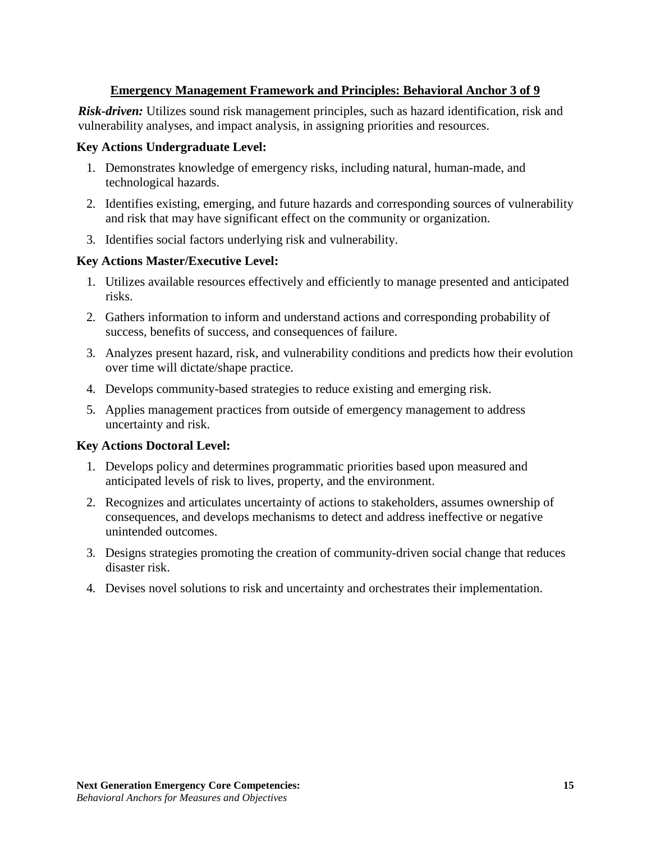# **Emergency Management Framework and Principles: Behavioral Anchor 3 of 9**

*Risk-driven:* Utilizes sound risk management principles, such as hazard identification, risk and vulnerability analyses, and impact analysis, in assigning priorities and resources.

## **Key Actions Undergraduate Level:**

- 1. Demonstrates knowledge of emergency risks, including natural, human-made, and technological hazards.
- 2. Identifies existing, emerging, and future hazards and corresponding sources of vulnerability and risk that may have significant effect on the community or organization.
- 3. Identifies social factors underlying risk and vulnerability.

## **Key Actions Master/Executive Level:**

- 1. Utilizes available resources effectively and efficiently to manage presented and anticipated risks.
- 2. Gathers information to inform and understand actions and corresponding probability of success, benefits of success, and consequences of failure.
- 3. Analyzes present hazard, risk, and vulnerability conditions and predicts how their evolution over time will dictate/shape practice.
- 4. Develops community-based strategies to reduce existing and emerging risk.
- 5. Applies management practices from outside of emergency management to address uncertainty and risk.

## **Key Actions Doctoral Level:**

- 1. Develops policy and determines programmatic priorities based upon measured and anticipated levels of risk to lives, property, and the environment.
- 2. Recognizes and articulates uncertainty of actions to stakeholders, assumes ownership of consequences, and develops mechanisms to detect and address ineffective or negative unintended outcomes.
- 3. Designs strategies promoting the creation of community-driven social change that reduces disaster risk.
- 4. Devises novel solutions to risk and uncertainty and orchestrates their implementation.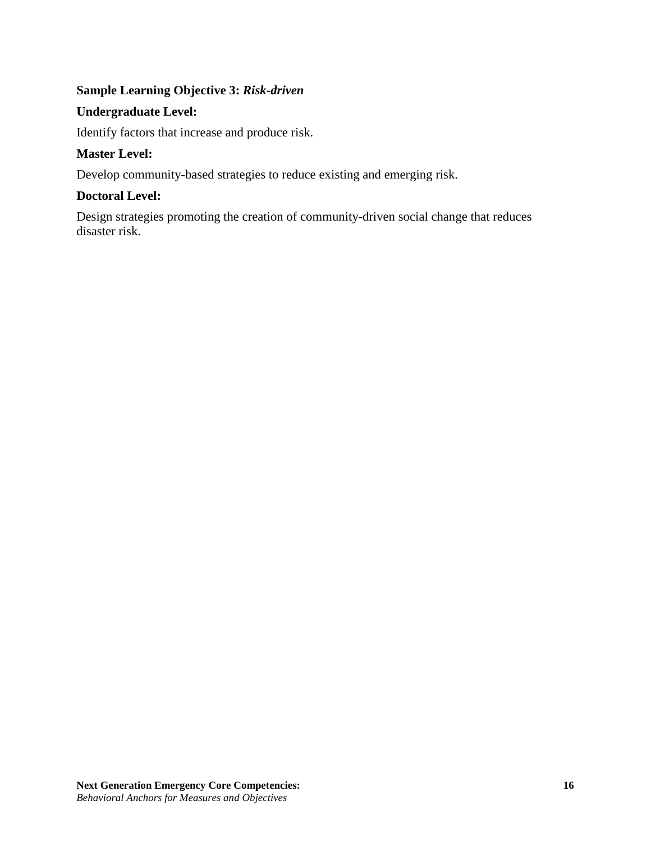# **Sample Learning Objective 3:** *Risk-driven*

## **Undergraduate Level:**

Identify factors that increase and produce risk.

## **Master Level:**

Develop community-based strategies to reduce existing and emerging risk.

## **Doctoral Level:**

Design strategies promoting the creation of community-driven social change that reduces disaster risk.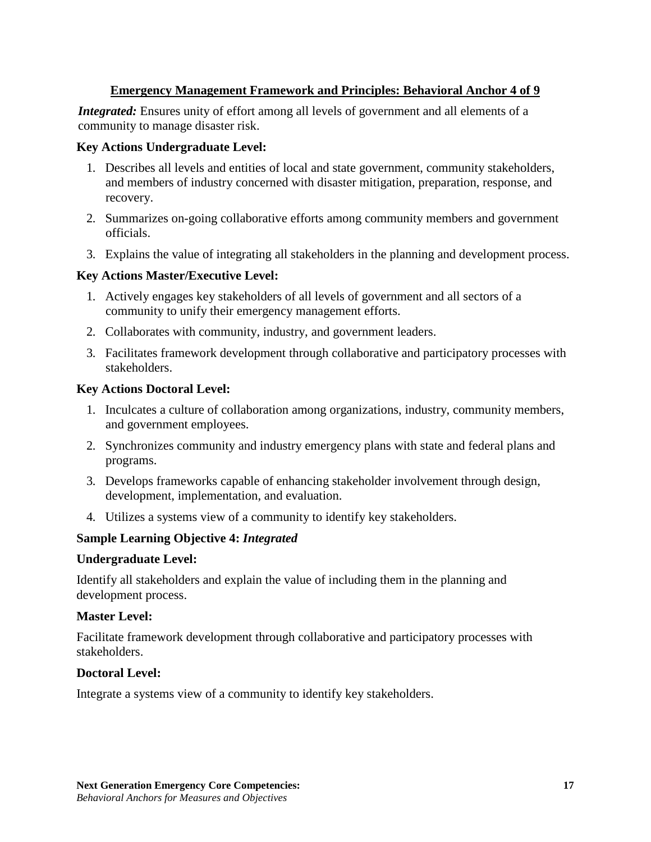# **Emergency Management Framework and Principles: Behavioral Anchor 4 of 9**

*Integrated:* Ensures unity of effort among all levels of government and all elements of a community to manage disaster risk.

## **Key Actions Undergraduate Level:**

- 1. Describes all levels and entities of local and state government, community stakeholders, and members of industry concerned with disaster mitigation, preparation, response, and recovery.
- 2. Summarizes on-going collaborative efforts among community members and government officials.
- 3. Explains the value of integrating all stakeholders in the planning and development process.

## **Key Actions Master/Executive Level:**

- 1. Actively engages key stakeholders of all levels of government and all sectors of a community to unify their emergency management efforts.
- 2. Collaborates with community, industry, and government leaders.
- 3. Facilitates framework development through collaborative and participatory processes with stakeholders.

## **Key Actions Doctoral Level:**

- 1. Inculcates a culture of collaboration among organizations, industry, community members, and government employees.
- 2. Synchronizes community and industry emergency plans with state and federal plans and programs.
- 3. Develops frameworks capable of enhancing stakeholder involvement through design, development, implementation, and evaluation.
- 4. Utilizes a systems view of a community to identify key stakeholders.

## **Sample Learning Objective 4:** *Integrated*

#### **Undergraduate Level:**

Identify all stakeholders and explain the value of including them in the planning and development process.

#### **Master Level:**

Facilitate framework development through collaborative and participatory processes with stakeholders.

## **Doctoral Level:**

Integrate a systems view of a community to identify key stakeholders.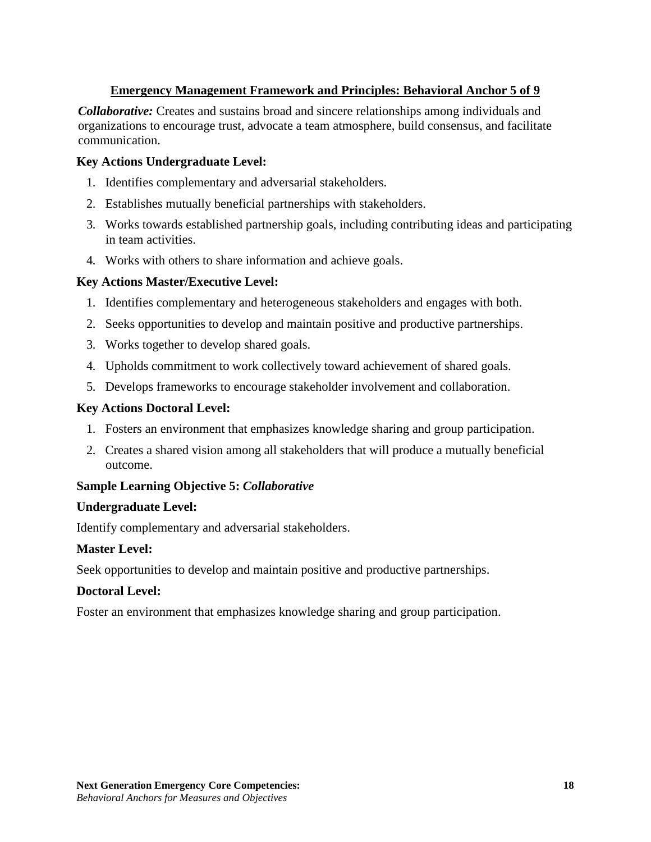# **Emergency Management Framework and Principles: Behavioral Anchor 5 of 9**

*Collaborative:* Creates and sustains broad and sincere relationships among individuals and organizations to encourage trust, advocate a team atmosphere, build consensus, and facilitate communication.

## **Key Actions Undergraduate Level:**

- 1. Identifies complementary and adversarial stakeholders.
- 2. Establishes mutually beneficial partnerships with stakeholders.
- 3. Works towards established partnership goals, including contributing ideas and participating in team activities.
- 4. Works with others to share information and achieve goals.

## **Key Actions Master/Executive Level:**

- 1. Identifies complementary and heterogeneous stakeholders and engages with both.
- 2. Seeks opportunities to develop and maintain positive and productive partnerships.
- 3. Works together to develop shared goals.
- 4. Upholds commitment to work collectively toward achievement of shared goals.
- 5. Develops frameworks to encourage stakeholder involvement and collaboration.

#### **Key Actions Doctoral Level:**

- 1. Fosters an environment that emphasizes knowledge sharing and group participation.
- 2. Creates a shared vision among all stakeholders that will produce a mutually beneficial outcome.

#### **Sample Learning Objective 5:** *Collaborative*

#### **Undergraduate Level:**

Identify complementary and adversarial stakeholders.

#### **Master Level:**

Seek opportunities to develop and maintain positive and productive partnerships.

#### **Doctoral Level:**

Foster an environment that emphasizes knowledge sharing and group participation.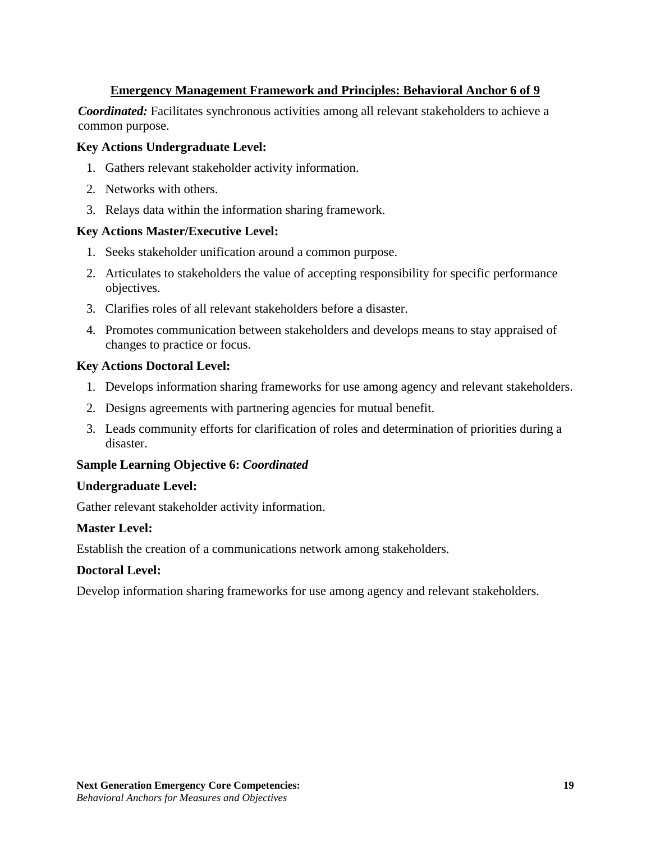# **Emergency Management Framework and Principles: Behavioral Anchor 6 of 9**

*Coordinated:* Facilitates synchronous activities among all relevant stakeholders to achieve a common purpose.

#### **Key Actions Undergraduate Level:**

- 1. Gathers relevant stakeholder activity information.
- 2. Networks with others.
- 3. Relays data within the information sharing framework.

#### **Key Actions Master/Executive Level:**

- 1. Seeks stakeholder unification around a common purpose.
- 2. Articulates to stakeholders the value of accepting responsibility for specific performance objectives.
- 3. Clarifies roles of all relevant stakeholders before a disaster.
- 4. Promotes communication between stakeholders and develops means to stay appraised of changes to practice or focus.

## **Key Actions Doctoral Level:**

- 1. Develops information sharing frameworks for use among agency and relevant stakeholders.
- 2. Designs agreements with partnering agencies for mutual benefit.
- 3. Leads community efforts for clarification of roles and determination of priorities during a disaster.

## **Sample Learning Objective 6:** *Coordinated*

#### **Undergraduate Level:**

Gather relevant stakeholder activity information.

## **Master Level:**

Establish the creation of a communications network among stakeholders.

## **Doctoral Level:**

Develop information sharing frameworks for use among agency and relevant stakeholders.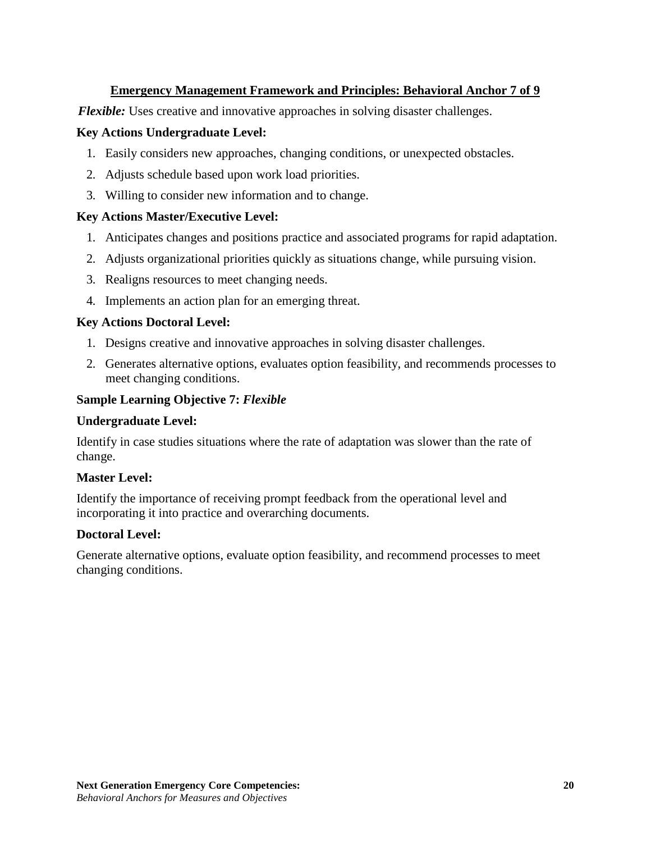# **Emergency Management Framework and Principles: Behavioral Anchor 7 of 9**

*Flexible:* Uses creative and innovative approaches in solving disaster challenges.

## **Key Actions Undergraduate Level:**

- 1. Easily considers new approaches, changing conditions, or unexpected obstacles.
- 2. Adjusts schedule based upon work load priorities.
- 3. Willing to consider new information and to change.

## **Key Actions Master/Executive Level:**

- 1. Anticipates changes and positions practice and associated programs for rapid adaptation.
- 2. Adjusts organizational priorities quickly as situations change, while pursuing vision.
- 3. Realigns resources to meet changing needs.
- 4. Implements an action plan for an emerging threat.

#### **Key Actions Doctoral Level:**

- 1. Designs creative and innovative approaches in solving disaster challenges.
- 2. Generates alternative options, evaluates option feasibility, and recommends processes to meet changing conditions.

## **Sample Learning Objective 7:** *Flexible*

#### **Undergraduate Level:**

Identify in case studies situations where the rate of adaptation was slower than the rate of change.

#### **Master Level:**

Identify the importance of receiving prompt feedback from the operational level and incorporating it into practice and overarching documents.

## **Doctoral Level:**

Generate alternative options, evaluate option feasibility, and recommend processes to meet changing conditions.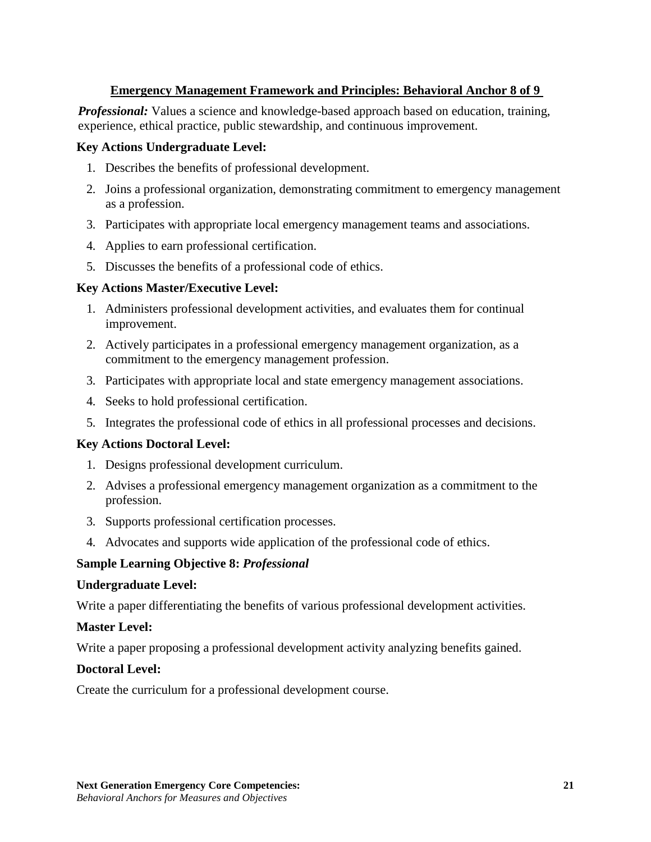# **Emergency Management Framework and Principles: Behavioral Anchor 8 of 9**

*Professional:* Values a science and knowledge-based approach based on education, training, experience, ethical practice, public stewardship, and continuous improvement.

#### **Key Actions Undergraduate Level:**

- 1. Describes the benefits of professional development.
- 2. Joins a professional organization, demonstrating commitment to emergency management as a profession.
- 3. Participates with appropriate local emergency management teams and associations.
- 4. Applies to earn professional certification.
- 5. Discusses the benefits of a professional code of ethics.

## **Key Actions Master/Executive Level:**

- 1. Administers professional development activities, and evaluates them for continual improvement.
- 2. Actively participates in a professional emergency management organization, as a commitment to the emergency management profession.
- 3. Participates with appropriate local and state emergency management associations.
- 4. Seeks to hold professional certification.
- 5. Integrates the professional code of ethics in all professional processes and decisions.

## **Key Actions Doctoral Level:**

- 1. Designs professional development curriculum.
- 2. Advises a professional emergency management organization as a commitment to the profession.
- 3. Supports professional certification processes.
- 4. Advocates and supports wide application of the professional code of ethics.

## **Sample Learning Objective 8:** *Professional*

#### **Undergraduate Level:**

Write a paper differentiating the benefits of various professional development activities.

## **Master Level:**

Write a paper proposing a professional development activity analyzing benefits gained.

## **Doctoral Level:**

Create the curriculum for a professional development course.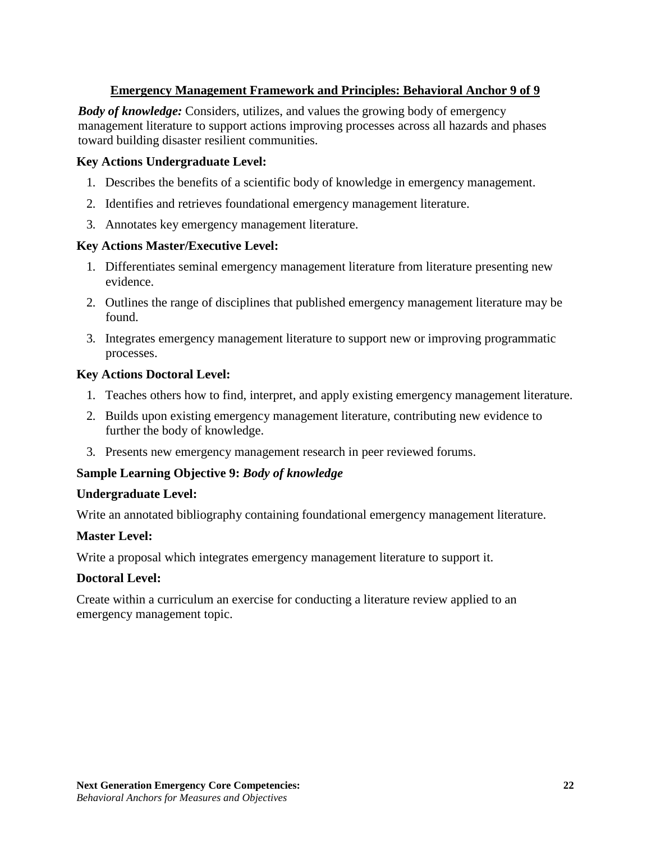# **Emergency Management Framework and Principles: Behavioral Anchor 9 of 9**

*Body of knowledge:* Considers, utilizes, and values the growing body of emergency management literature to support actions improving processes across all hazards and phases toward building disaster resilient communities.

## **Key Actions Undergraduate Level:**

- 1. Describes the benefits of a scientific body of knowledge in emergency management.
- 2. Identifies and retrieves foundational emergency management literature.
- 3. Annotates key emergency management literature.

#### **Key Actions Master/Executive Level:**

- 1. Differentiates seminal emergency management literature from literature presenting new evidence.
- 2. Outlines the range of disciplines that published emergency management literature may be found.
- 3. Integrates emergency management literature to support new or improving programmatic processes.

#### **Key Actions Doctoral Level:**

- 1. Teaches others how to find, interpret, and apply existing emergency management literature.
- 2. Builds upon existing emergency management literature, contributing new evidence to further the body of knowledge.
- 3. Presents new emergency management research in peer reviewed forums.

#### **Sample Learning Objective 9:** *Body of knowledge*

#### **Undergraduate Level:**

Write an annotated bibliography containing foundational emergency management literature.

#### **Master Level:**

Write a proposal which integrates emergency management literature to support it.

#### **Doctoral Level:**

Create within a curriculum an exercise for conducting a literature review applied to an emergency management topic.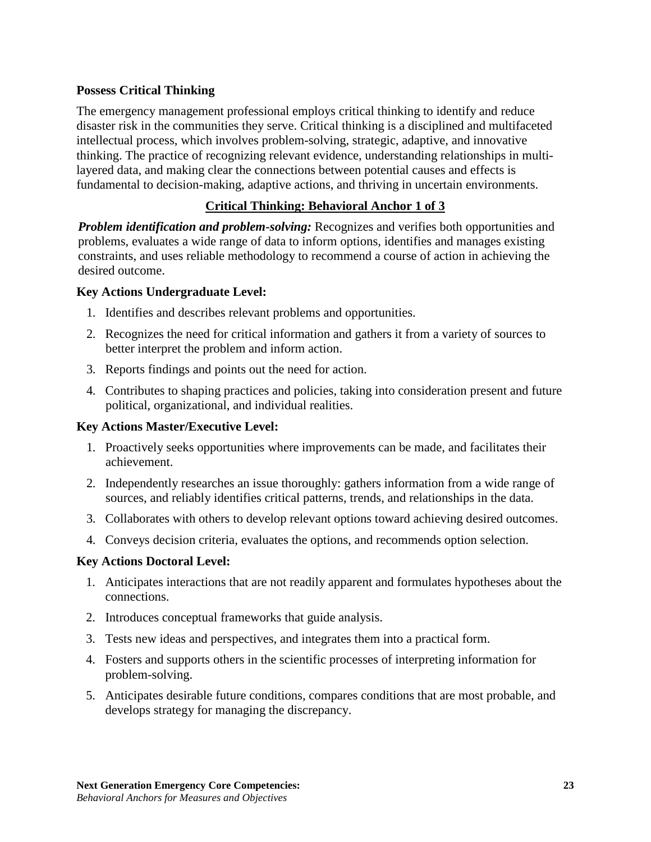## <span id="page-22-0"></span>**Possess Critical Thinking**

The emergency management professional employs critical thinking to identify and reduce disaster risk in the communities they serve. Critical thinking is a disciplined and multifaceted intellectual process, which involves problem-solving, strategic, adaptive, and innovative thinking. The practice of recognizing relevant evidence, understanding relationships in multilayered data, and making clear the connections between potential causes and effects is fundamental to decision-making, adaptive actions, and thriving in uncertain environments.

## **Critical Thinking: Behavioral Anchor 1 of 3**

*Problem identification and problem-solving:* Recognizes and verifies both opportunities and problems, evaluates a wide range of data to inform options, identifies and manages existing constraints, and uses reliable methodology to recommend a course of action in achieving the desired outcome.

## **Key Actions Undergraduate Level:**

- 1. Identifies and describes relevant problems and opportunities.
- 2. Recognizes the need for critical information and gathers it from a variety of sources to better interpret the problem and inform action.
- 3. Reports findings and points out the need for action.
- 4. Contributes to shaping practices and policies, taking into consideration present and future political, organizational, and individual realities.

## **Key Actions Master/Executive Level:**

- 1. Proactively seeks opportunities where improvements can be made, and facilitates their achievement.
- 2. Independently researches an issue thoroughly: gathers information from a wide range of sources, and reliably identifies critical patterns, trends, and relationships in the data.
- 3. Collaborates with others to develop relevant options toward achieving desired outcomes.
- 4. Conveys decision criteria, evaluates the options, and recommends option selection.

#### **Key Actions Doctoral Level:**

- 1. Anticipates interactions that are not readily apparent and formulates hypotheses about the connections.
- 2. Introduces conceptual frameworks that guide analysis.
- 3. Tests new ideas and perspectives, and integrates them into a practical form.
- 4. Fosters and supports others in the scientific processes of interpreting information for problem-solving.
- 5. Anticipates desirable future conditions, compares conditions that are most probable, and develops strategy for managing the discrepancy.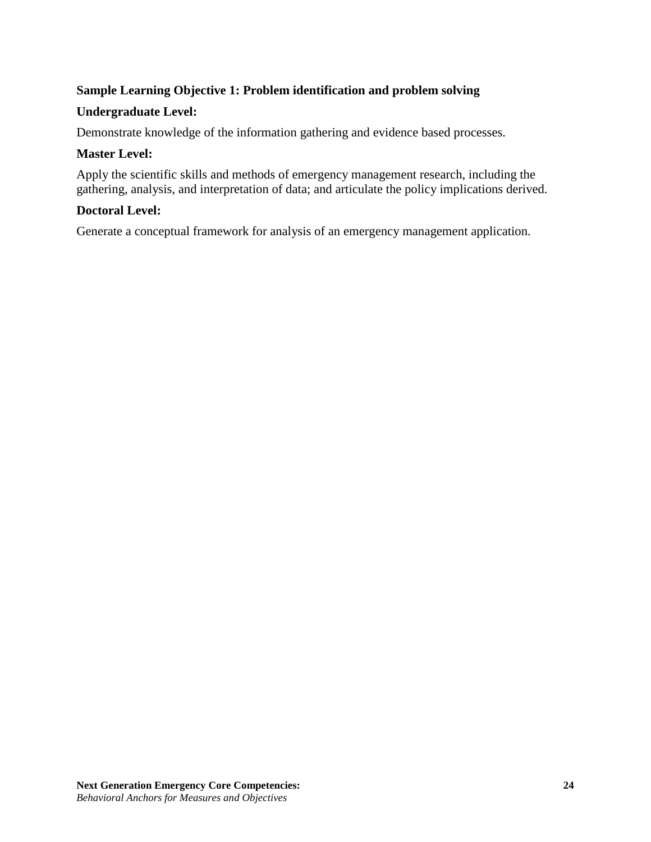# **Sample Learning Objective 1: Problem identification and problem solving**

## **Undergraduate Level:**

Demonstrate knowledge of the information gathering and evidence based processes.

## **Master Level:**

Apply the scientific skills and methods of emergency management research, including the gathering, analysis, and interpretation of data; and articulate the policy implications derived.

## **Doctoral Level:**

Generate a conceptual framework for analysis of an emergency management application.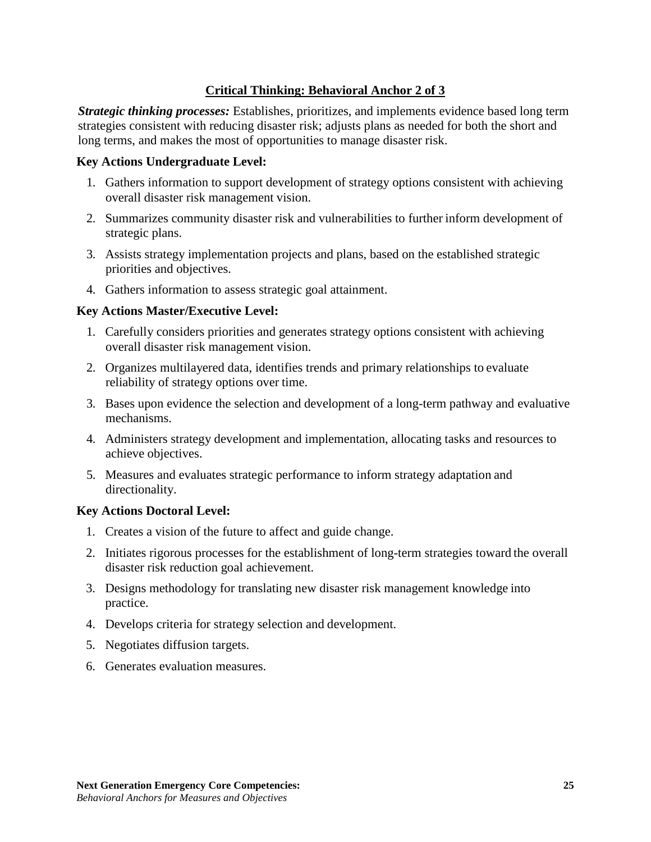# **Critical Thinking: Behavioral Anchor 2 of 3**

*Strategic thinking processes:* Establishes, prioritizes, and implements evidence based long term strategies consistent with reducing disaster risk; adjusts plans as needed for both the short and long terms, and makes the most of opportunities to manage disaster risk.

#### **Key Actions Undergraduate Level:**

- 1. Gathers information to support development of strategy options consistent with achieving overall disaster risk management vision.
- 2. Summarizes community disaster risk and vulnerabilities to further inform development of strategic plans.
- 3. Assists strategy implementation projects and plans, based on the established strategic priorities and objectives.
- 4. Gathers information to assess strategic goal attainment.

## **Key Actions Master/Executive Level:**

- 1. Carefully considers priorities and generates strategy options consistent with achieving overall disaster risk management vision.
- 2. Organizes multilayered data, identifies trends and primary relationships to evaluate reliability of strategy options over time.
- 3. Bases upon evidence the selection and development of a long-term pathway and evaluative mechanisms.
- 4. Administers strategy development and implementation, allocating tasks and resources to achieve objectives.
- 5. Measures and evaluates strategic performance to inform strategy adaptation and directionality.

#### **Key Actions Doctoral Level:**

- 1. Creates a vision of the future to affect and guide change.
- 2. Initiates rigorous processes for the establishment of long-term strategies toward the overall disaster risk reduction goal achievement.
- 3. Designs methodology for translating new disaster risk management knowledge into practice.
- 4. Develops criteria for strategy selection and development.
- 5. Negotiates diffusion targets.
- 6. Generates evaluation measures.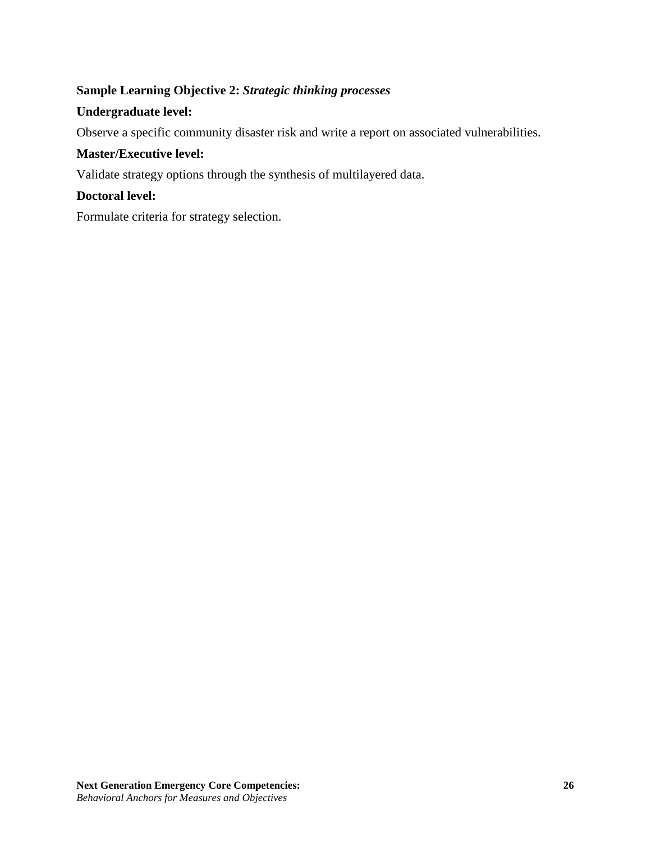# **Sample Learning Objective 2:** *Strategic thinking processes*

## **Undergraduate level:**

Observe a specific community disaster risk and write a report on associated vulnerabilities.

## **Master/Executive level:**

Validate strategy options through the synthesis of multilayered data.

## **Doctoral level:**

Formulate criteria for strategy selection.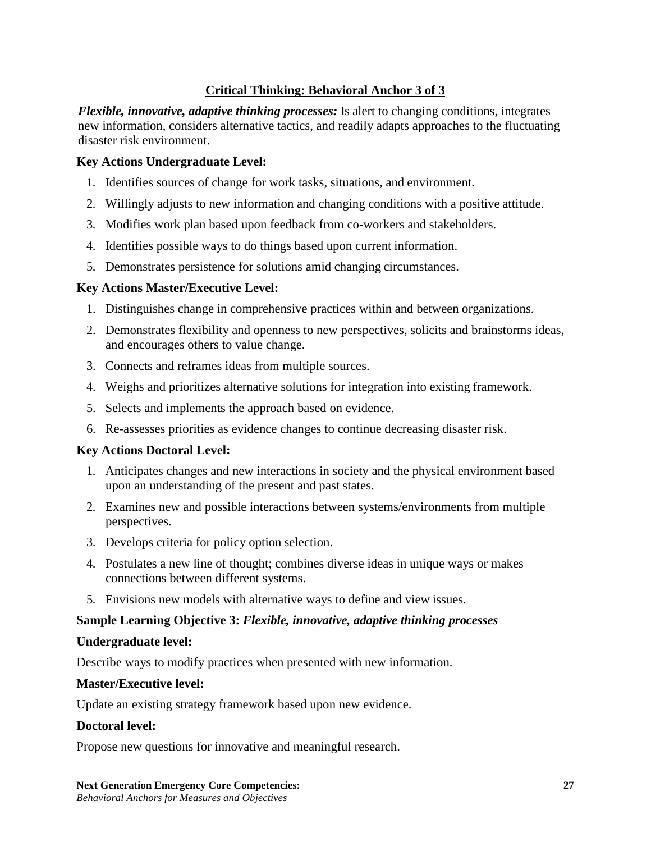# **Critical Thinking: Behavioral Anchor 3 of 3**

*Flexible, innovative, adaptive thinking processes:* Is alert to changing conditions, integrates new information, considers alternative tactics, and readily adapts approaches to the fluctuating disaster risk environment.

## **Key Actions Undergraduate Level:**

- 1. Identifies sources of change for work tasks, situations, and environment.
- 2. Willingly adjusts to new information and changing conditions with a positive attitude.
- 3. Modifies work plan based upon feedback from co-workers and stakeholders.
- 4. Identifies possible ways to do things based upon current information.
- 5. Demonstrates persistence for solutions amid changing circumstances.

# **Key Actions Master/Executive Level:**

- 1. Distinguishes change in comprehensive practices within and between organizations.
- 2. Demonstrates flexibility and openness to new perspectives, solicits and brainstorms ideas, and encourages others to value change.
- 3. Connects and reframes ideas from multiple sources.
- 4. Weighs and prioritizes alternative solutions for integration into existing framework.
- 5. Selects and implements the approach based on evidence.
- 6. Re-assesses priorities as evidence changes to continue decreasing disaster risk.

# **Key Actions Doctoral Level:**

- 1. Anticipates changes and new interactions in society and the physical environment based upon an understanding of the present and past states.
- 2. Examines new and possible interactions between systems/environments from multiple perspectives.
- 3. Develops criteria for policy option selection.
- 4. Postulates a new line of thought; combines diverse ideas in unique ways or makes connections between different systems.
- 5. Envisions new models with alternative ways to define and view issues.

# **Sample Learning Objective 3:** *Flexible, innovative, adaptive thinking processes*

## **Undergraduate level:**

Describe ways to modify practices when presented with new information.

# **Master/Executive level:**

Update an existing strategy framework based upon new evidence.

## **Doctoral level:**

Propose new questions for innovative and meaningful research.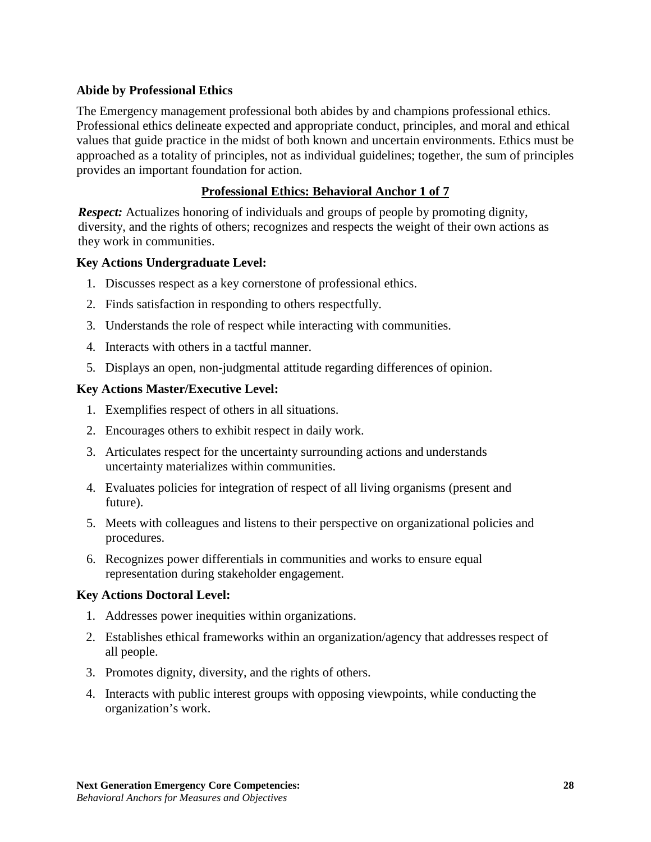## <span id="page-27-0"></span>**Abide by Professional Ethics**

The Emergency management professional both abides by and champions professional ethics. Professional ethics delineate expected and appropriate conduct, principles, and moral and ethical values that guide practice in the midst of both known and uncertain environments. Ethics must be approached as a totality of principles, not as individual guidelines; together, the sum of principles provides an important foundation for action.

## **Professional Ethics: Behavioral Anchor 1 of 7**

*Respect:* Actualizes honoring of individuals and groups of people by promoting dignity, diversity, and the rights of others; recognizes and respects the weight of their own actions as they work in communities.

## **Key Actions Undergraduate Level:**

- 1. Discusses respect as a key cornerstone of professional ethics.
- 2. Finds satisfaction in responding to others respectfully.
- 3. Understands the role of respect while interacting with communities.
- 4. Interacts with others in a tactful manner.
- 5. Displays an open, non-judgmental attitude regarding differences of opinion.

## **Key Actions Master/Executive Level:**

- 1. Exemplifies respect of others in all situations.
- 2. Encourages others to exhibit respect in daily work.
- 3. Articulates respect for the uncertainty surrounding actions and understands uncertainty materializes within communities.
- 4. Evaluates policies for integration of respect of all living organisms (present and future).
- 5. Meets with colleagues and listens to their perspective on organizational policies and procedures.
- 6. Recognizes power differentials in communities and works to ensure equal representation during stakeholder engagement.

## **Key Actions Doctoral Level:**

- 1. Addresses power inequities within organizations.
- 2. Establishes ethical frameworks within an organization/agency that addresses respect of all people.
- 3. Promotes dignity, diversity, and the rights of others.
- 4. Interacts with public interest groups with opposing viewpoints, while conducting the organization's work.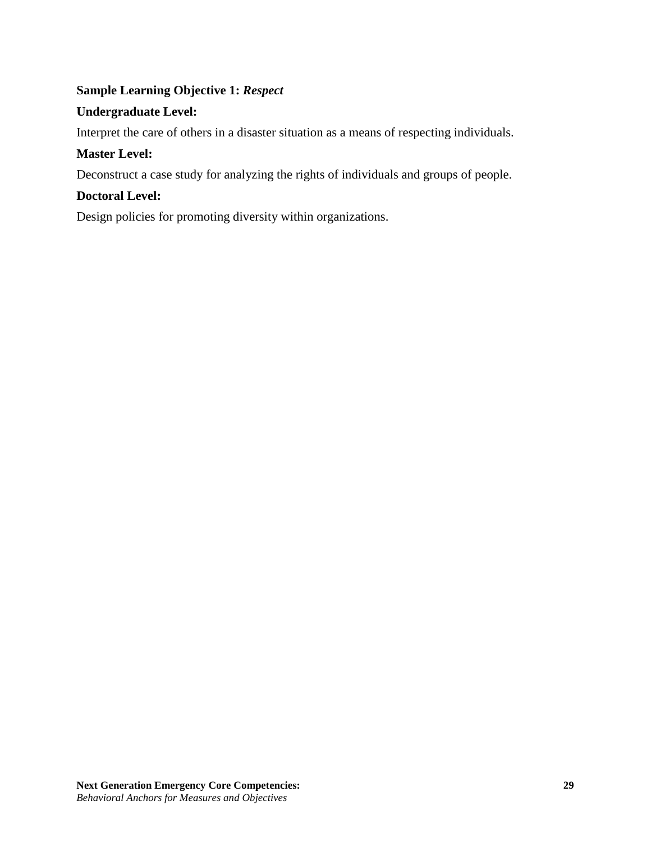# **Sample Learning Objective 1:** *Respect*

## **Undergraduate Level:**

Interpret the care of others in a disaster situation as a means of respecting individuals.

# **Master Level:**

Deconstruct a case study for analyzing the rights of individuals and groups of people.

## **Doctoral Level:**

Design policies for promoting diversity within organizations.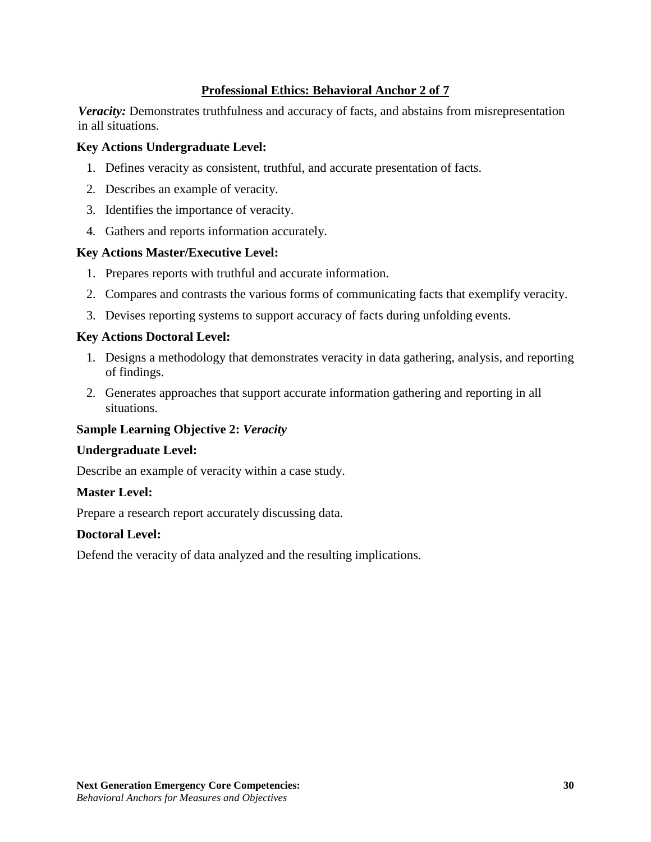## **Professional Ethics: Behavioral Anchor 2 of 7**

*Veracity:* Demonstrates truthfulness and accuracy of facts, and abstains from misrepresentation in all situations.

#### **Key Actions Undergraduate Level:**

- 1. Defines veracity as consistent, truthful, and accurate presentation of facts.
- 2. Describes an example of veracity.
- 3. Identifies the importance of veracity.
- 4. Gathers and reports information accurately.

#### **Key Actions Master/Executive Level:**

- 1. Prepares reports with truthful and accurate information.
- 2. Compares and contrasts the various forms of communicating facts that exemplify veracity.
- 3. Devises reporting systems to support accuracy of facts during unfolding events.

## **Key Actions Doctoral Level:**

- 1. Designs a methodology that demonstrates veracity in data gathering, analysis, and reporting of findings.
- 2. Generates approaches that support accurate information gathering and reporting in all situations.

#### **Sample Learning Objective 2:** *Veracity*

#### **Undergraduate Level:**

Describe an example of veracity within a case study.

#### **Master Level:**

Prepare a research report accurately discussing data.

#### **Doctoral Level:**

Defend the veracity of data analyzed and the resulting implications.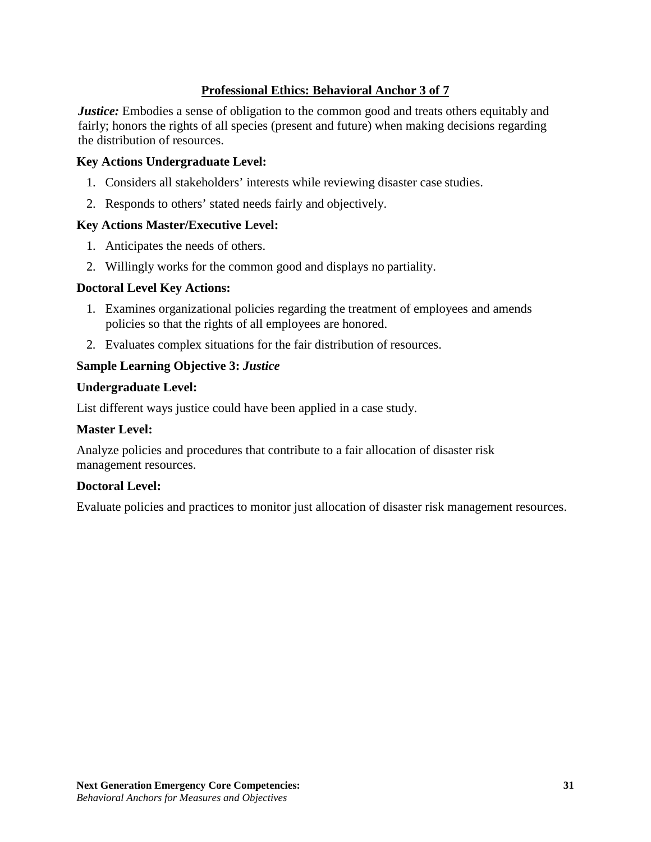# **Professional Ethics: Behavioral Anchor 3 of 7**

*Justice:* Embodies a sense of obligation to the common good and treats others equitably and fairly; honors the rights of all species (present and future) when making decisions regarding the distribution of resources.

#### **Key Actions Undergraduate Level:**

- 1. Considers all stakeholders' interests while reviewing disaster case studies.
- 2. Responds to others' stated needs fairly and objectively.

## **Key Actions Master/Executive Level:**

- 1. Anticipates the needs of others.
- 2. Willingly works for the common good and displays no partiality.

#### **Doctoral Level Key Actions:**

- 1. Examines organizational policies regarding the treatment of employees and amends policies so that the rights of all employees are honored.
- 2. Evaluates complex situations for the fair distribution of resources.

## **Sample Learning Objective 3:** *Justice*

## **Undergraduate Level:**

List different ways justice could have been applied in a case study.

#### **Master Level:**

Analyze policies and procedures that contribute to a fair allocation of disaster risk management resources.

#### **Doctoral Level:**

Evaluate policies and practices to monitor just allocation of disaster risk management resources.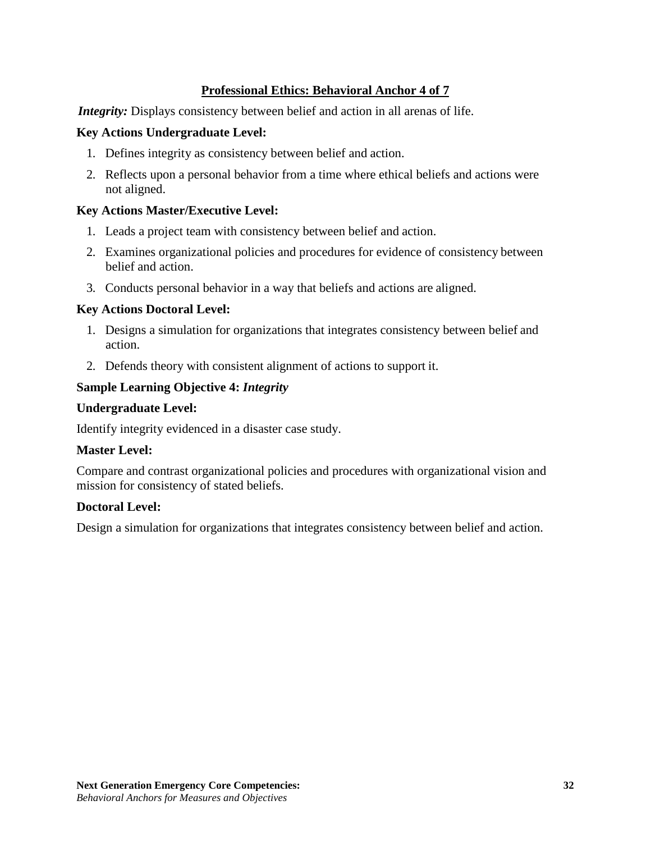# **Professional Ethics: Behavioral Anchor 4 of 7**

*Integrity:* Displays consistency between belief and action in all arenas of life.

## **Key Actions Undergraduate Level:**

- 1. Defines integrity as consistency between belief and action.
- 2. Reflects upon a personal behavior from a time where ethical beliefs and actions were not aligned.

## **Key Actions Master/Executive Level:**

- 1. Leads a project team with consistency between belief and action.
- 2. Examines organizational policies and procedures for evidence of consistency between belief and action.
- 3. Conducts personal behavior in a way that beliefs and actions are aligned.

## **Key Actions Doctoral Level:**

- 1. Designs a simulation for organizations that integrates consistency between belief and action.
- 2. Defends theory with consistent alignment of actions to support it.

## **Sample Learning Objective 4:** *Integrity*

#### **Undergraduate Level:**

Identify integrity evidenced in a disaster case study.

## **Master Level:**

Compare and contrast organizational policies and procedures with organizational vision and mission for consistency of stated beliefs.

#### **Doctoral Level:**

Design a simulation for organizations that integrates consistency between belief and action.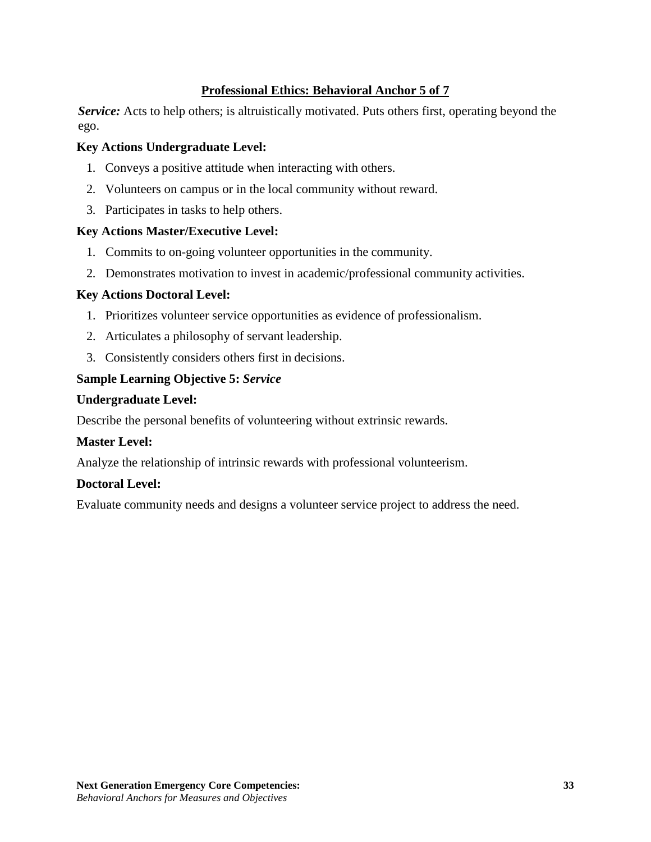# **Professional Ethics: Behavioral Anchor 5 of 7**

*Service:* Acts to help others; is altruistically motivated. Puts others first, operating beyond the ego.

## **Key Actions Undergraduate Level:**

- 1. Conveys a positive attitude when interacting with others.
- 2. Volunteers on campus or in the local community without reward.
- 3. Participates in tasks to help others.

## **Key Actions Master/Executive Level:**

- 1. Commits to on-going volunteer opportunities in the community.
- 2. Demonstrates motivation to invest in academic/professional community activities.

## **Key Actions Doctoral Level:**

- 1. Prioritizes volunteer service opportunities as evidence of professionalism.
- 2. Articulates a philosophy of servant leadership.
- 3. Consistently considers others first in decisions.

## **Sample Learning Objective 5:** *Service*

#### **Undergraduate Level:**

Describe the personal benefits of volunteering without extrinsic rewards.

## **Master Level:**

Analyze the relationship of intrinsic rewards with professional volunteerism.

## **Doctoral Level:**

Evaluate community needs and designs a volunteer service project to address the need.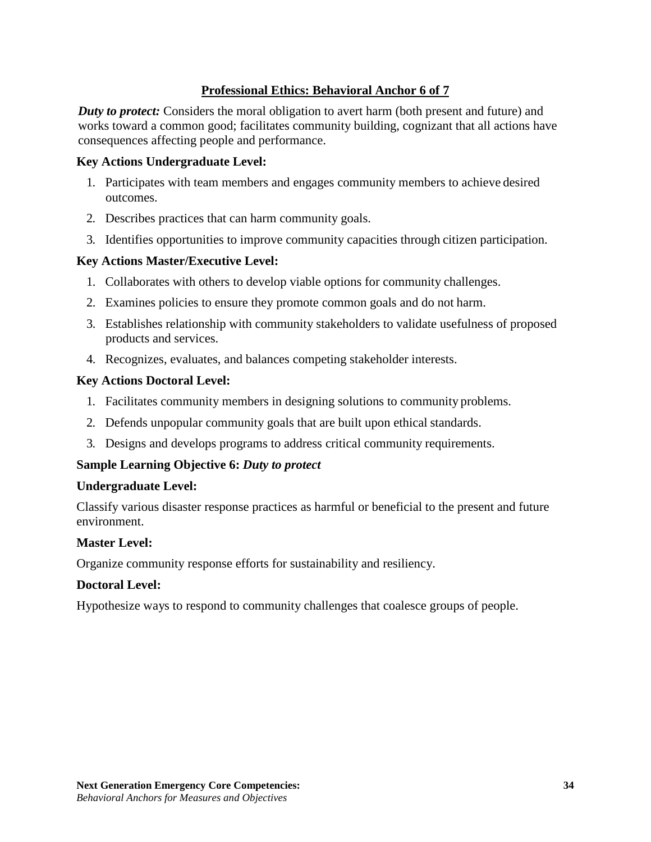# **Professional Ethics: Behavioral Anchor 6 of 7**

*Duty to protect:* Considers the moral obligation to avert harm (both present and future) and works toward a common good; facilitates community building, cognizant that all actions have consequences affecting people and performance.

## **Key Actions Undergraduate Level:**

- 1. Participates with team members and engages community members to achieve desired outcomes.
- 2. Describes practices that can harm community goals.
- 3. Identifies opportunities to improve community capacities through citizen participation.

## **Key Actions Master/Executive Level:**

- 1. Collaborates with others to develop viable options for community challenges.
- 2. Examines policies to ensure they promote common goals and do not harm.
- 3. Establishes relationship with community stakeholders to validate usefulness of proposed products and services.
- 4. Recognizes, evaluates, and balances competing stakeholder interests.

## **Key Actions Doctoral Level:**

- 1. Facilitates community members in designing solutions to community problems.
- 2. Defends unpopular community goals that are built upon ethical standards.
- 3. Designs and develops programs to address critical community requirements.

## **Sample Learning Objective 6:** *Duty to protect*

#### **Undergraduate Level:**

Classify various disaster response practices as harmful or beneficial to the present and future environment.

#### **Master Level:**

Organize community response efforts for sustainability and resiliency.

#### **Doctoral Level:**

Hypothesize ways to respond to community challenges that coalesce groups of people.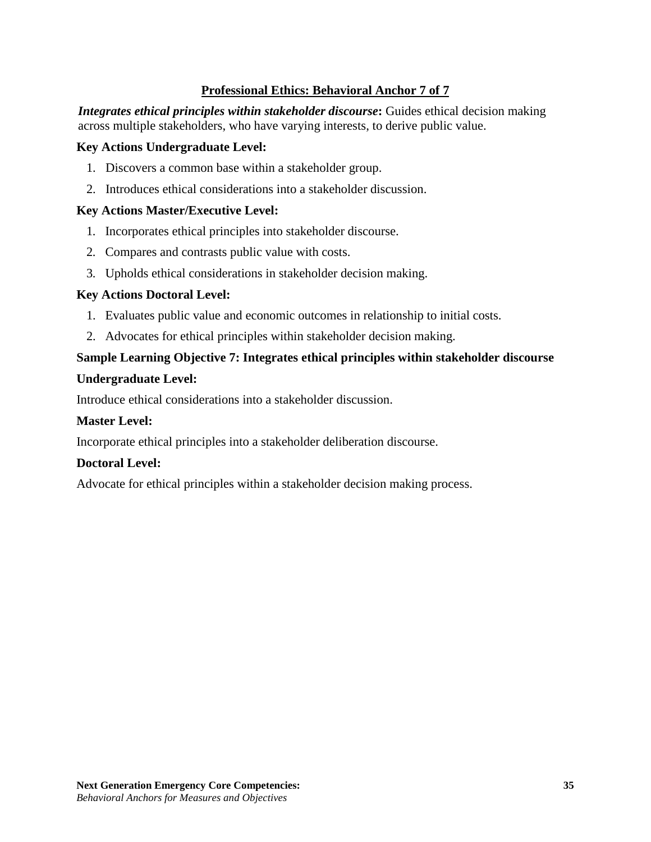# **Professional Ethics: Behavioral Anchor 7 of 7**

*Integrates ethical principles within stakeholder discourse*: Guides ethical decision making across multiple stakeholders, who have varying interests, to derive public value.

#### **Key Actions Undergraduate Level:**

- 1. Discovers a common base within a stakeholder group.
- 2. Introduces ethical considerations into a stakeholder discussion.

## **Key Actions Master/Executive Level:**

- 1. Incorporates ethical principles into stakeholder discourse.
- 2. Compares and contrasts public value with costs.
- 3. Upholds ethical considerations in stakeholder decision making.

## **Key Actions Doctoral Level:**

- 1. Evaluates public value and economic outcomes in relationship to initial costs.
- 2. Advocates for ethical principles within stakeholder decision making.

# **Sample Learning Objective 7: Integrates ethical principles within stakeholder discourse**

#### **Undergraduate Level:**

Introduce ethical considerations into a stakeholder discussion.

## **Master Level:**

Incorporate ethical principles into a stakeholder deliberation discourse.

## **Doctoral Level:**

Advocate for ethical principles within a stakeholder decision making process.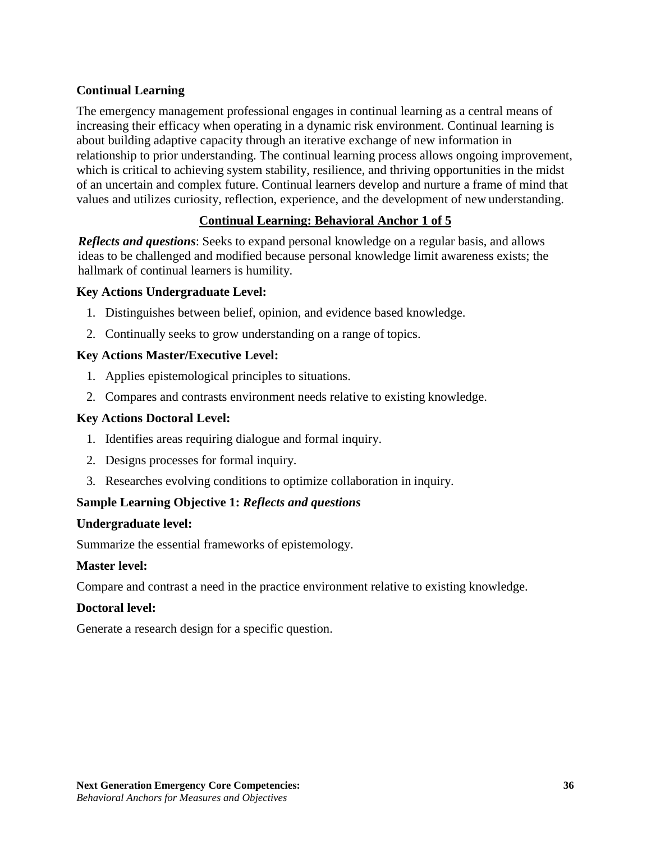# <span id="page-35-0"></span>**Continual Learning**

The emergency management professional engages in continual learning as a central means of increasing their efficacy when operating in a dynamic risk environment. Continual learning is about building adaptive capacity through an iterative exchange of new information in relationship to prior understanding. The continual learning process allows ongoing improvement, which is critical to achieving system stability, resilience, and thriving opportunities in the midst of an uncertain and complex future. Continual learners develop and nurture a frame of mind that values and utilizes curiosity, reflection, experience, and the development of new understanding.

# **Continual Learning: Behavioral Anchor 1 of 5**

*Reflects and questions*: Seeks to expand personal knowledge on a regular basis, and allows ideas to be challenged and modified because personal knowledge limit awareness exists; the hallmark of continual learners is humility.

## **Key Actions Undergraduate Level:**

- 1. Distinguishes between belief, opinion, and evidence based knowledge.
- 2. Continually seeks to grow understanding on a range of topics.

## **Key Actions Master/Executive Level:**

- 1. Applies epistemological principles to situations.
- 2. Compares and contrasts environment needs relative to existing knowledge.

#### **Key Actions Doctoral Level:**

- 1. Identifies areas requiring dialogue and formal inquiry.
- 2. Designs processes for formal inquiry.
- 3. Researches evolving conditions to optimize collaboration in inquiry.

## **Sample Learning Objective 1:** *Reflects and questions*

#### **Undergraduate level:**

Summarize the essential frameworks of epistemology.

#### **Master level:**

Compare and contrast a need in the practice environment relative to existing knowledge.

#### **Doctoral level:**

Generate a research design for a specific question.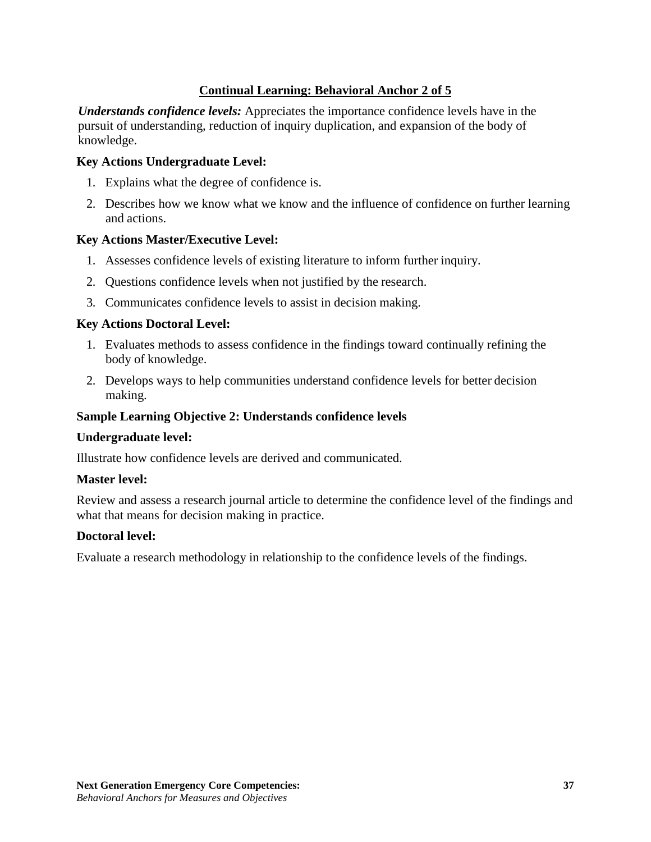## **Continual Learning: Behavioral Anchor 2 of 5**

*Understands confidence levels:* Appreciates the importance confidence levels have in the pursuit of understanding, reduction of inquiry duplication, and expansion of the body of knowledge.

#### **Key Actions Undergraduate Level:**

- 1. Explains what the degree of confidence is.
- 2. Describes how we know what we know and the influence of confidence on further learning and actions.

#### **Key Actions Master/Executive Level:**

- 1. Assesses confidence levels of existing literature to inform further inquiry.
- 2. Questions confidence levels when not justified by the research.
- 3. Communicates confidence levels to assist in decision making.

### **Key Actions Doctoral Level:**

- 1. Evaluates methods to assess confidence in the findings toward continually refining the body of knowledge.
- 2. Develops ways to help communities understand confidence levels for better decision making.

## **Sample Learning Objective 2: Understands confidence levels**

#### **Undergraduate level:**

Illustrate how confidence levels are derived and communicated.

#### **Master level:**

Review and assess a research journal article to determine the confidence level of the findings and what that means for decision making in practice.

#### **Doctoral level:**

Evaluate a research methodology in relationship to the confidence levels of the findings.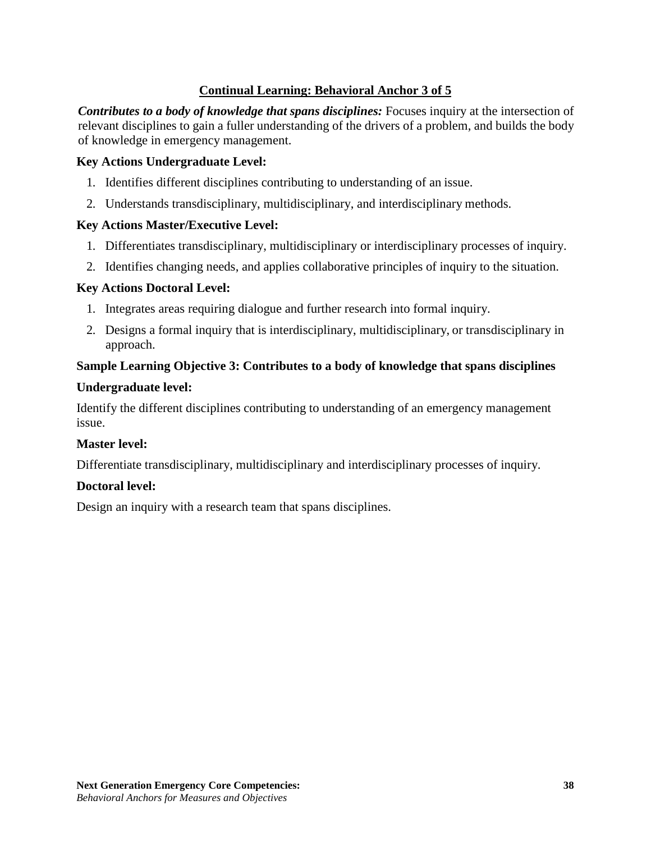## **Continual Learning: Behavioral Anchor 3 of 5**

*Contributes to a body of knowledge that spans disciplines:* Focuses inquiry at the intersection of relevant disciplines to gain a fuller understanding of the drivers of a problem, and builds the body of knowledge in emergency management.

## **Key Actions Undergraduate Level:**

- 1. Identifies different disciplines contributing to understanding of an issue.
- 2. Understands transdisciplinary, multidisciplinary, and interdisciplinary methods.

### **Key Actions Master/Executive Level:**

- 1. Differentiates transdisciplinary, multidisciplinary or interdisciplinary processes of inquiry.
- 2. Identifies changing needs, and applies collaborative principles of inquiry to the situation.

#### **Key Actions Doctoral Level:**

- 1. Integrates areas requiring dialogue and further research into formal inquiry.
- 2. Designs a formal inquiry that is interdisciplinary, multidisciplinary, or transdisciplinary in approach.

## **Sample Learning Objective 3: Contributes to a body of knowledge that spans disciplines**

### **Undergraduate level:**

Identify the different disciplines contributing to understanding of an emergency management issue.

## **Master level:**

Differentiate transdisciplinary, multidisciplinary and interdisciplinary processes of inquiry.

## **Doctoral level:**

Design an inquiry with a research team that spans disciplines.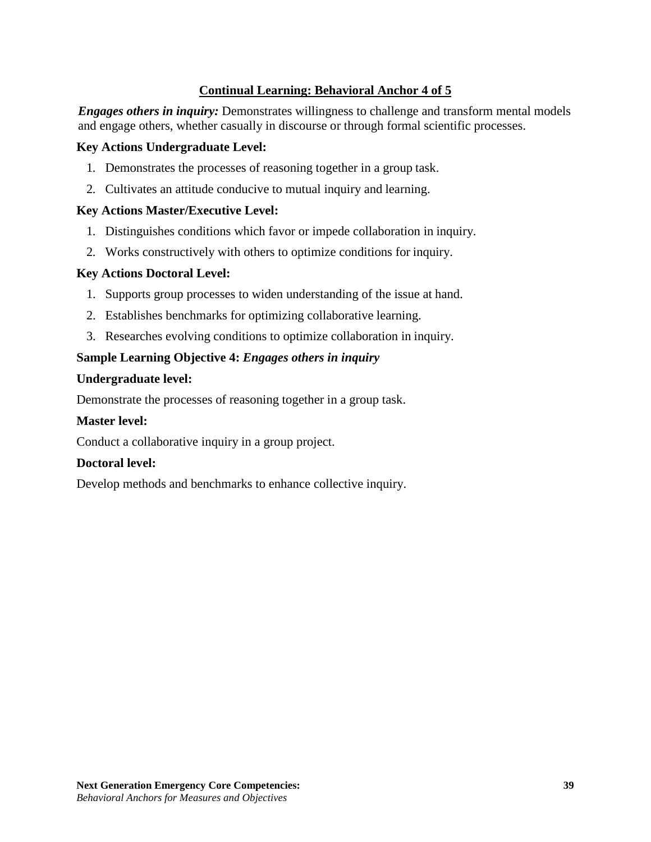## **Continual Learning: Behavioral Anchor 4 of 5**

*Engages others in inquiry:* Demonstrates willingness to challenge and transform mental models and engage others, whether casually in discourse or through formal scientific processes.

#### **Key Actions Undergraduate Level:**

- 1. Demonstrates the processes of reasoning together in a group task.
- 2. Cultivates an attitude conducive to mutual inquiry and learning.

### **Key Actions Master/Executive Level:**

- 1. Distinguishes conditions which favor or impede collaboration in inquiry.
- 2. Works constructively with others to optimize conditions for inquiry.

### **Key Actions Doctoral Level:**

- 1. Supports group processes to widen understanding of the issue at hand.
- 2. Establishes benchmarks for optimizing collaborative learning.
- 3. Researches evolving conditions to optimize collaboration in inquiry.

### **Sample Learning Objective 4:** *Engages others in inquiry*

#### **Undergraduate level:**

Demonstrate the processes of reasoning together in a group task.

### **Master level:**

Conduct a collaborative inquiry in a group project.

#### **Doctoral level:**

Develop methods and benchmarks to enhance collective inquiry.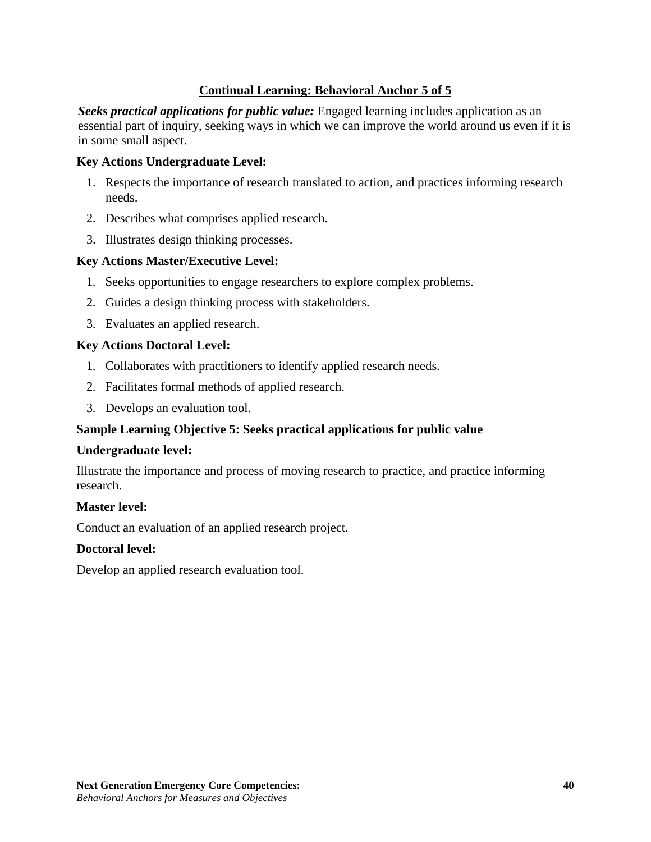## **Continual Learning: Behavioral Anchor 5 of 5**

*Seeks practical applications for public value:* Engaged learning includes application as an essential part of inquiry, seeking ways in which we can improve the world around us even if it is in some small aspect.

### **Key Actions Undergraduate Level:**

- 1. Respects the importance of research translated to action, and practices informing research needs.
- 2. Describes what comprises applied research.
- 3. Illustrates design thinking processes.

#### **Key Actions Master/Executive Level:**

- 1. Seeks opportunities to engage researchers to explore complex problems.
- 2. Guides a design thinking process with stakeholders.
- 3. Evaluates an applied research.

### **Key Actions Doctoral Level:**

- 1. Collaborates with practitioners to identify applied research needs.
- 2. Facilitates formal methods of applied research.
- 3. Develops an evaluation tool.

## **Sample Learning Objective 5: Seeks practical applications for public value**

#### **Undergraduate level:**

Illustrate the importance and process of moving research to practice, and practice informing research.

#### **Master level:**

Conduct an evaluation of an applied research project.

#### **Doctoral level:**

Develop an applied research evaluation tool.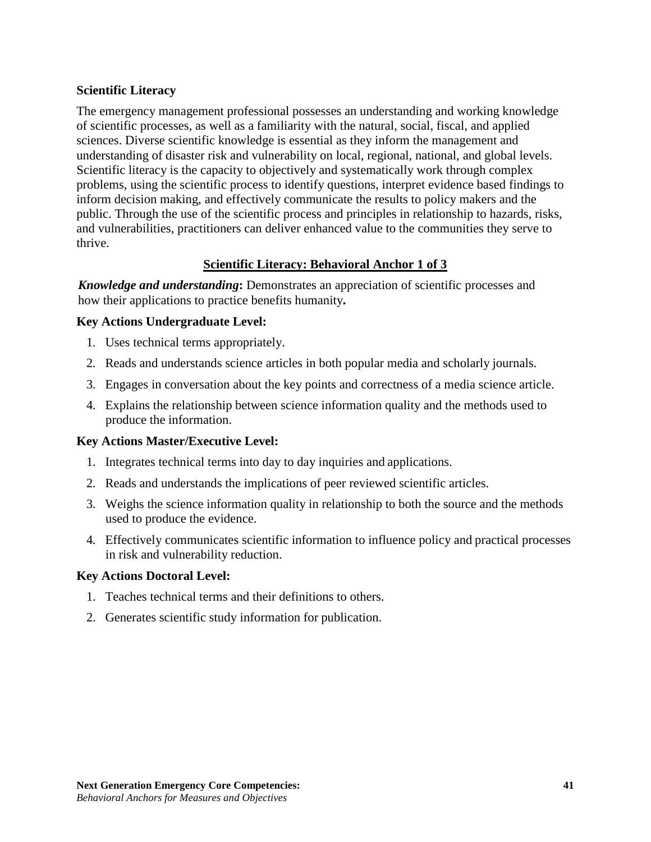## **Scientific Literacy**

The emergency management professional possesses an understanding and working knowledge of scientific processes, as well as a familiarity with the natural, social, fiscal, and applied sciences. Diverse scientific knowledge is essential as they inform the management and understanding of disaster risk and vulnerability on local, regional, national, and global levels. Scientific literacy is the capacity to objectively and systematically work through complex problems, using the scientific process to identify questions, interpret evidence based findings to inform decision making, and effectively communicate the results to policy makers and the public. Through the use of the scientific process and principles in relationship to hazards, risks, and vulnerabilities, practitioners can deliver enhanced value to the communities they serve to thrive.

## **Scientific Literacy: Behavioral Anchor 1 of 3**

*Knowledge and understanding***:** Demonstrates an appreciation of scientific processes and how their applications to practice benefits humanity**.**

## **Key Actions Undergraduate Level:**

- 1. Uses technical terms appropriately.
- 2. Reads and understands science articles in both popular media and scholarly journals.
- 3. Engages in conversation about the key points and correctness of a media science article.
- 4. Explains the relationship between science information quality and the methods used to produce the information.

## **Key Actions Master/Executive Level:**

- 1. Integrates technical terms into day to day inquiries and applications.
- 2. Reads and understands the implications of peer reviewed scientific articles.
- 3. Weighs the science information quality in relationship to both the source and the methods used to produce the evidence.
- 4. Effectively communicates scientific information to influence policy and practical processes in risk and vulnerability reduction.

## **Key Actions Doctoral Level:**

- 1. Teaches technical terms and their definitions to others.
- 2. Generates scientific study information for publication.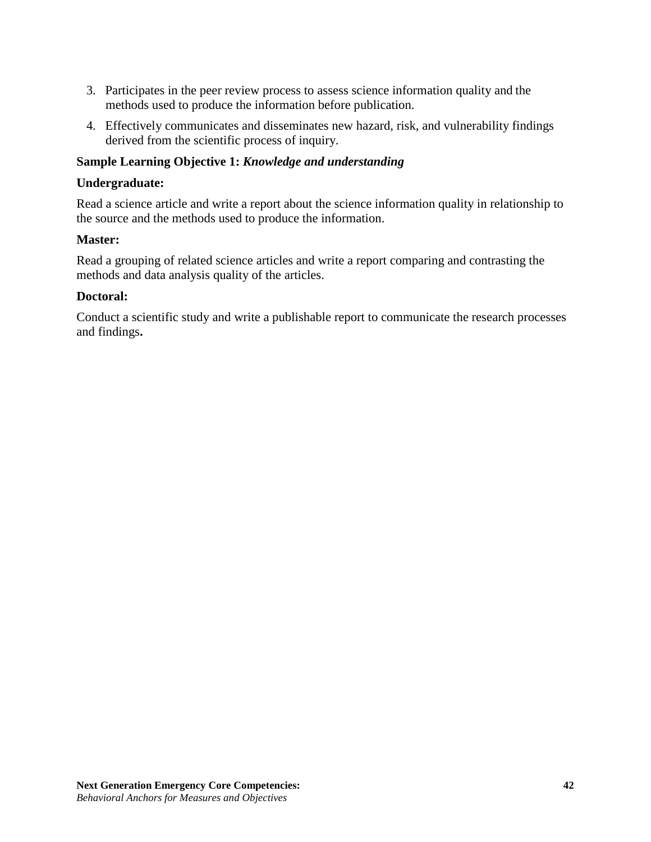- 3. Participates in the peer review process to assess science information quality and the methods used to produce the information before publication.
- 4. Effectively communicates and disseminates new hazard, risk, and vulnerability findings derived from the scientific process of inquiry.

## **Sample Learning Objective 1:** *Knowledge and understanding*

#### **Undergraduate:**

Read a science article and write a report about the science information quality in relationship to the source and the methods used to produce the information.

#### **Master:**

Read a grouping of related science articles and write a report comparing and contrasting the methods and data analysis quality of the articles.

#### **Doctoral:**

Conduct a scientific study and write a publishable report to communicate the research processes and findings**.**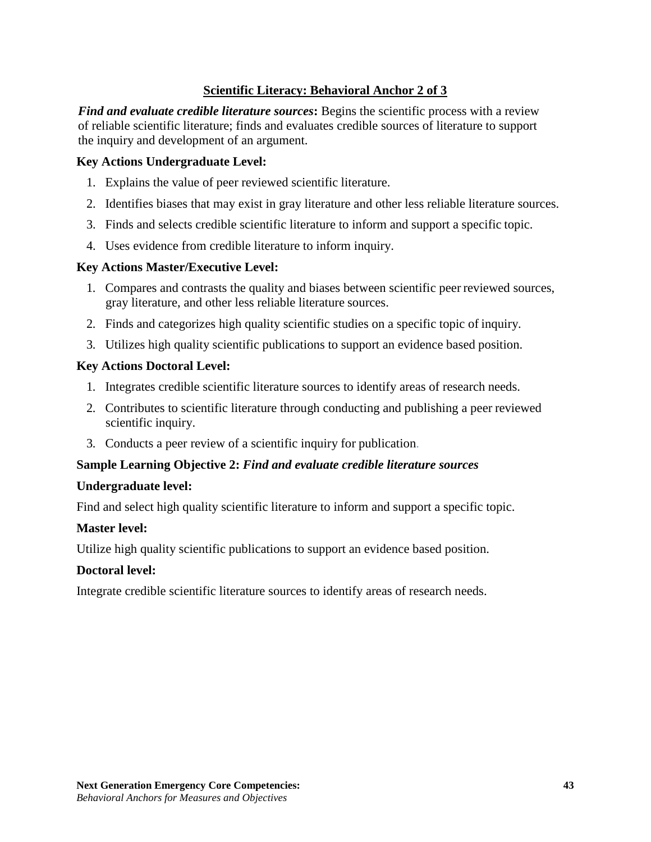## **Scientific Literacy: Behavioral Anchor 2 of 3**

*Find and evaluate credible literature sources***:** Begins the scientific process with a review of reliable scientific literature; finds and evaluates credible sources of literature to support the inquiry and development of an argument.

### **Key Actions Undergraduate Level:**

- 1. Explains the value of peer reviewed scientific literature.
- 2. Identifies biases that may exist in gray literature and other less reliable literature sources.
- 3. Finds and selects credible scientific literature to inform and support a specific topic.
- 4. Uses evidence from credible literature to inform inquiry.

#### **Key Actions Master/Executive Level:**

- 1. Compares and contrasts the quality and biases between scientific peer reviewed sources, gray literature, and other less reliable literature sources.
- 2. Finds and categorizes high quality scientific studies on a specific topic of inquiry.
- 3. Utilizes high quality scientific publications to support an evidence based position.

### **Key Actions Doctoral Level:**

- 1. Integrates credible scientific literature sources to identify areas of research needs.
- 2. Contributes to scientific literature through conducting and publishing a peer reviewed scientific inquiry.
- 3. Conducts a peer review of a scientific inquiry for publication.

#### **Sample Learning Objective 2:** *Find and evaluate credible literature sources*

#### **Undergraduate level:**

Find and select high quality scientific literature to inform and support a specific topic.

#### **Master level:**

Utilize high quality scientific publications to support an evidence based position.

#### **Doctoral level:**

Integrate credible scientific literature sources to identify areas of research needs.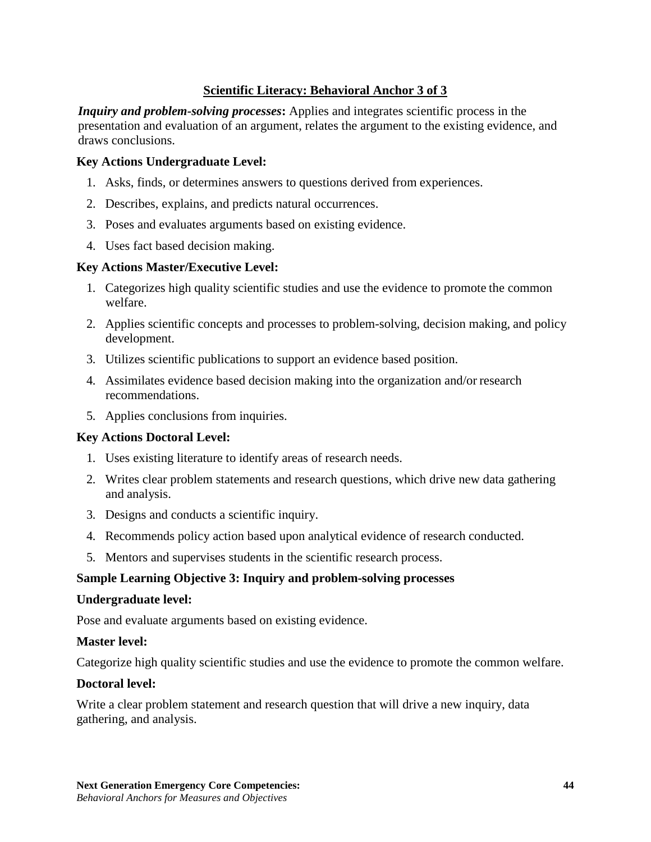## **Scientific Literacy: Behavioral Anchor 3 of 3**

*Inquiry and problem-solving processes:* Applies and integrates scientific process in the presentation and evaluation of an argument, relates the argument to the existing evidence, and draws conclusions.

#### **Key Actions Undergraduate Level:**

- 1. Asks, finds, or determines answers to questions derived from experiences.
- 2. Describes, explains, and predicts natural occurrences.
- 3. Poses and evaluates arguments based on existing evidence.
- 4. Uses fact based decision making.

### **Key Actions Master/Executive Level:**

- 1. Categorizes high quality scientific studies and use the evidence to promote the common welfare.
- 2. Applies scientific concepts and processes to problem-solving, decision making, and policy development.
- 3. Utilizes scientific publications to support an evidence based position.
- 4. Assimilates evidence based decision making into the organization and/or research recommendations.
- 5. Applies conclusions from inquiries.

#### **Key Actions Doctoral Level:**

- 1. Uses existing literature to identify areas of research needs.
- 2. Writes clear problem statements and research questions, which drive new data gathering and analysis.
- 3. Designs and conducts a scientific inquiry.
- 4. Recommends policy action based upon analytical evidence of research conducted.
- 5. Mentors and supervises students in the scientific research process.

## **Sample Learning Objective 3: Inquiry and problem-solving processes**

#### **Undergraduate level:**

Pose and evaluate arguments based on existing evidence.

#### **Master level:**

Categorize high quality scientific studies and use the evidence to promote the common welfare.

#### **Doctoral level:**

Write a clear problem statement and research question that will drive a new inquiry, data gathering, and analysis.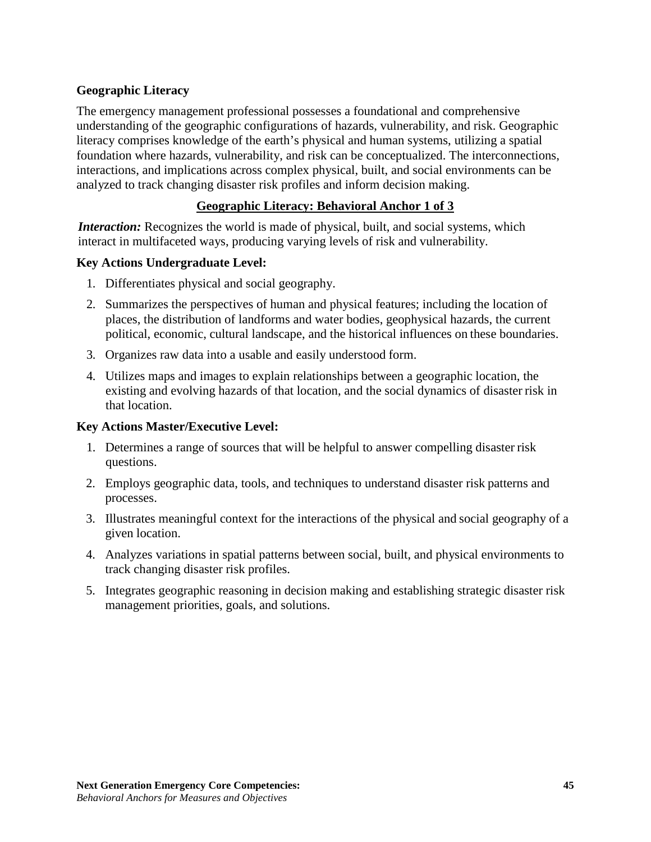## **Geographic Literacy**

The emergency management professional possesses a foundational and comprehensive understanding of the geographic configurations of hazards, vulnerability, and risk. Geographic literacy comprises knowledge of the earth's physical and human systems, utilizing a spatial foundation where hazards, vulnerability, and risk can be conceptualized. The interconnections, interactions, and implications across complex physical, built, and social environments can be analyzed to track changing disaster risk profiles and inform decision making.

## **Geographic Literacy: Behavioral Anchor 1 of 3**

*Interaction:* Recognizes the world is made of physical, built, and social systems, which interact in multifaceted ways, producing varying levels of risk and vulnerability.

## **Key Actions Undergraduate Level:**

- 1. Differentiates physical and social geography.
- 2. Summarizes the perspectives of human and physical features; including the location of places, the distribution of landforms and water bodies, geophysical hazards, the current political, economic, cultural landscape, and the historical influences on these boundaries.
- 3. Organizes raw data into a usable and easily understood form.
- 4. Utilizes maps and images to explain relationships between a geographic location, the existing and evolving hazards of that location, and the social dynamics of disaster risk in that location.

## **Key Actions Master/Executive Level:**

- 1. Determines a range of sources that will be helpful to answer compelling disaster risk questions.
- 2. Employs geographic data, tools, and techniques to understand disaster risk patterns and processes.
- 3. Illustrates meaningful context for the interactions of the physical and social geography of a given location.
- 4. Analyzes variations in spatial patterns between social, built, and physical environments to track changing disaster risk profiles.
- 5. Integrates geographic reasoning in decision making and establishing strategic disaster risk management priorities, goals, and solutions.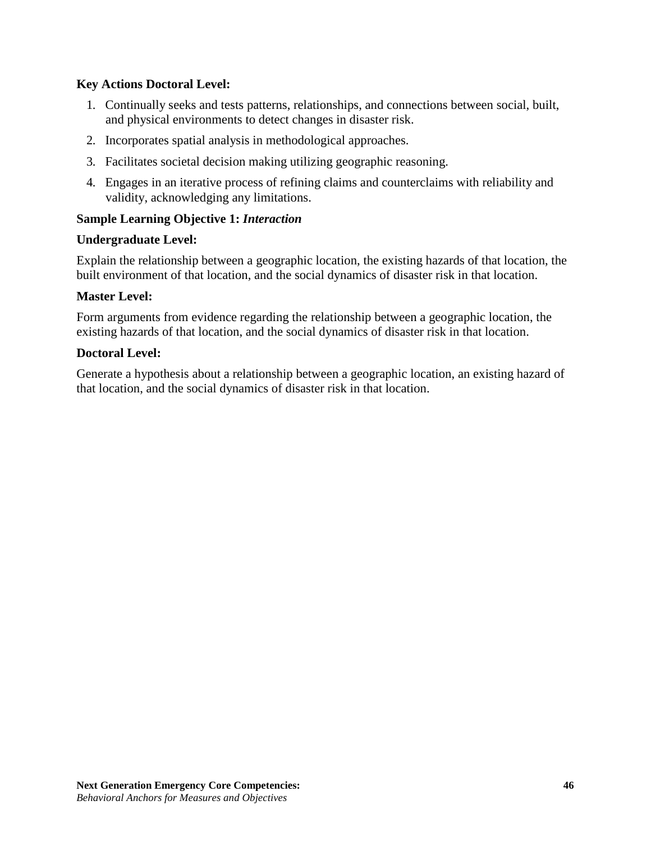## **Key Actions Doctoral Level:**

- 1. Continually seeks and tests patterns, relationships, and connections between social, built, and physical environments to detect changes in disaster risk.
- 2. Incorporates spatial analysis in methodological approaches.
- 3. Facilitates societal decision making utilizing geographic reasoning.
- 4. Engages in an iterative process of refining claims and counterclaims with reliability and validity, acknowledging any limitations.

## **Sample Learning Objective 1:** *Interaction*

### **Undergraduate Level:**

Explain the relationship between a geographic location, the existing hazards of that location, the built environment of that location, and the social dynamics of disaster risk in that location.

### **Master Level:**

Form arguments from evidence regarding the relationship between a geographic location, the existing hazards of that location, and the social dynamics of disaster risk in that location.

### **Doctoral Level:**

Generate a hypothesis about a relationship between a geographic location, an existing hazard of that location, and the social dynamics of disaster risk in that location.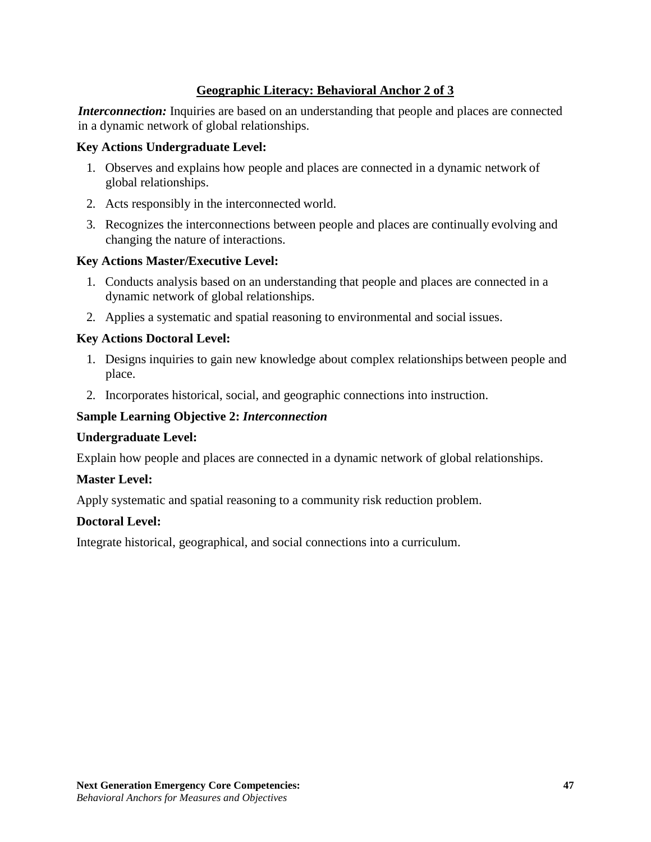## **Geographic Literacy: Behavioral Anchor 2 of 3**

*Interconnection:* Inquiries are based on an understanding that people and places are connected in a dynamic network of global relationships.

#### **Key Actions Undergraduate Level:**

- 1. Observes and explains how people and places are connected in a dynamic network of global relationships.
- 2. Acts responsibly in the interconnected world.
- 3. Recognizes the interconnections between people and places are continually evolving and changing the nature of interactions.

### **Key Actions Master/Executive Level:**

- 1. Conducts analysis based on an understanding that people and places are connected in a dynamic network of global relationships.
- 2. Applies a systematic and spatial reasoning to environmental and social issues.

## **Key Actions Doctoral Level:**

- 1. Designs inquiries to gain new knowledge about complex relationships between people and place.
- 2. Incorporates historical, social, and geographic connections into instruction.

## **Sample Learning Objective 2:** *Interconnection*

#### **Undergraduate Level:**

Explain how people and places are connected in a dynamic network of global relationships.

#### **Master Level:**

Apply systematic and spatial reasoning to a community risk reduction problem.

#### **Doctoral Level:**

Integrate historical, geographical, and social connections into a curriculum.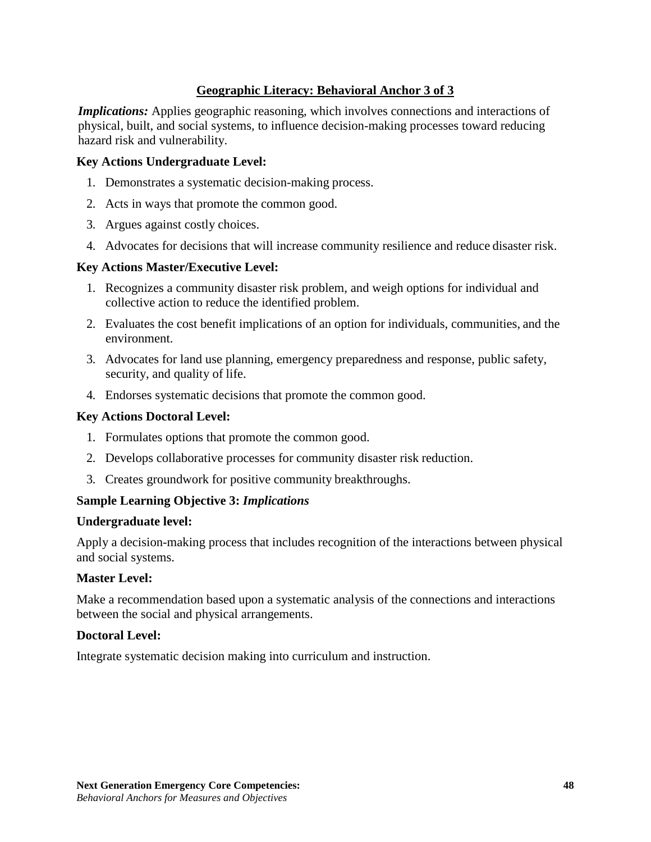## **Geographic Literacy: Behavioral Anchor 3 of 3**

*Implications:* Applies geographic reasoning, which involves connections and interactions of physical, built, and social systems, to influence decision-making processes toward reducing hazard risk and vulnerability.

#### **Key Actions Undergraduate Level:**

- 1. Demonstrates a systematic decision-making process.
- 2. Acts in ways that promote the common good.
- 3. Argues against costly choices.
- 4. Advocates for decisions that will increase community resilience and reduce disaster risk.

#### **Key Actions Master/Executive Level:**

- 1. Recognizes a community disaster risk problem, and weigh options for individual and collective action to reduce the identified problem.
- 2. Evaluates the cost benefit implications of an option for individuals, communities, and the environment.
- 3. Advocates for land use planning, emergency preparedness and response, public safety, security, and quality of life.
- 4. Endorses systematic decisions that promote the common good.

### **Key Actions Doctoral Level:**

- 1. Formulates options that promote the common good.
- 2. Develops collaborative processes for community disaster risk reduction.
- 3. Creates groundwork for positive community breakthroughs.

## **Sample Learning Objective 3:** *Implications*

#### **Undergraduate level:**

Apply a decision-making process that includes recognition of the interactions between physical and social systems.

#### **Master Level:**

Make a recommendation based upon a systematic analysis of the connections and interactions between the social and physical arrangements.

#### **Doctoral Level:**

Integrate systematic decision making into curriculum and instruction.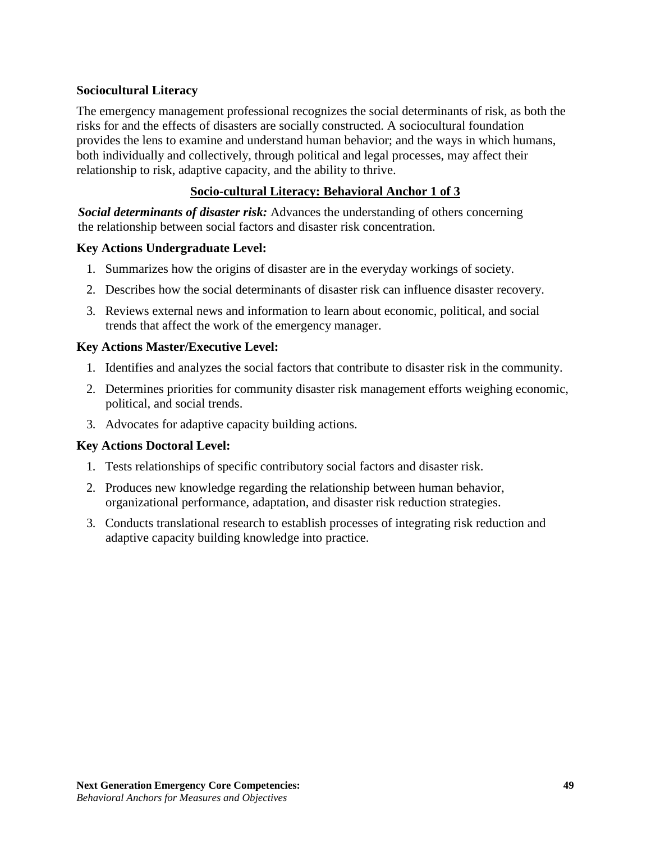## **Sociocultural Literacy**

The emergency management professional recognizes the social determinants of risk, as both the risks for and the effects of disasters are socially constructed. A sociocultural foundation provides the lens to examine and understand human behavior; and the ways in which humans, both individually and collectively, through political and legal processes, may affect their relationship to risk, adaptive capacity, and the ability to thrive.

## **Socio-cultural Literacy: Behavioral Anchor 1 of 3**

*Social determinants of disaster risk:* Advances the understanding of others concerning the relationship between social factors and disaster risk concentration.

## **Key Actions Undergraduate Level:**

- 1. Summarizes how the origins of disaster are in the everyday workings of society.
- 2. Describes how the social determinants of disaster risk can influence disaster recovery.
- 3. Reviews external news and information to learn about economic, political, and social trends that affect the work of the emergency manager.

### **Key Actions Master/Executive Level:**

- 1. Identifies and analyzes the social factors that contribute to disaster risk in the community.
- 2. Determines priorities for community disaster risk management efforts weighing economic, political, and social trends.
- 3. Advocates for adaptive capacity building actions.

## **Key Actions Doctoral Level:**

- 1. Tests relationships of specific contributory social factors and disaster risk.
- 2. Produces new knowledge regarding the relationship between human behavior, organizational performance, adaptation, and disaster risk reduction strategies.
- 3. Conducts translational research to establish processes of integrating risk reduction and adaptive capacity building knowledge into practice.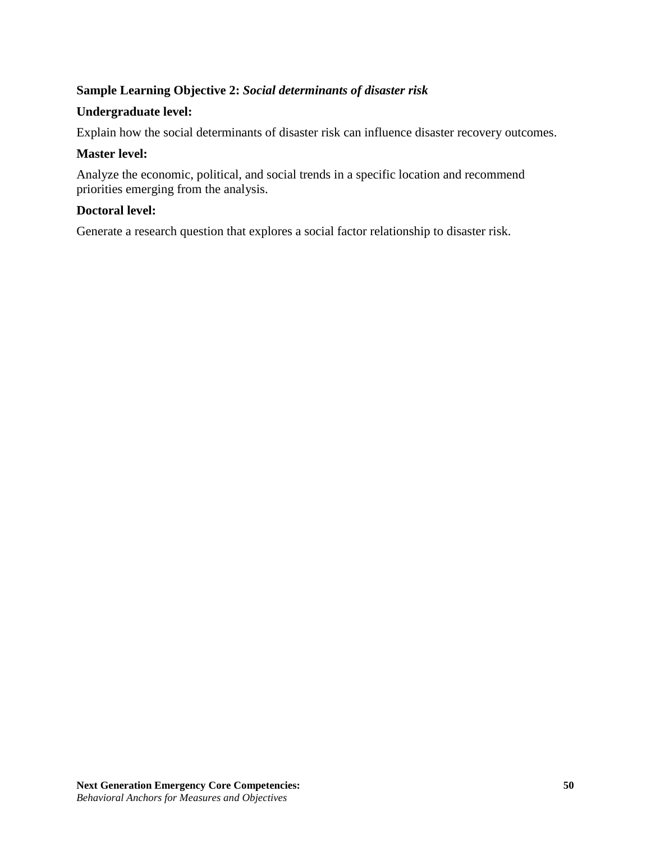## **Sample Learning Objective 2:** *Social determinants of disaster risk*

### **Undergraduate level:**

Explain how the social determinants of disaster risk can influence disaster recovery outcomes.

### **Master level:**

Analyze the economic, political, and social trends in a specific location and recommend priorities emerging from the analysis.

## **Doctoral level:**

Generate a research question that explores a social factor relationship to disaster risk.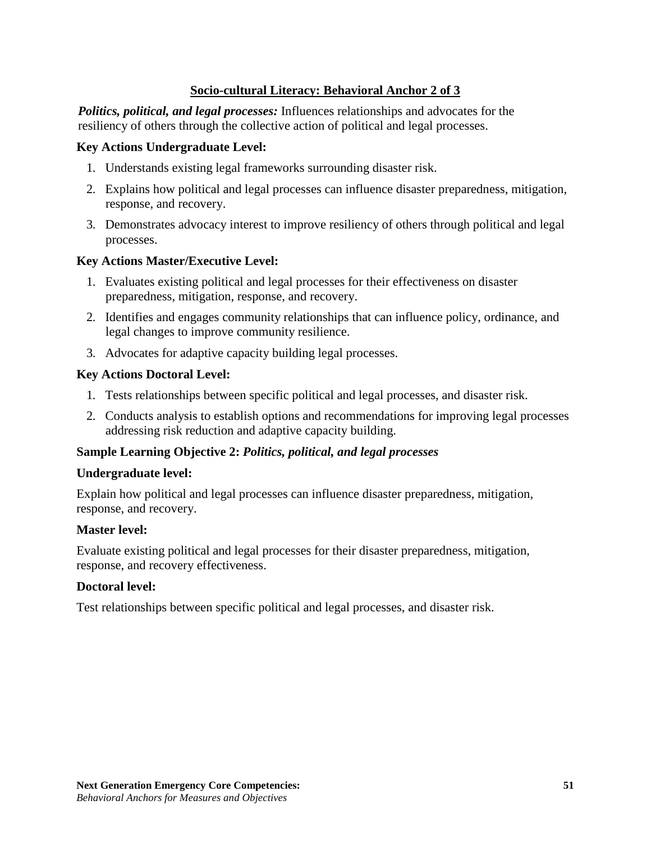## **Socio-cultural Literacy: Behavioral Anchor 2 of 3**

*Politics, political, and legal processes:* Influences relationships and advocates for the resiliency of others through the collective action of political and legal processes.

#### **Key Actions Undergraduate Level:**

- 1. Understands existing legal frameworks surrounding disaster risk.
- 2. Explains how political and legal processes can influence disaster preparedness, mitigation, response, and recovery.
- 3. Demonstrates advocacy interest to improve resiliency of others through political and legal processes.

### **Key Actions Master/Executive Level:**

- 1. Evaluates existing political and legal processes for their effectiveness on disaster preparedness, mitigation, response, and recovery.
- 2. Identifies and engages community relationships that can influence policy, ordinance, and legal changes to improve community resilience.
- 3. Advocates for adaptive capacity building legal processes.

### **Key Actions Doctoral Level:**

- 1. Tests relationships between specific political and legal processes, and disaster risk.
- 2. Conducts analysis to establish options and recommendations for improving legal processes addressing risk reduction and adaptive capacity building.

## **Sample Learning Objective 2:** *Politics, political, and legal processes*

#### **Undergraduate level:**

Explain how political and legal processes can influence disaster preparedness, mitigation, response, and recovery.

#### **Master level:**

Evaluate existing political and legal processes for their disaster preparedness, mitigation, response, and recovery effectiveness.

## **Doctoral level:**

Test relationships between specific political and legal processes, and disaster risk.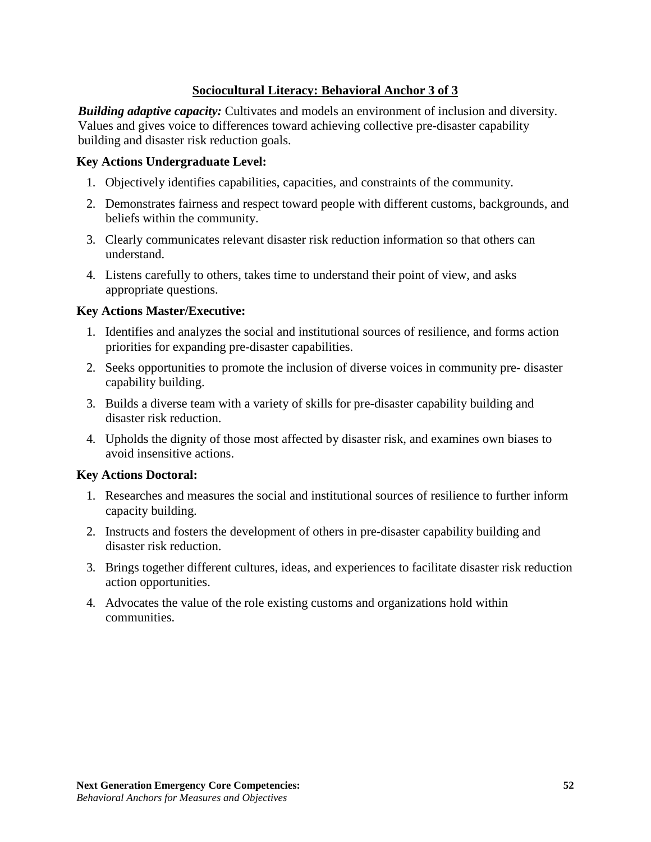## **Sociocultural Literacy: Behavioral Anchor 3 of 3**

*Building adaptive capacity:* Cultivates and models an environment of inclusion and diversity. Values and gives voice to differences toward achieving collective pre-disaster capability building and disaster risk reduction goals.

### **Key Actions Undergraduate Level:**

- 1. Objectively identifies capabilities, capacities, and constraints of the community.
- 2. Demonstrates fairness and respect toward people with different customs, backgrounds, and beliefs within the community.
- 3. Clearly communicates relevant disaster risk reduction information so that others can understand.
- 4. Listens carefully to others, takes time to understand their point of view, and asks appropriate questions.

### **Key Actions Master/Executive:**

- 1. Identifies and analyzes the social and institutional sources of resilience, and forms action priorities for expanding pre-disaster capabilities.
- 2. Seeks opportunities to promote the inclusion of diverse voices in community pre- disaster capability building.
- 3. Builds a diverse team with a variety of skills for pre-disaster capability building and disaster risk reduction.
- 4. Upholds the dignity of those most affected by disaster risk, and examines own biases to avoid insensitive actions.

#### **Key Actions Doctoral:**

- 1. Researches and measures the social and institutional sources of resilience to further inform capacity building.
- 2. Instructs and fosters the development of others in pre-disaster capability building and disaster risk reduction.
- 3. Brings together different cultures, ideas, and experiences to facilitate disaster risk reduction action opportunities.
- 4. Advocates the value of the role existing customs and organizations hold within communities.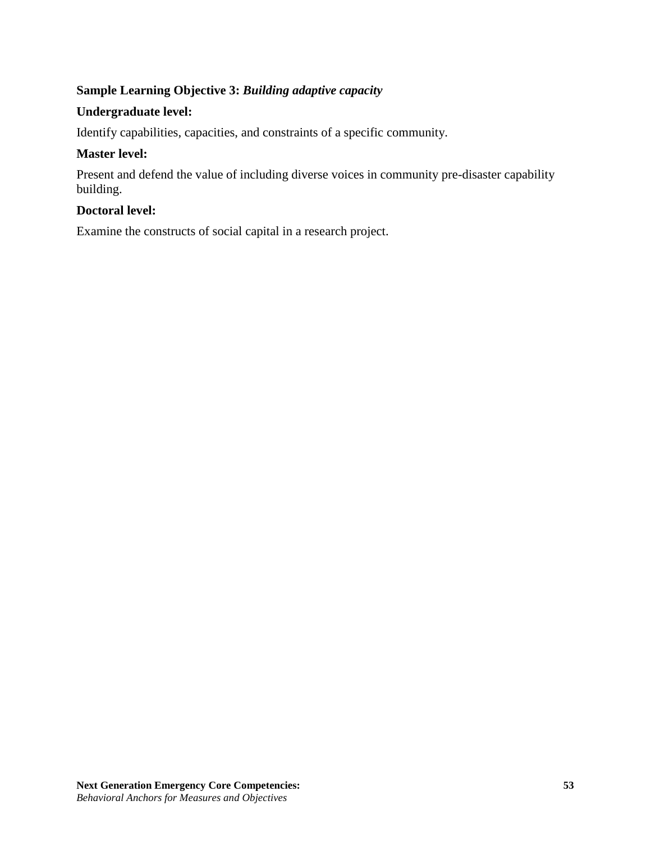# **Sample Learning Objective 3:** *Building adaptive capacity*

## **Undergraduate level:**

Identify capabilities, capacities, and constraints of a specific community.

## **Master level:**

Present and defend the value of including diverse voices in community pre-disaster capability building.

#### **Doctoral level:**

Examine the constructs of social capital in a research project.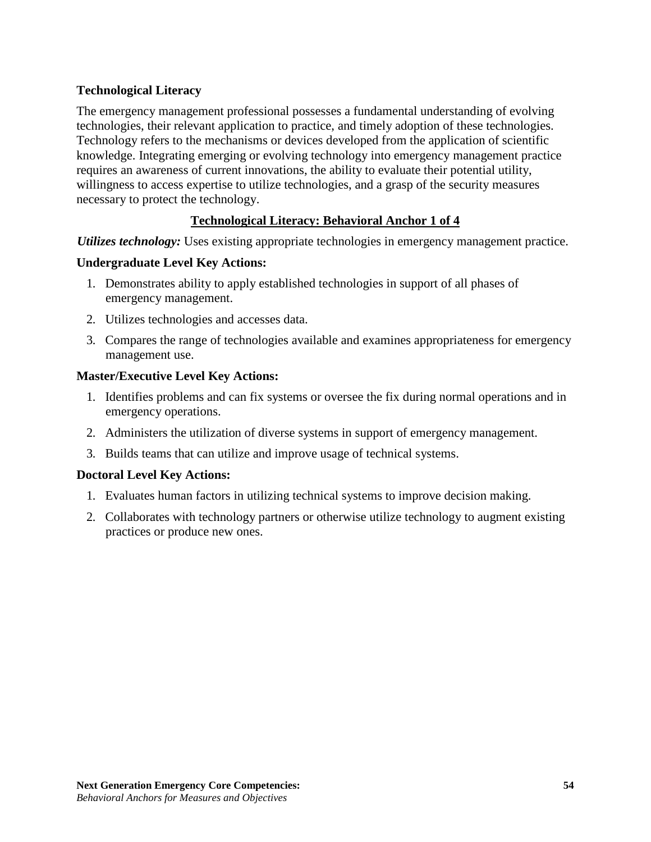## **Technological Literacy**

The emergency management professional possesses a fundamental understanding of evolving technologies, their relevant application to practice, and timely adoption of these technologies. Technology refers to the mechanisms or devices developed from the application of scientific knowledge. Integrating emerging or evolving technology into emergency management practice requires an awareness of current innovations, the ability to evaluate their potential utility, willingness to access expertise to utilize technologies, and a grasp of the security measures necessary to protect the technology.

## **Technological Literacy: Behavioral Anchor 1 of 4**

*Utilizes technology:* Uses existing appropriate technologies in emergency management practice.

### **Undergraduate Level Key Actions:**

- 1. Demonstrates ability to apply established technologies in support of all phases of emergency management.
- 2. Utilizes technologies and accesses data.
- 3. Compares the range of technologies available and examines appropriateness for emergency management use.

### **Master/Executive Level Key Actions:**

- 1. Identifies problems and can fix systems or oversee the fix during normal operations and in emergency operations.
- 2. Administers the utilization of diverse systems in support of emergency management.
- 3. Builds teams that can utilize and improve usage of technical systems.

#### **Doctoral Level Key Actions:**

- 1. Evaluates human factors in utilizing technical systems to improve decision making.
- 2. Collaborates with technology partners or otherwise utilize technology to augment existing practices or produce new ones.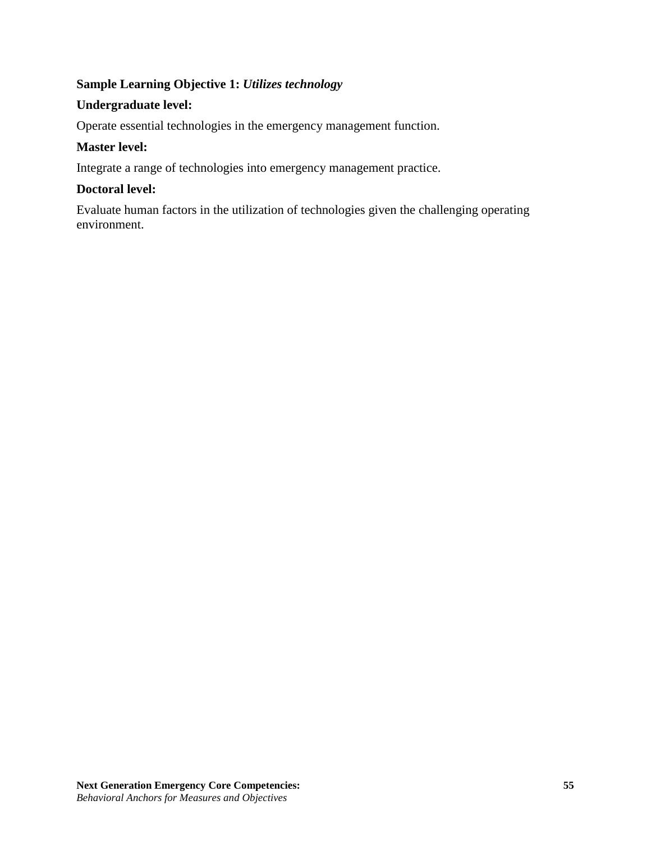## **Sample Learning Objective 1:** *Utilizes technology*

## **Undergraduate level:**

Operate essential technologies in the emergency management function.

## **Master level:**

Integrate a range of technologies into emergency management practice.

## **Doctoral level:**

Evaluate human factors in the utilization of technologies given the challenging operating environment.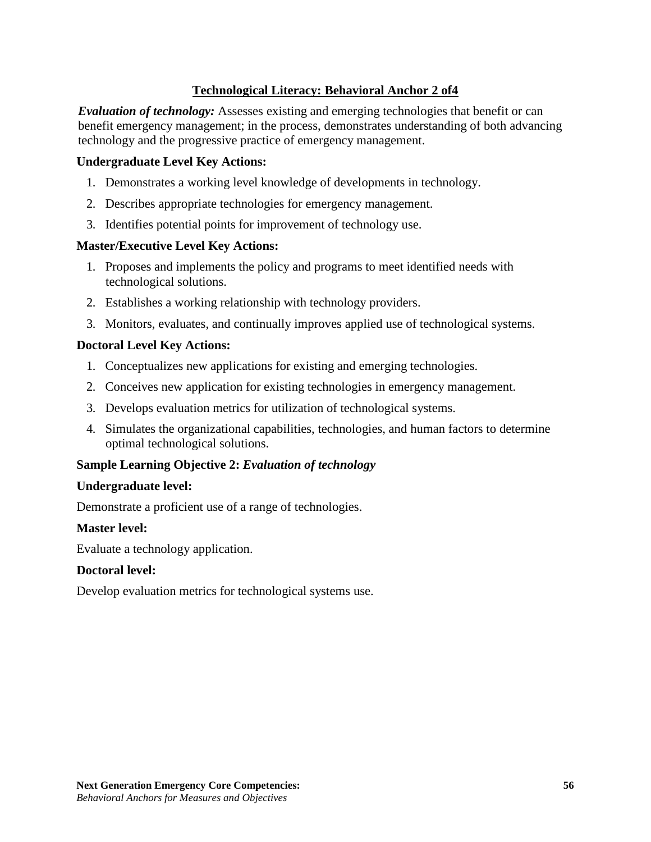## **Technological Literacy: Behavioral Anchor 2 of4**

*Evaluation of technology:* Assesses existing and emerging technologies that benefit or can benefit emergency management; in the process, demonstrates understanding of both advancing technology and the progressive practice of emergency management.

#### **Undergraduate Level Key Actions:**

- 1. Demonstrates a working level knowledge of developments in technology.
- 2. Describes appropriate technologies for emergency management.
- 3. Identifies potential points for improvement of technology use.

#### **Master/Executive Level Key Actions:**

- 1. Proposes and implements the policy and programs to meet identified needs with technological solutions.
- 2. Establishes a working relationship with technology providers.
- 3. Monitors, evaluates, and continually improves applied use of technological systems.

### **Doctoral Level Key Actions:**

- 1. Conceptualizes new applications for existing and emerging technologies.
- 2. Conceives new application for existing technologies in emergency management.
- 3. Develops evaluation metrics for utilization of technological systems.
- 4. Simulates the organizational capabilities, technologies, and human factors to determine optimal technological solutions.

## **Sample Learning Objective 2:** *Evaluation of technology*

#### **Undergraduate level:**

Demonstrate a proficient use of a range of technologies.

#### **Master level:**

Evaluate a technology application.

#### **Doctoral level:**

Develop evaluation metrics for technological systems use.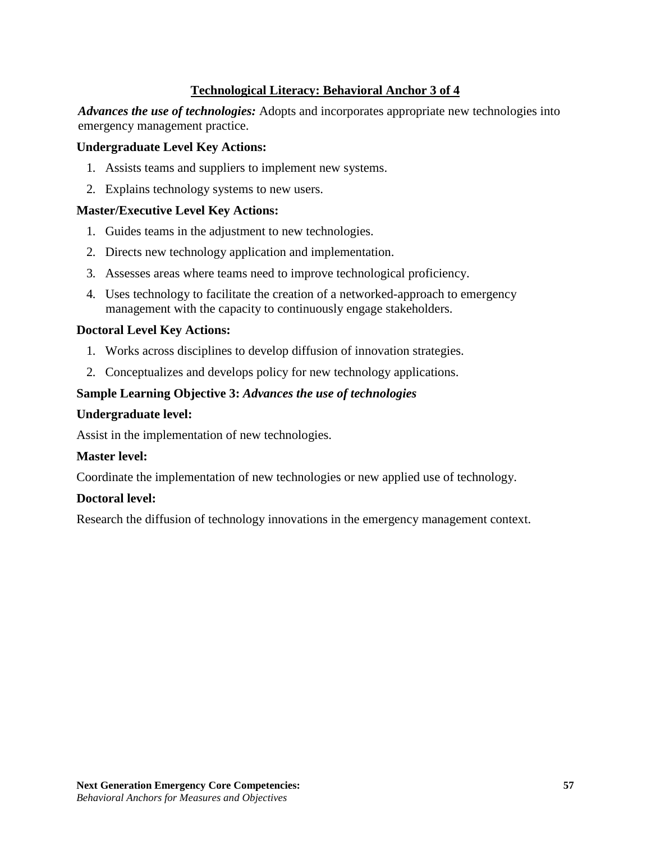## **Technological Literacy: Behavioral Anchor 3 of 4**

*Advances the use of technologies:* Adopts and incorporates appropriate new technologies into emergency management practice.

#### **Undergraduate Level Key Actions:**

- 1. Assists teams and suppliers to implement new systems.
- 2. Explains technology systems to new users.

### **Master/Executive Level Key Actions:**

- 1. Guides teams in the adjustment to new technologies.
- 2. Directs new technology application and implementation.
- 3. Assesses areas where teams need to improve technological proficiency.
- 4. Uses technology to facilitate the creation of a networked-approach to emergency management with the capacity to continuously engage stakeholders.

### **Doctoral Level Key Actions:**

- 1. Works across disciplines to develop diffusion of innovation strategies.
- 2. Conceptualizes and develops policy for new technology applications.

## **Sample Learning Objective 3:** *Advances the use of technologies*

#### **Undergraduate level:**

Assist in the implementation of new technologies.

#### **Master level:**

Coordinate the implementation of new technologies or new applied use of technology.

#### **Doctoral level:**

Research the diffusion of technology innovations in the emergency management context.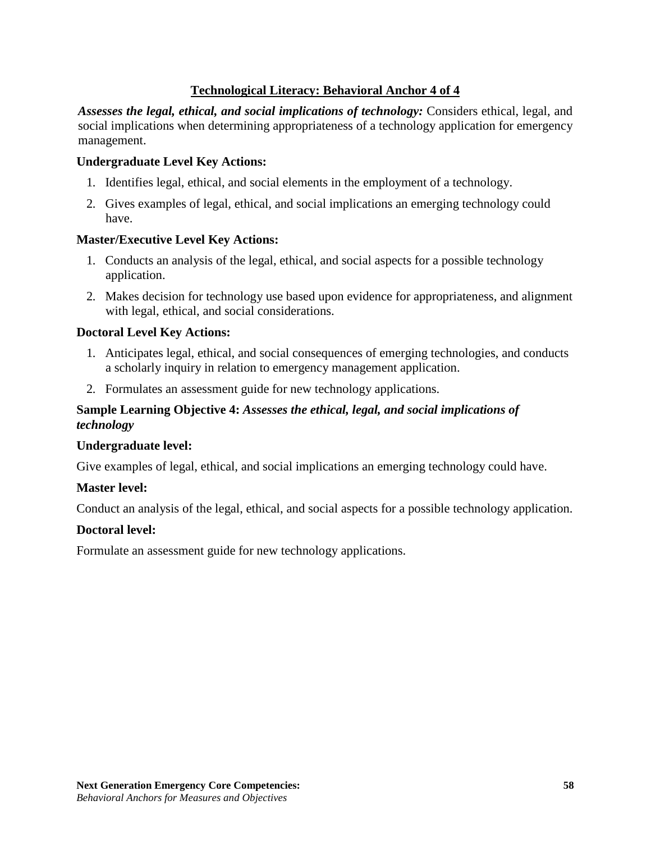## **Technological Literacy: Behavioral Anchor 4 of 4**

*Assesses the legal, ethical, and social implications of technology:* Considers ethical, legal, and social implications when determining appropriateness of a technology application for emergency management.

#### **Undergraduate Level Key Actions:**

- 1. Identifies legal, ethical, and social elements in the employment of a technology.
- 2. Gives examples of legal, ethical, and social implications an emerging technology could have.

#### **Master/Executive Level Key Actions:**

- 1. Conducts an analysis of the legal, ethical, and social aspects for a possible technology application.
- 2. Makes decision for technology use based upon evidence for appropriateness, and alignment with legal, ethical, and social considerations.

#### **Doctoral Level Key Actions:**

- 1. Anticipates legal, ethical, and social consequences of emerging technologies, and conducts a scholarly inquiry in relation to emergency management application.
- 2. Formulates an assessment guide for new technology applications.

## **Sample Learning Objective 4:** *Assesses the ethical, legal, and social implications of technology*

#### **Undergraduate level:**

Give examples of legal, ethical, and social implications an emerging technology could have.

#### **Master level:**

Conduct an analysis of the legal, ethical, and social aspects for a possible technology application.

#### **Doctoral level:**

Formulate an assessment guide for new technology applications.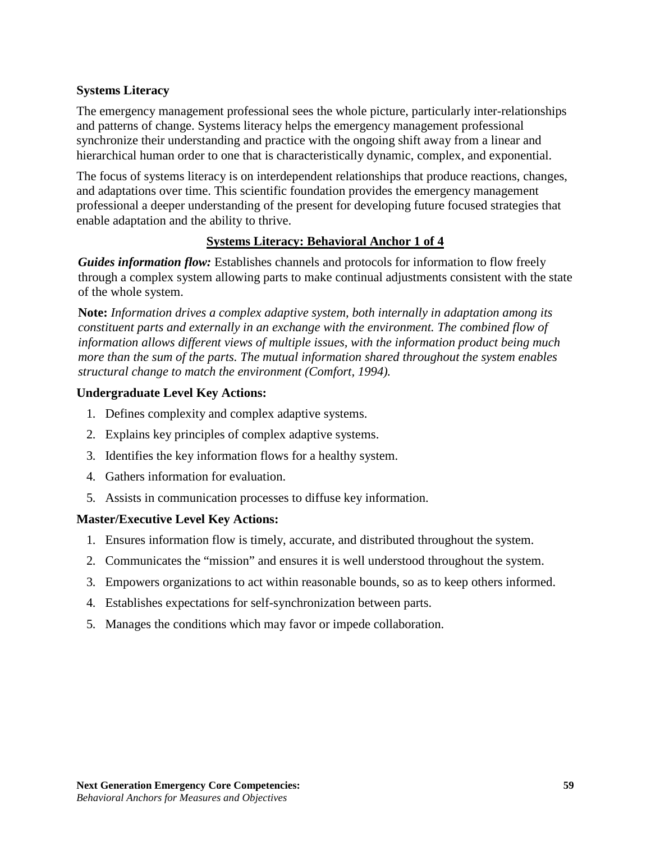## **Systems Literacy**

The emergency management professional sees the whole picture, particularly inter-relationships and patterns of change. Systems literacy helps the emergency management professional synchronize their understanding and practice with the ongoing shift away from a linear and hierarchical human order to one that is characteristically dynamic, complex, and exponential.

The focus of systems literacy is on interdependent relationships that produce reactions, changes, and adaptations over time. This scientific foundation provides the emergency management professional a deeper understanding of the present for developing future focused strategies that enable adaptation and the ability to thrive.

## **Systems Literacy: Behavioral Anchor 1 of 4**

*Guides information flow:* Establishes channels and protocols for information to flow freely through a complex system allowing parts to make continual adjustments consistent with the state of the whole system.

**Note:** *Information drives a complex adaptive system, both internally in adaptation among its constituent parts and externally in an exchange with the environment. The combined flow of information allows different views of multiple issues, with the information product being much more than the sum of the parts. The mutual information shared throughout the system enables structural change to match the environment (Comfort, 1994).*

### **Undergraduate Level Key Actions:**

- 1. Defines complexity and complex adaptive systems.
- 2. Explains key principles of complex adaptive systems.
- 3. Identifies the key information flows for a healthy system.
- 4. Gathers information for evaluation.
- 5. Assists in communication processes to diffuse key information.

#### **Master/Executive Level Key Actions:**

- 1. Ensures information flow is timely, accurate, and distributed throughout the system.
- 2. Communicates the "mission" and ensures it is well understood throughout the system.
- 3. Empowers organizations to act within reasonable bounds, so as to keep others informed.
- 4. Establishes expectations for self-synchronization between parts.
- 5. Manages the conditions which may favor or impede collaboration.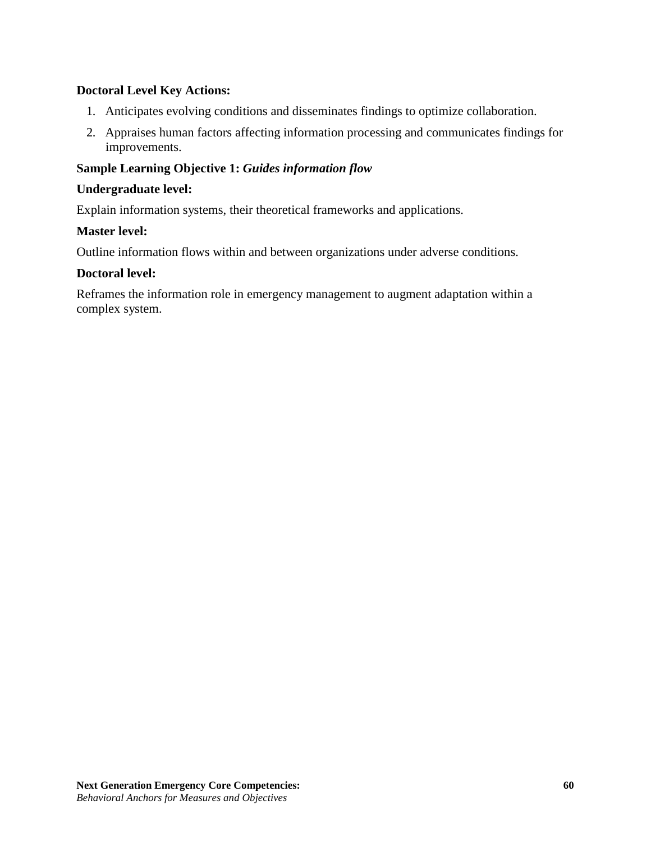## **Doctoral Level Key Actions:**

- 1. Anticipates evolving conditions and disseminates findings to optimize collaboration.
- 2. Appraises human factors affecting information processing and communicates findings for improvements.

## **Sample Learning Objective 1:** *Guides information flow*

#### **Undergraduate level:**

Explain information systems, their theoretical frameworks and applications.

### **Master level:**

Outline information flows within and between organizations under adverse conditions.

#### **Doctoral level:**

Reframes the information role in emergency management to augment adaptation within a complex system.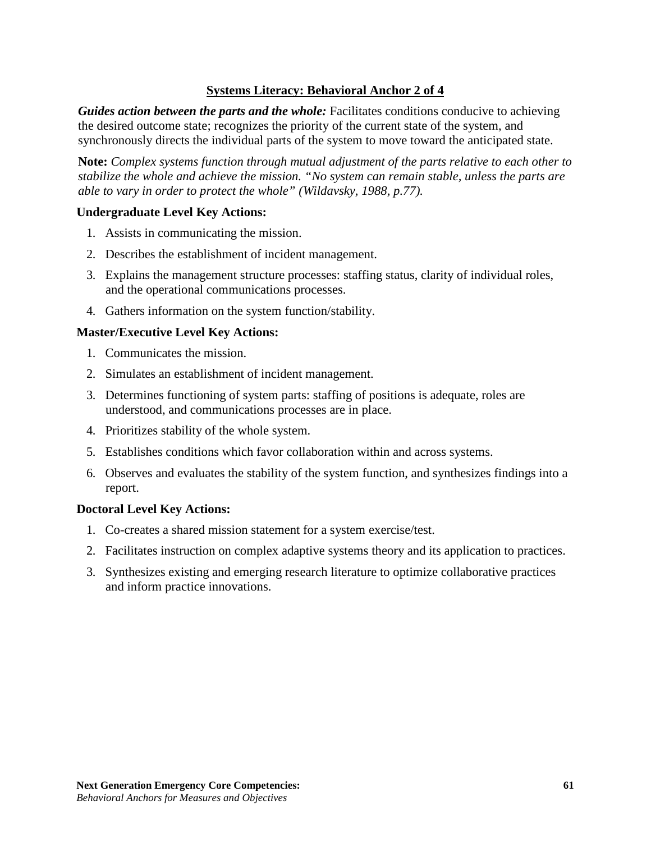## **Systems Literacy: Behavioral Anchor 2 of 4**

*Guides action between the parts and the whole:* Facilitates conditions conducive to achieving the desired outcome state; recognizes the priority of the current state of the system, and synchronously directs the individual parts of the system to move toward the anticipated state.

**Note:** *Complex systems function through mutual adjustment of the parts relative to each other to stabilize the whole and achieve the mission. "No system can remain stable, unless the parts are able to vary in order to protect the whole" (Wildavsky, 1988, p.77).*

### **Undergraduate Level Key Actions:**

- 1. Assists in communicating the mission.
- 2. Describes the establishment of incident management.
- 3. Explains the management structure processes: staffing status, clarity of individual roles, and the operational communications processes.
- 4. Gathers information on the system function/stability.

### **Master/Executive Level Key Actions:**

- 1. Communicates the mission.
- 2. Simulates an establishment of incident management.
- 3. Determines functioning of system parts: staffing of positions is adequate, roles are understood, and communications processes are in place.
- 4. Prioritizes stability of the whole system.
- 5. Establishes conditions which favor collaboration within and across systems.
- 6. Observes and evaluates the stability of the system function, and synthesizes findings into a report.

#### **Doctoral Level Key Actions:**

- 1. Co-creates a shared mission statement for a system exercise/test.
- 2. Facilitates instruction on complex adaptive systems theory and its application to practices.
- 3. Synthesizes existing and emerging research literature to optimize collaborative practices and inform practice innovations.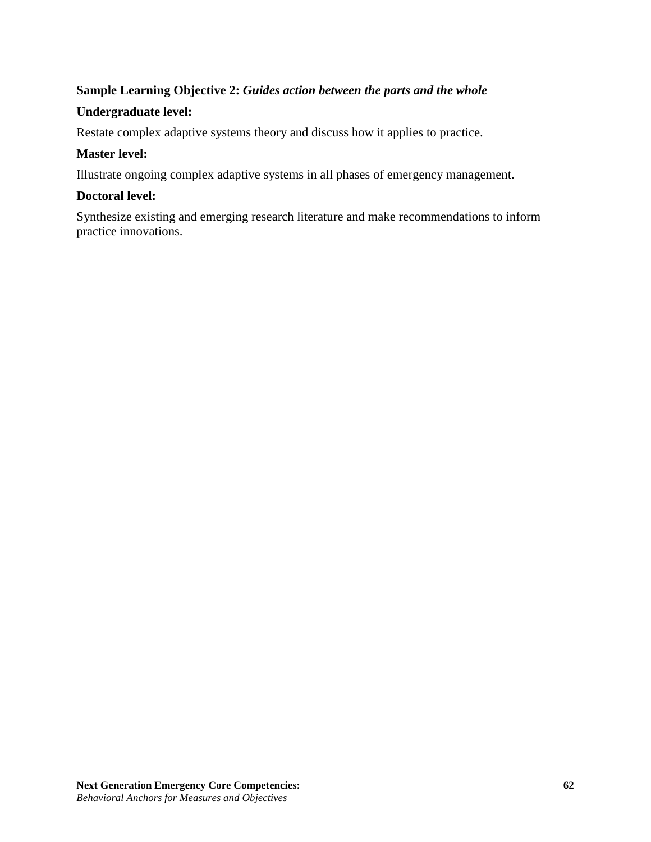## **Sample Learning Objective 2:** *Guides action between the parts and the whole*

## **Undergraduate level:**

Restate complex adaptive systems theory and discuss how it applies to practice.

## **Master level:**

Illustrate ongoing complex adaptive systems in all phases of emergency management.

## **Doctoral level:**

Synthesize existing and emerging research literature and make recommendations to inform practice innovations.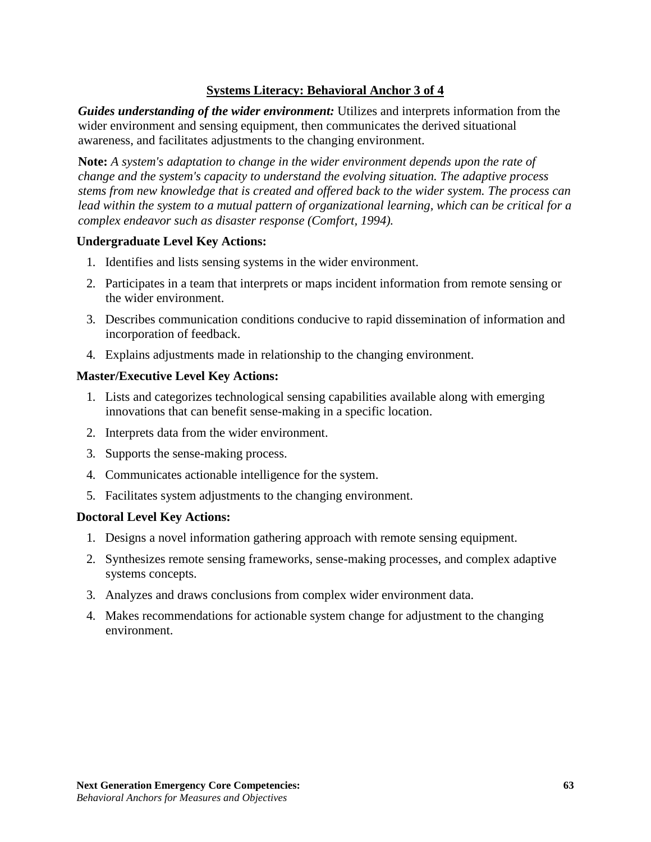## **Systems Literacy: Behavioral Anchor 3 of 4**

*Guides understanding of the wider environment:* Utilizes and interprets information from the wider environment and sensing equipment, then communicates the derived situational awareness, and facilitates adjustments to the changing environment.

**Note:** *A system's adaptation to change in the wider environment depends upon the rate of change and the system's capacity to understand the evolving situation. The adaptive process stems from new knowledge that is created and offered back to the wider system. The process can lead within the system to a mutual pattern of organizational learning, which can be critical for a complex endeavor such as disaster response (Comfort, 1994).*

#### **Undergraduate Level Key Actions:**

- 1. Identifies and lists sensing systems in the wider environment.
- 2. Participates in a team that interprets or maps incident information from remote sensing or the wider environment.
- 3. Describes communication conditions conducive to rapid dissemination of information and incorporation of feedback.
- 4. Explains adjustments made in relationship to the changing environment.

## **Master/Executive Level Key Actions:**

- 1. Lists and categorizes technological sensing capabilities available along with emerging innovations that can benefit sense-making in a specific location.
- 2. Interprets data from the wider environment.
- 3. Supports the sense-making process.
- 4. Communicates actionable intelligence for the system.
- 5. Facilitates system adjustments to the changing environment.

## **Doctoral Level Key Actions:**

- 1. Designs a novel information gathering approach with remote sensing equipment.
- 2. Synthesizes remote sensing frameworks, sense-making processes, and complex adaptive systems concepts.
- 3. Analyzes and draws conclusions from complex wider environment data.
- 4. Makes recommendations for actionable system change for adjustment to the changing environment.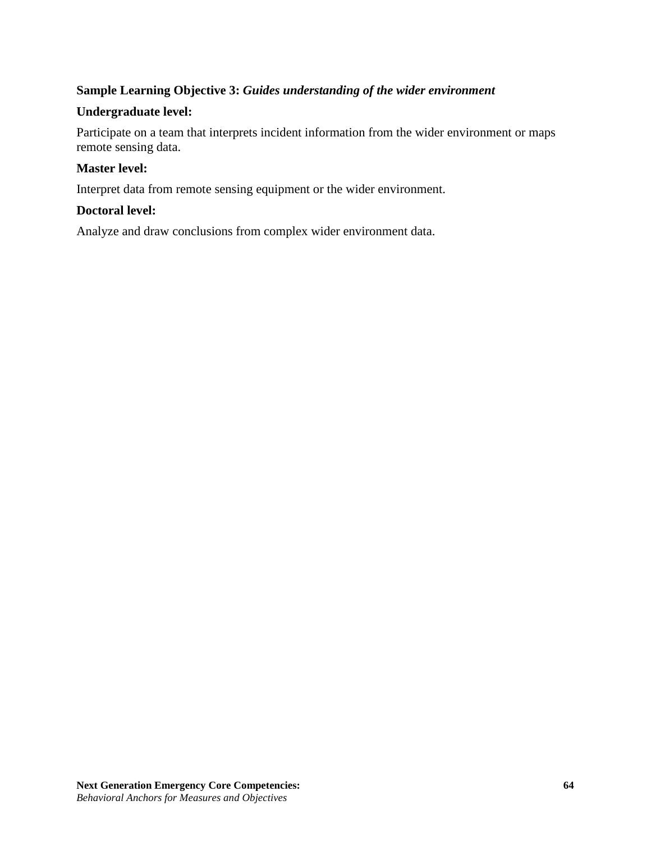## **Sample Learning Objective 3:** *Guides understanding of the wider environment*

### **Undergraduate level:**

Participate on a team that interprets incident information from the wider environment or maps remote sensing data.

### **Master level:**

Interpret data from remote sensing equipment or the wider environment.

#### **Doctoral level:**

Analyze and draw conclusions from complex wider environment data.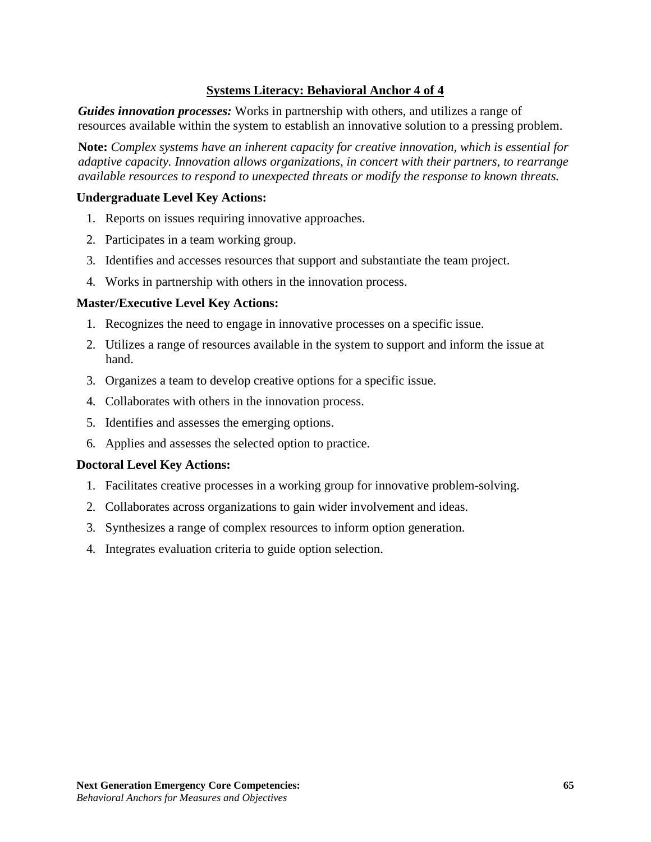## **Systems Literacy: Behavioral Anchor 4 of 4**

*Guides innovation processes:* Works in partnership with others, and utilizes a range of resources available within the system to establish an innovative solution to a pressing problem.

**Note:** *Complex systems have an inherent capacity for creative innovation, which is essential for adaptive capacity. Innovation allows organizations, in concert with their partners, to rearrange available resources to respond to unexpected threats or modify the response to known threats.*

#### **Undergraduate Level Key Actions:**

- 1. Reports on issues requiring innovative approaches.
- 2. Participates in a team working group.
- 3. Identifies and accesses resources that support and substantiate the team project.
- 4. Works in partnership with others in the innovation process.

#### **Master/Executive Level Key Actions:**

- 1. Recognizes the need to engage in innovative processes on a specific issue.
- 2. Utilizes a range of resources available in the system to support and inform the issue at hand.
- 3. Organizes a team to develop creative options for a specific issue.
- 4. Collaborates with others in the innovation process.
- 5. Identifies and assesses the emerging options.
- 6. Applies and assesses the selected option to practice.

#### **Doctoral Level Key Actions:**

- 1. Facilitates creative processes in a working group for innovative problem-solving.
- 2. Collaborates across organizations to gain wider involvement and ideas.
- 3. Synthesizes a range of complex resources to inform option generation.
- 4. Integrates evaluation criteria to guide option selection.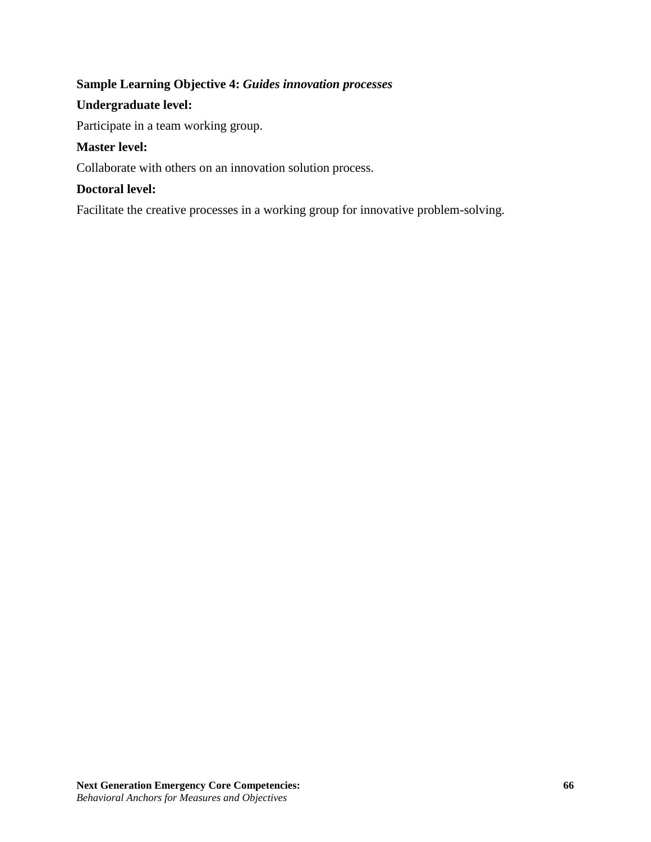## **Sample Learning Objective 4:** *Guides innovation processes*

## **Undergraduate level:**

Participate in a team working group.

## **Master level:**

Collaborate with others on an innovation solution process.

## **Doctoral level:**

Facilitate the creative processes in a working group for innovative problem-solving.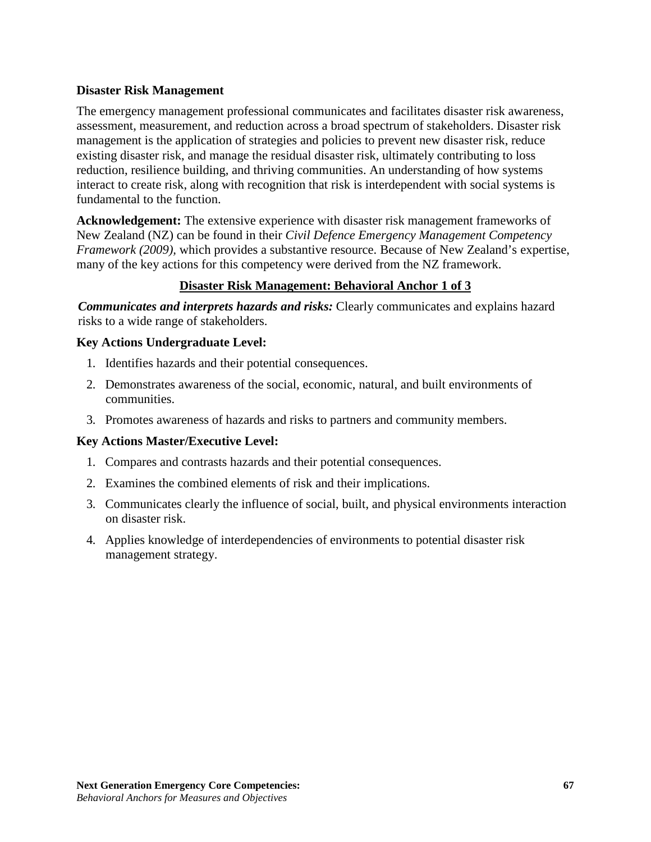## **Disaster Risk Management**

The emergency management professional communicates and facilitates disaster risk awareness, assessment, measurement, and reduction across a broad spectrum of stakeholders. Disaster risk management is the application of strategies and policies to prevent new disaster risk, reduce existing disaster risk, and manage the residual disaster risk, ultimately contributing to loss reduction, resilience building, and thriving communities. An understanding of how systems interact to create risk, along with recognition that risk is interdependent with social systems is fundamental to the function.

**Acknowledgement:** The extensive experience with disaster risk management frameworks of New Zealand (NZ) can be found in their *Civil Defence Emergency Management Competency Framework (2009),* which provides a substantive resource. Because of New Zealand's expertise, many of the key actions for this competency were derived from the NZ framework.

## **Disaster Risk Management: Behavioral Anchor 1 of 3**

*Communicates and interprets hazards and risks:* Clearly communicates and explains hazard risks to a wide range of stakeholders.

### **Key Actions Undergraduate Level:**

- 1. Identifies hazards and their potential consequences.
- 2. Demonstrates awareness of the social, economic, natural, and built environments of communities.
- 3. Promotes awareness of hazards and risks to partners and community members.

#### **Key Actions Master/Executive Level:**

- 1. Compares and contrasts hazards and their potential consequences.
- 2. Examines the combined elements of risk and their implications.
- 3. Communicates clearly the influence of social, built, and physical environments interaction on disaster risk.
- 4. Applies knowledge of interdependencies of environments to potential disaster risk management strategy.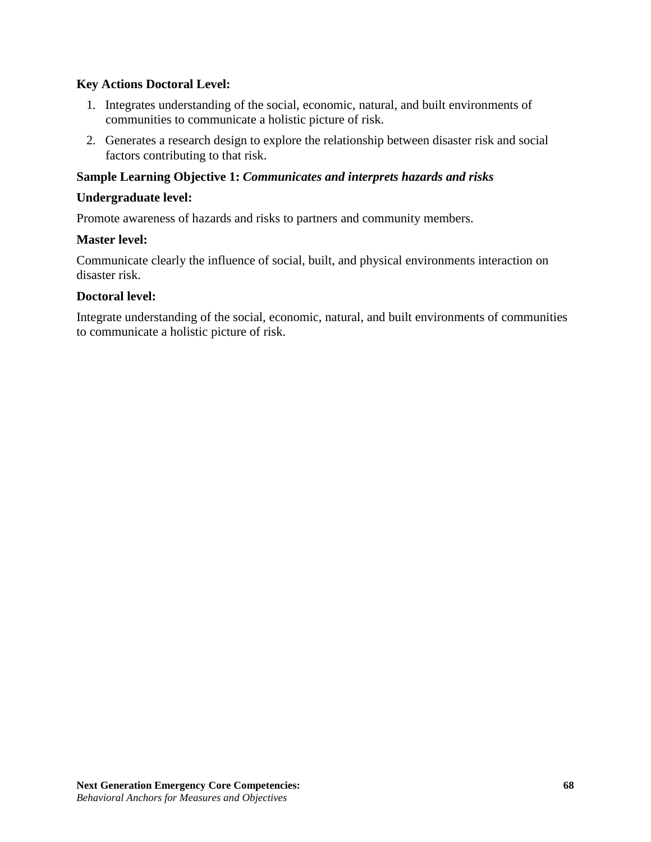## **Key Actions Doctoral Level:**

- 1. Integrates understanding of the social, economic, natural, and built environments of communities to communicate a holistic picture of risk.
- 2. Generates a research design to explore the relationship between disaster risk and social factors contributing to that risk.

#### **Sample Learning Objective 1:** *Communicates and interprets hazards and risks*

#### **Undergraduate level:**

Promote awareness of hazards and risks to partners and community members.

#### **Master level:**

Communicate clearly the influence of social, built, and physical environments interaction on disaster risk.

#### **Doctoral level:**

Integrate understanding of the social, economic, natural, and built environments of communities to communicate a holistic picture of risk.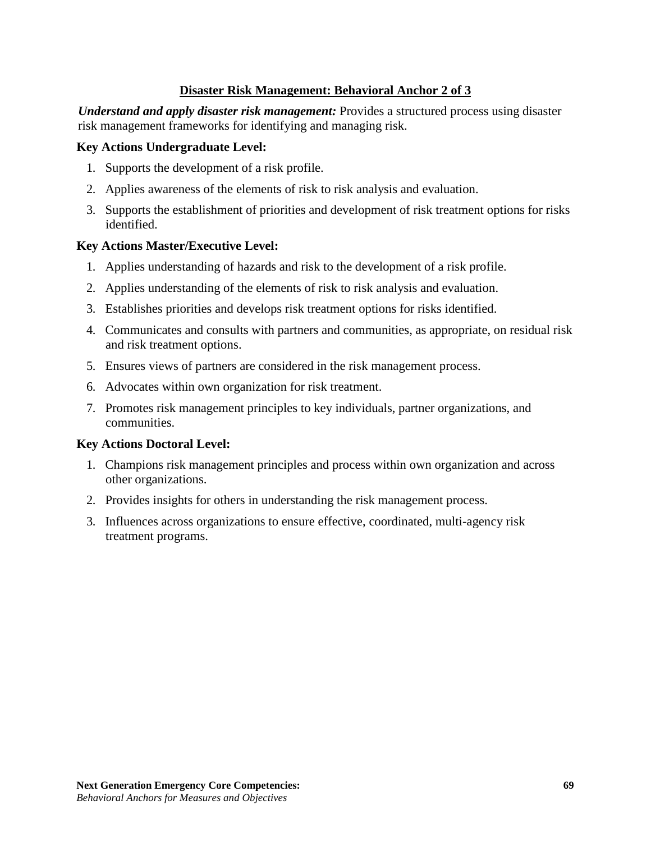## **Disaster Risk Management: Behavioral Anchor 2 of 3**

*Understand and apply disaster risk management:* Provides a structured process using disaster risk management frameworks for identifying and managing risk.

#### **Key Actions Undergraduate Level:**

- 1. Supports the development of a risk profile.
- 2. Applies awareness of the elements of risk to risk analysis and evaluation.
- 3. Supports the establishment of priorities and development of risk treatment options for risks identified.

### **Key Actions Master/Executive Level:**

- 1. Applies understanding of hazards and risk to the development of a risk profile.
- 2. Applies understanding of the elements of risk to risk analysis and evaluation.
- 3. Establishes priorities and develops risk treatment options for risks identified.
- 4. Communicates and consults with partners and communities, as appropriate, on residual risk and risk treatment options.
- 5. Ensures views of partners are considered in the risk management process.
- 6. Advocates within own organization for risk treatment.
- 7. Promotes risk management principles to key individuals, partner organizations, and communities.

#### **Key Actions Doctoral Level:**

- 1. Champions risk management principles and process within own organization and across other organizations.
- 2. Provides insights for others in understanding the risk management process.
- 3. Influences across organizations to ensure effective, coordinated, multi-agency risk treatment programs.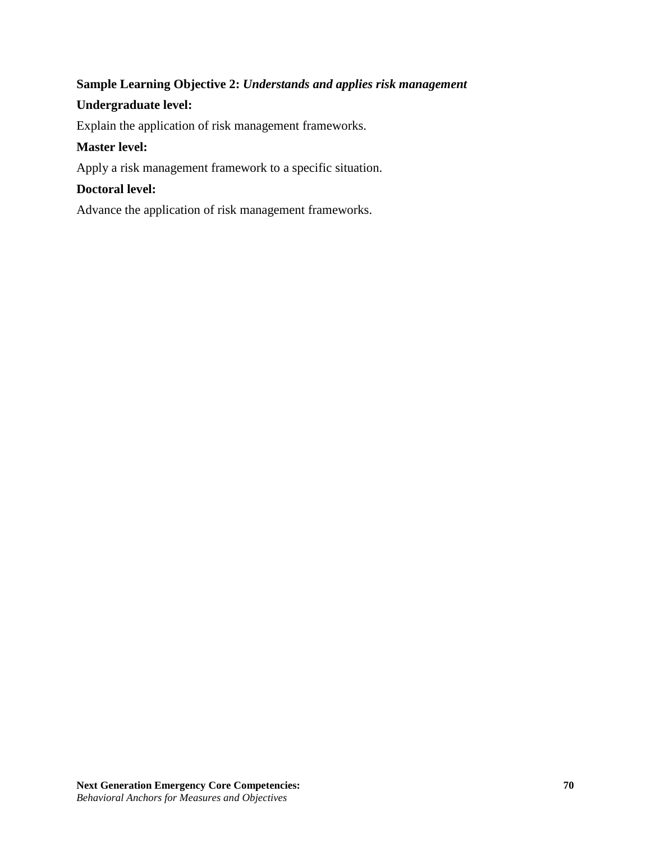# **Sample Learning Objective 2:** *Understands and applies risk management*

## **Undergraduate level:**

Explain the application of risk management frameworks.

## **Master level:**

Apply a risk management framework to a specific situation.

## **Doctoral level:**

Advance the application of risk management frameworks.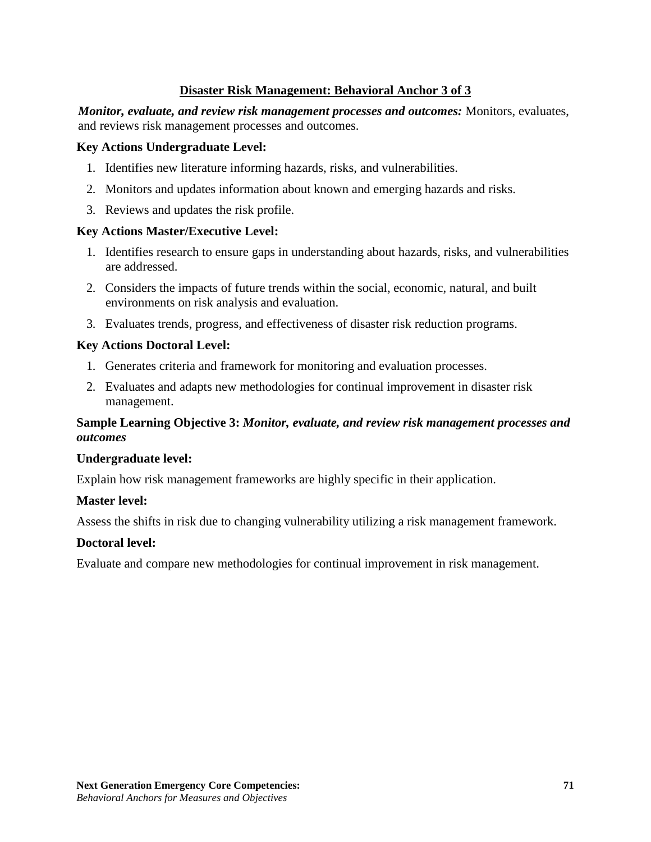## **Disaster Risk Management: Behavioral Anchor 3 of 3**

*Monitor, evaluate, and review risk management processes and outcomes:* Monitors, evaluates, and reviews risk management processes and outcomes.

#### **Key Actions Undergraduate Level:**

- 1. Identifies new literature informing hazards, risks, and vulnerabilities.
- 2. Monitors and updates information about known and emerging hazards and risks.
- 3. Reviews and updates the risk profile.

#### **Key Actions Master/Executive Level:**

- 1. Identifies research to ensure gaps in understanding about hazards, risks, and vulnerabilities are addressed.
- 2. Considers the impacts of future trends within the social, economic, natural, and built environments on risk analysis and evaluation.
- 3. Evaluates trends, progress, and effectiveness of disaster risk reduction programs.

### **Key Actions Doctoral Level:**

- 1. Generates criteria and framework for monitoring and evaluation processes.
- 2. Evaluates and adapts new methodologies for continual improvement in disaster risk management.

## **Sample Learning Objective 3:** *Monitor, evaluate, and review risk management processes and outcomes*

#### **Undergraduate level:**

Explain how risk management frameworks are highly specific in their application.

#### **Master level:**

Assess the shifts in risk due to changing vulnerability utilizing a risk management framework.

#### **Doctoral level:**

Evaluate and compare new methodologies for continual improvement in risk management.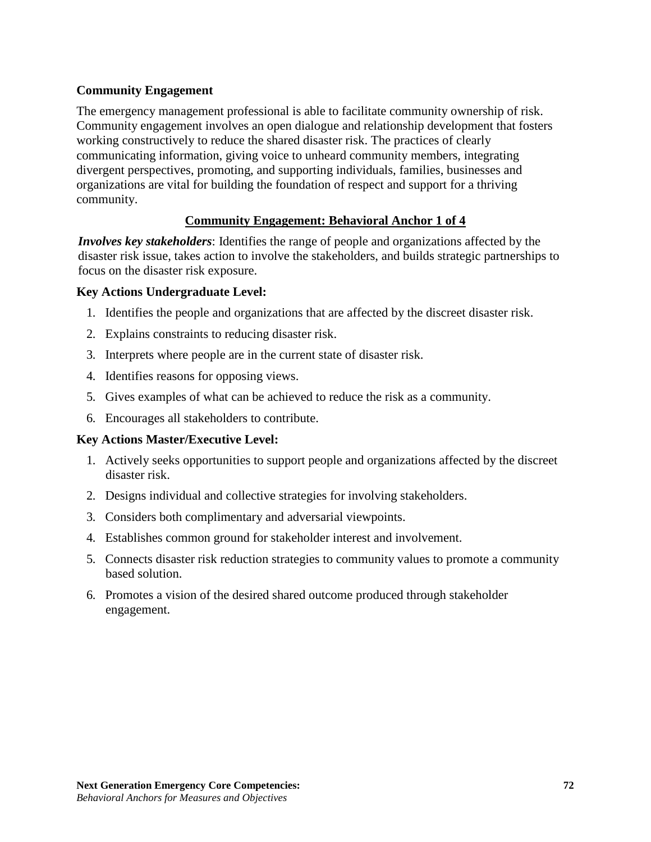## **Community Engagement**

The emergency management professional is able to facilitate community ownership of risk. Community engagement involves an open dialogue and relationship development that fosters working constructively to reduce the shared disaster risk. The practices of clearly communicating information, giving voice to unheard community members, integrating divergent perspectives, promoting, and supporting individuals, families, businesses and organizations are vital for building the foundation of respect and support for a thriving community.

## **Community Engagement: Behavioral Anchor 1 of 4**

*Involves key stakeholders*: Identifies the range of people and organizations affected by the disaster risk issue, takes action to involve the stakeholders, and builds strategic partnerships to focus on the disaster risk exposure.

### **Key Actions Undergraduate Level:**

- 1. Identifies the people and organizations that are affected by the discreet disaster risk.
- 2. Explains constraints to reducing disaster risk.
- 3. Interprets where people are in the current state of disaster risk.
- 4. Identifies reasons for opposing views.
- 5. Gives examples of what can be achieved to reduce the risk as a community.
- 6. Encourages all stakeholders to contribute.

#### **Key Actions Master/Executive Level:**

- 1. Actively seeks opportunities to support people and organizations affected by the discreet disaster risk.
- 2. Designs individual and collective strategies for involving stakeholders.
- 3. Considers both complimentary and adversarial viewpoints.
- 4. Establishes common ground for stakeholder interest and involvement.
- 5. Connects disaster risk reduction strategies to community values to promote a community based solution.
- 6. Promotes a vision of the desired shared outcome produced through stakeholder engagement.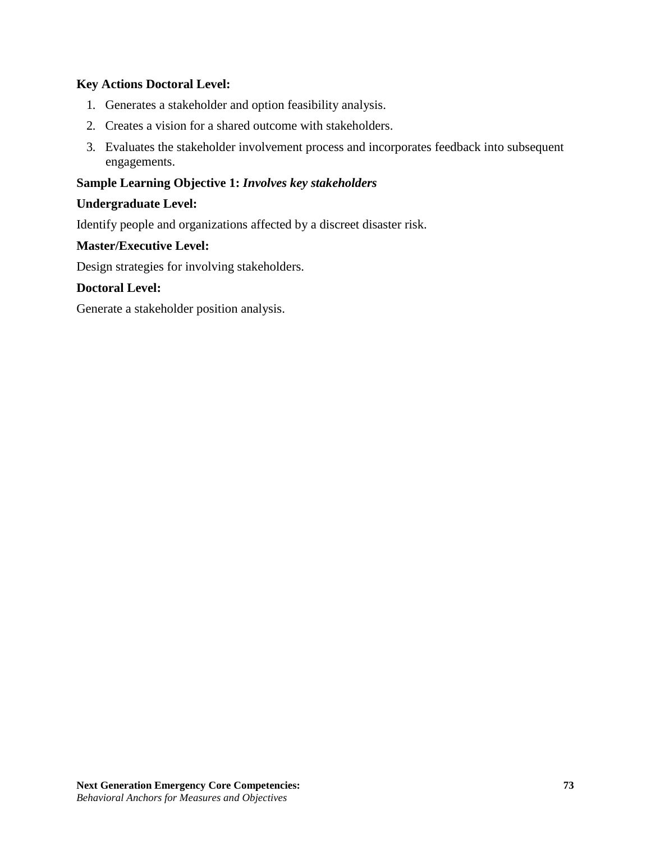### **Key Actions Doctoral Level:**

- 1. Generates a stakeholder and option feasibility analysis.
- 2. Creates a vision for a shared outcome with stakeholders.
- 3. Evaluates the stakeholder involvement process and incorporates feedback into subsequent engagements.

### **Sample Learning Objective 1:** *Involves key stakeholders*

#### **Undergraduate Level:**

Identify people and organizations affected by a discreet disaster risk.

#### **Master/Executive Level:**

Design strategies for involving stakeholders.

### **Doctoral Level:**

Generate a stakeholder position analysis.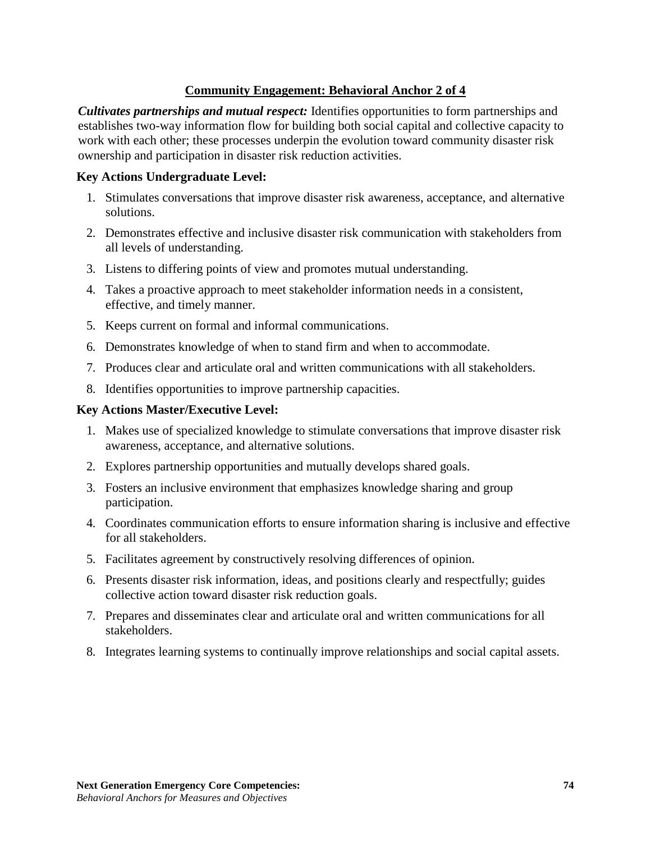# **Community Engagement: Behavioral Anchor 2 of 4**

*Cultivates partnerships and mutual respect:* Identifies opportunities to form partnerships and establishes two-way information flow for building both social capital and collective capacity to work with each other; these processes underpin the evolution toward community disaster risk ownership and participation in disaster risk reduction activities.

#### **Key Actions Undergraduate Level:**

- 1. Stimulates conversations that improve disaster risk awareness, acceptance, and alternative solutions.
- 2. Demonstrates effective and inclusive disaster risk communication with stakeholders from all levels of understanding.
- 3. Listens to differing points of view and promotes mutual understanding.
- 4. Takes a proactive approach to meet stakeholder information needs in a consistent, effective, and timely manner.
- 5. Keeps current on formal and informal communications.
- 6. Demonstrates knowledge of when to stand firm and when to accommodate.
- 7. Produces clear and articulate oral and written communications with all stakeholders.
- 8. Identifies opportunities to improve partnership capacities.

### **Key Actions Master/Executive Level:**

- 1. Makes use of specialized knowledge to stimulate conversations that improve disaster risk awareness, acceptance, and alternative solutions.
- 2. Explores partnership opportunities and mutually develops shared goals.
- 3. Fosters an inclusive environment that emphasizes knowledge sharing and group participation.
- 4. Coordinates communication efforts to ensure information sharing is inclusive and effective for all stakeholders.
- 5. Facilitates agreement by constructively resolving differences of opinion.
- 6. Presents disaster risk information, ideas, and positions clearly and respectfully; guides collective action toward disaster risk reduction goals.
- 7. Prepares and disseminates clear and articulate oral and written communications for all stakeholders.
- 8. Integrates learning systems to continually improve relationships and social capital assets.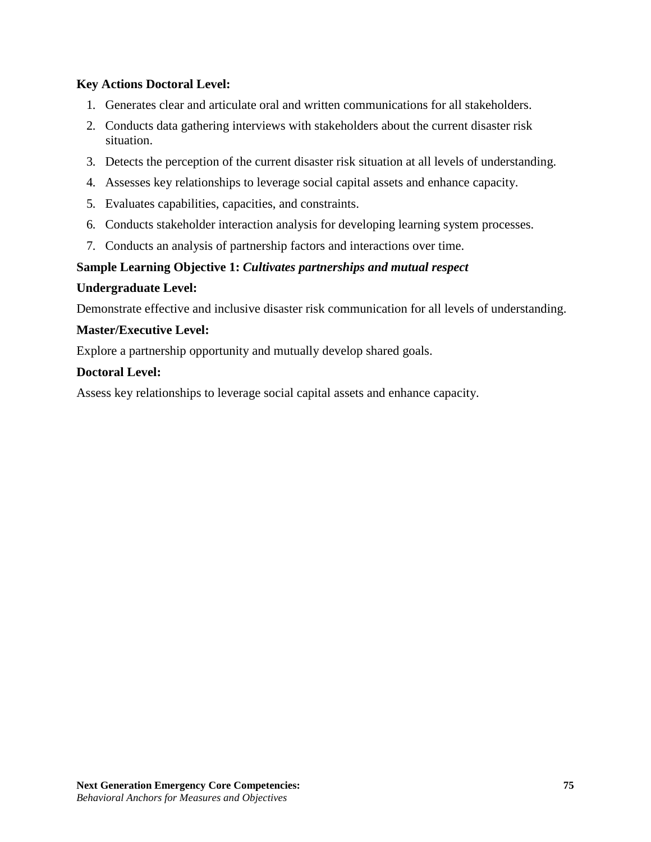# **Key Actions Doctoral Level:**

- 1. Generates clear and articulate oral and written communications for all stakeholders.
- 2. Conducts data gathering interviews with stakeholders about the current disaster risk situation.
- 3. Detects the perception of the current disaster risk situation at all levels of understanding.
- 4. Assesses key relationships to leverage social capital assets and enhance capacity.
- 5. Evaluates capabilities, capacities, and constraints.
- 6. Conducts stakeholder interaction analysis for developing learning system processes.
- 7. Conducts an analysis of partnership factors and interactions over time.

# **Sample Learning Objective 1:** *Cultivates partnerships and mutual respect*

## **Undergraduate Level:**

Demonstrate effective and inclusive disaster risk communication for all levels of understanding.

# **Master/Executive Level:**

Explore a partnership opportunity and mutually develop shared goals.

# **Doctoral Level:**

Assess key relationships to leverage social capital assets and enhance capacity.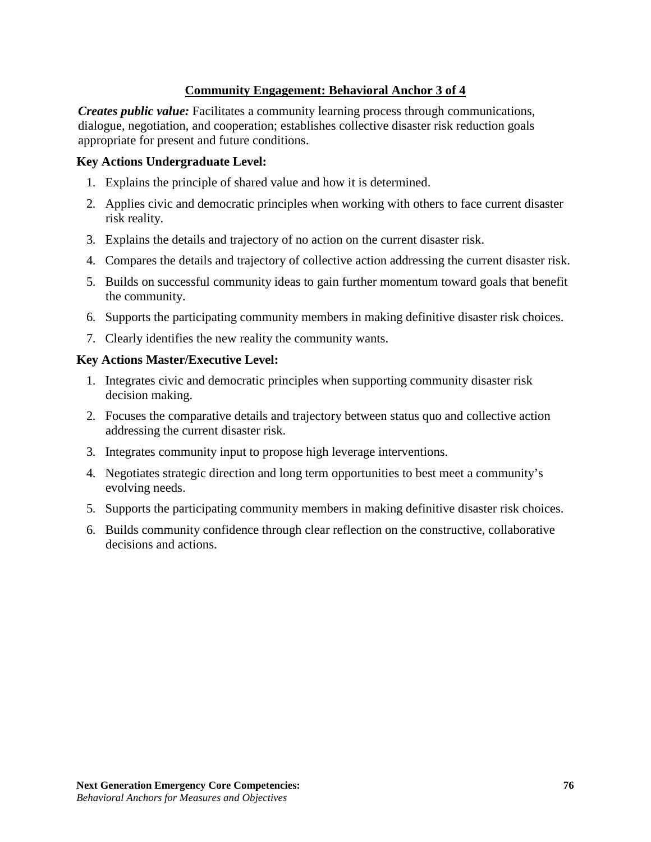# **Community Engagement: Behavioral Anchor 3 of 4**

*Creates public value:* Facilitates a community learning process through communications, dialogue, negotiation, and cooperation; establishes collective disaster risk reduction goals appropriate for present and future conditions.

### **Key Actions Undergraduate Level:**

- 1. Explains the principle of shared value and how it is determined.
- 2. Applies civic and democratic principles when working with others to face current disaster risk reality.
- 3. Explains the details and trajectory of no action on the current disaster risk.
- 4. Compares the details and trajectory of collective action addressing the current disaster risk.
- 5. Builds on successful community ideas to gain further momentum toward goals that benefit the community.
- 6. Supports the participating community members in making definitive disaster risk choices.
- 7. Clearly identifies the new reality the community wants.

#### **Key Actions Master/Executive Level:**

- 1. Integrates civic and democratic principles when supporting community disaster risk decision making.
- 2. Focuses the comparative details and trajectory between status quo and collective action addressing the current disaster risk.
- 3. Integrates community input to propose high leverage interventions.
- 4. Negotiates strategic direction and long term opportunities to best meet a community's evolving needs.
- 5. Supports the participating community members in making definitive disaster risk choices.
- 6. Builds community confidence through clear reflection on the constructive, collaborative decisions and actions.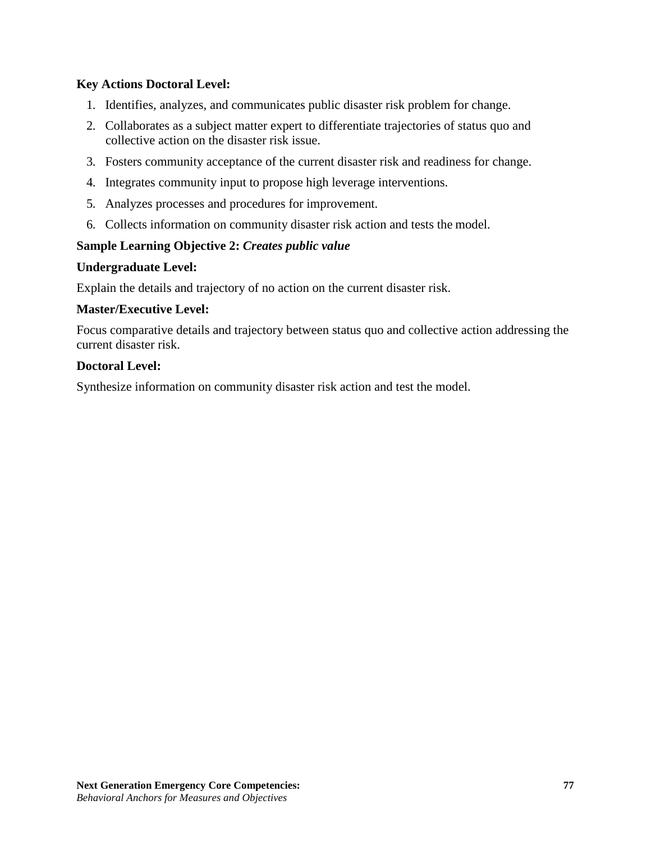# **Key Actions Doctoral Level:**

- 1. Identifies, analyzes, and communicates public disaster risk problem for change.
- 2. Collaborates as a subject matter expert to differentiate trajectories of status quo and collective action on the disaster risk issue.
- 3. Fosters community acceptance of the current disaster risk and readiness for change.
- 4. Integrates community input to propose high leverage interventions.
- 5. Analyzes processes and procedures for improvement.
- 6. Collects information on community disaster risk action and tests the model.

# **Sample Learning Objective 2:** *Creates public value*

## **Undergraduate Level:**

Explain the details and trajectory of no action on the current disaster risk.

# **Master/Executive Level:**

Focus comparative details and trajectory between status quo and collective action addressing the current disaster risk.

# **Doctoral Level:**

Synthesize information on community disaster risk action and test the model.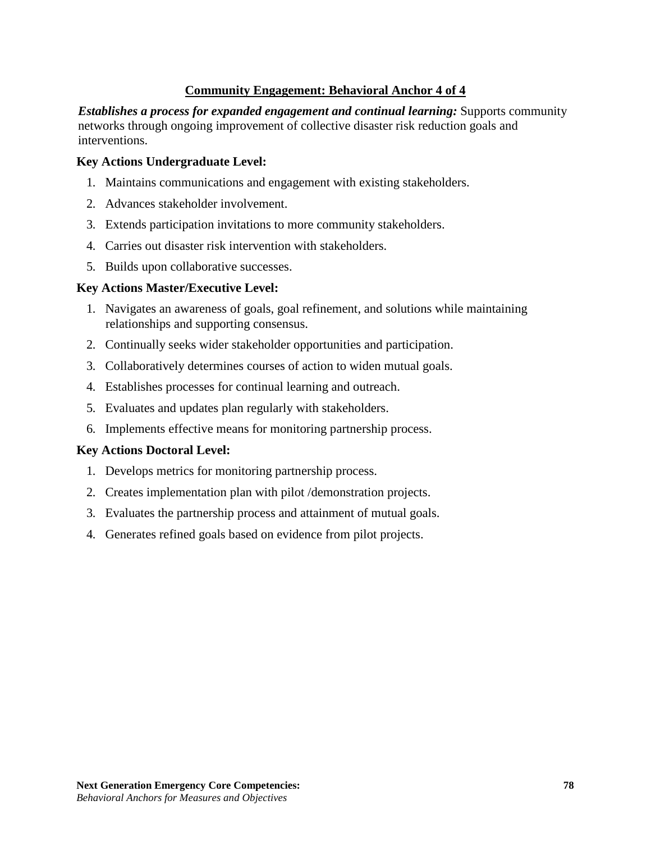# **Community Engagement: Behavioral Anchor 4 of 4**

*Establishes a process for expanded engagement and continual learning:* Supports community networks through ongoing improvement of collective disaster risk reduction goals and interventions.

#### **Key Actions Undergraduate Level:**

- 1. Maintains communications and engagement with existing stakeholders.
- 2. Advances stakeholder involvement.
- 3. Extends participation invitations to more community stakeholders.
- 4. Carries out disaster risk intervention with stakeholders.
- 5. Builds upon collaborative successes.

#### **Key Actions Master/Executive Level:**

- 1. Navigates an awareness of goals, goal refinement, and solutions while maintaining relationships and supporting consensus.
- 2. Continually seeks wider stakeholder opportunities and participation.
- 3. Collaboratively determines courses of action to widen mutual goals.
- 4. Establishes processes for continual learning and outreach.
- 5. Evaluates and updates plan regularly with stakeholders.
- 6. Implements effective means for monitoring partnership process.

## **Key Actions Doctoral Level:**

- 1. Develops metrics for monitoring partnership process.
- 2. Creates implementation plan with pilot /demonstration projects.
- 3. Evaluates the partnership process and attainment of mutual goals.
- 4. Generates refined goals based on evidence from pilot projects.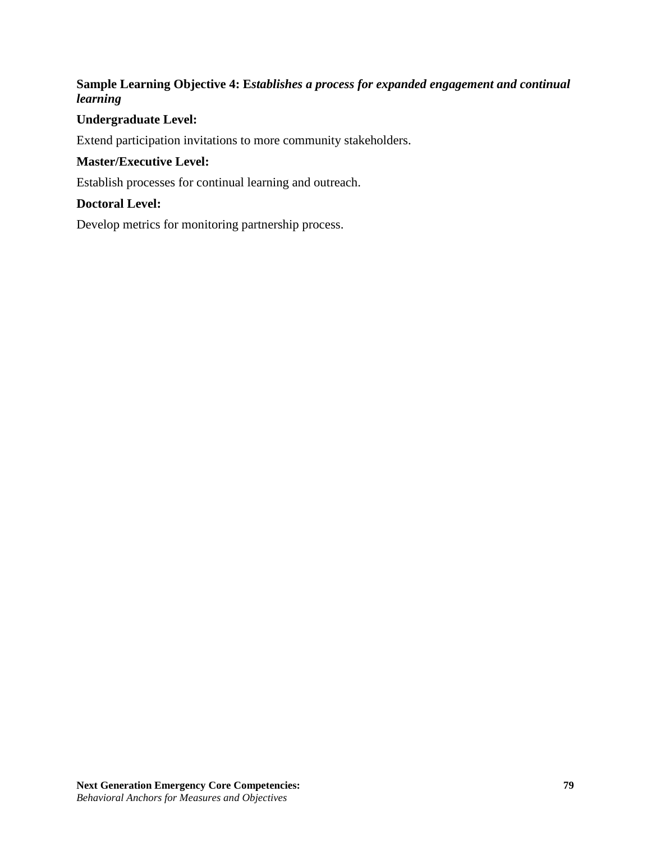# **Sample Learning Objective 4: E***stablishes a process for expanded engagement and continual learning*

### **Undergraduate Level:**

Extend participation invitations to more community stakeholders.

### **Master/Executive Level:**

Establish processes for continual learning and outreach.

### **Doctoral Level:**

Develop metrics for monitoring partnership process.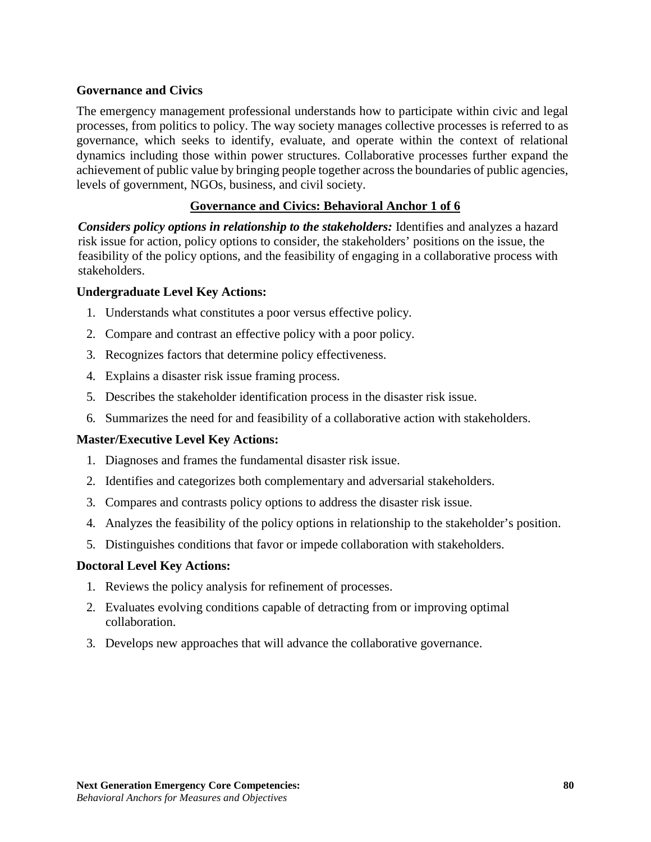### **Governance and Civics**

The emergency management professional understands how to participate within civic and legal processes, from politics to policy. The way society manages collective processes is referred to as governance, which seeks to identify, evaluate, and operate within the context of relational dynamics including those within power structures. Collaborative processes further expand the achievement of public value by bringing people together across the boundaries of public agencies, levels of government, NGOs, business, and civil society.

## **Governance and Civics: Behavioral Anchor 1 of 6**

*Considers policy options in relationship to the stakeholders:* Identifies and analyzes a hazard risk issue for action, policy options to consider, the stakeholders' positions on the issue, the feasibility of the policy options, and the feasibility of engaging in a collaborative process with stakeholders.

### **Undergraduate Level Key Actions:**

- 1. Understands what constitutes a poor versus effective policy.
- 2. Compare and contrast an effective policy with a poor policy.
- 3. Recognizes factors that determine policy effectiveness.
- 4. Explains a disaster risk issue framing process.
- 5. Describes the stakeholder identification process in the disaster risk issue.
- 6. Summarizes the need for and feasibility of a collaborative action with stakeholders.

#### **Master/Executive Level Key Actions:**

- 1. Diagnoses and frames the fundamental disaster risk issue.
- 2. Identifies and categorizes both complementary and adversarial stakeholders.
- 3. Compares and contrasts policy options to address the disaster risk issue.
- 4. Analyzes the feasibility of the policy options in relationship to the stakeholder's position.
- 5. Distinguishes conditions that favor or impede collaboration with stakeholders.

- 1. Reviews the policy analysis for refinement of processes.
- 2. Evaluates evolving conditions capable of detracting from or improving optimal collaboration.
- 3. Develops new approaches that will advance the collaborative governance.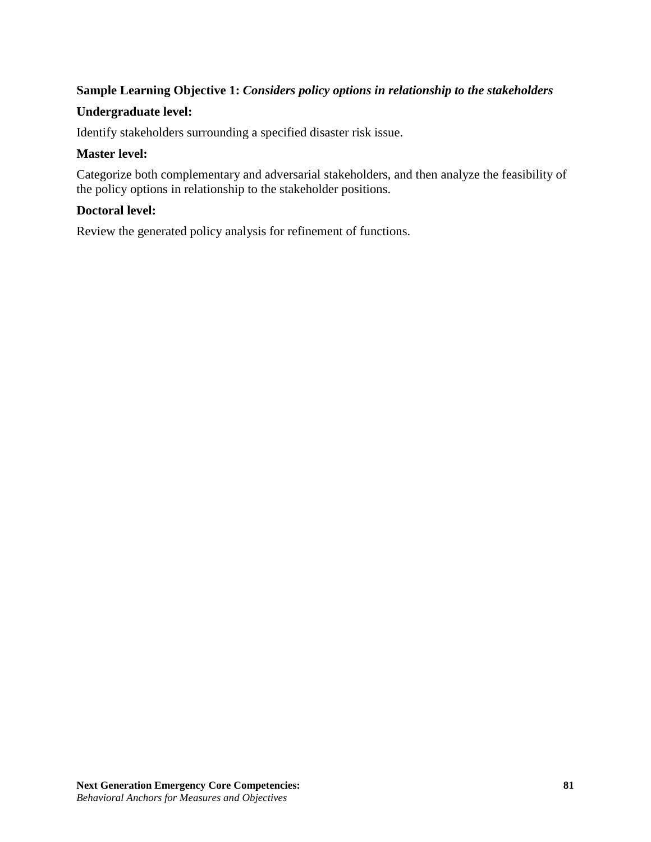# **Sample Learning Objective 1:** *Considers policy options in relationship to the stakeholders*

### **Undergraduate level:**

Identify stakeholders surrounding a specified disaster risk issue.

#### **Master level:**

Categorize both complementary and adversarial stakeholders, and then analyze the feasibility of the policy options in relationship to the stakeholder positions.

#### **Doctoral level:**

Review the generated policy analysis for refinement of functions.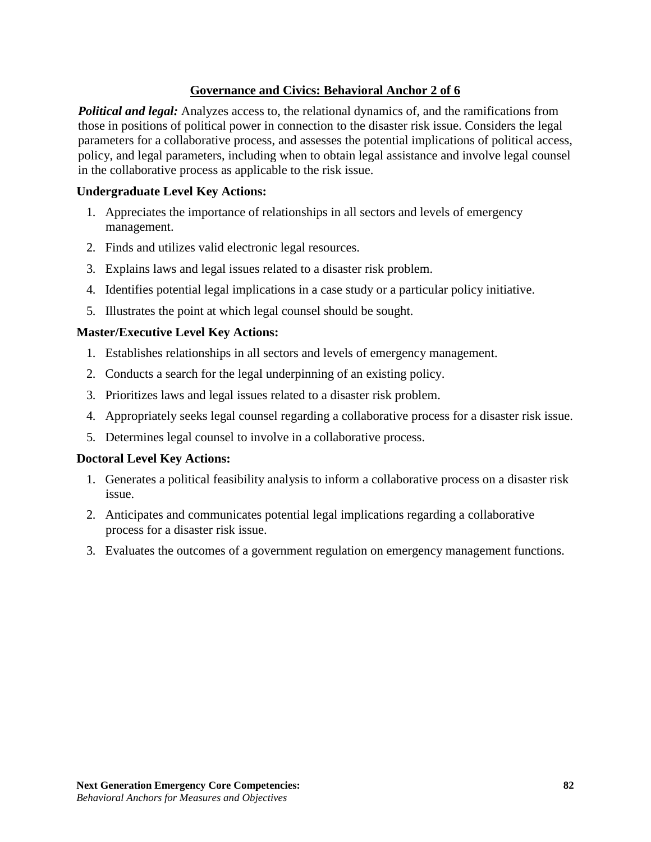# **Governance and Civics: Behavioral Anchor 2 of 6**

*Political and legal:* Analyzes access to, the relational dynamics of, and the ramifications from those in positions of political power in connection to the disaster risk issue. Considers the legal parameters for a collaborative process, and assesses the potential implications of political access, policy, and legal parameters, including when to obtain legal assistance and involve legal counsel in the collaborative process as applicable to the risk issue.

### **Undergraduate Level Key Actions:**

- 1. Appreciates the importance of relationships in all sectors and levels of emergency management.
- 2. Finds and utilizes valid electronic legal resources.
- 3. Explains laws and legal issues related to a disaster risk problem.
- 4. Identifies potential legal implications in a case study or a particular policy initiative.
- 5. Illustrates the point at which legal counsel should be sought.

### **Master/Executive Level Key Actions:**

- 1. Establishes relationships in all sectors and levels of emergency management.
- 2. Conducts a search for the legal underpinning of an existing policy.
- 3. Prioritizes laws and legal issues related to a disaster risk problem.
- 4. Appropriately seeks legal counsel regarding a collaborative process for a disaster risk issue.
- 5. Determines legal counsel to involve in a collaborative process.

- 1. Generates a political feasibility analysis to inform a collaborative process on a disaster risk issue.
- 2. Anticipates and communicates potential legal implications regarding a collaborative process for a disaster risk issue.
- 3. Evaluates the outcomes of a government regulation on emergency management functions.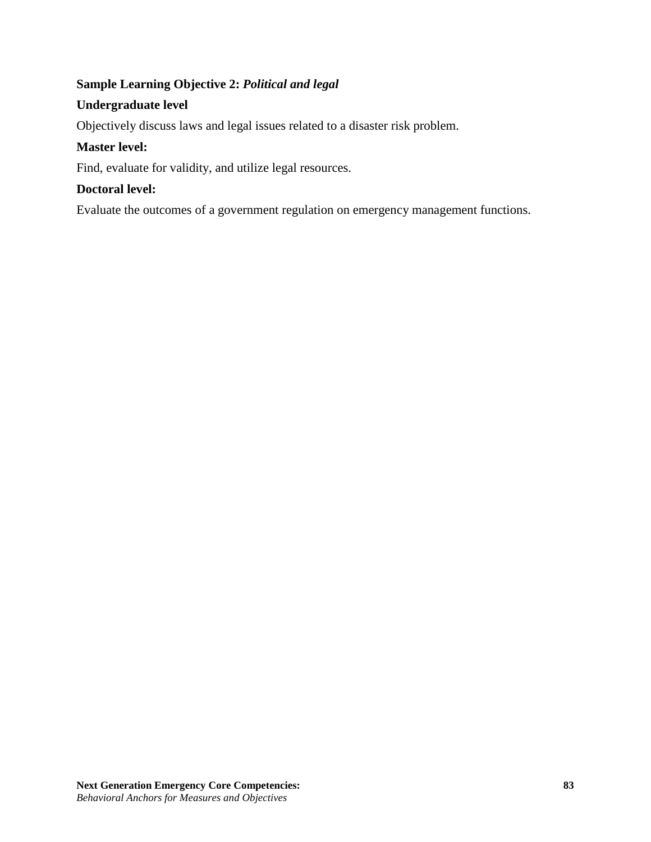# **Sample Learning Objective 2:** *Political and legal*

# **Undergraduate level**

Objectively discuss laws and legal issues related to a disaster risk problem.

## **Master level:**

Find, evaluate for validity, and utilize legal resources.

# **Doctoral level:**

Evaluate the outcomes of a government regulation on emergency management functions.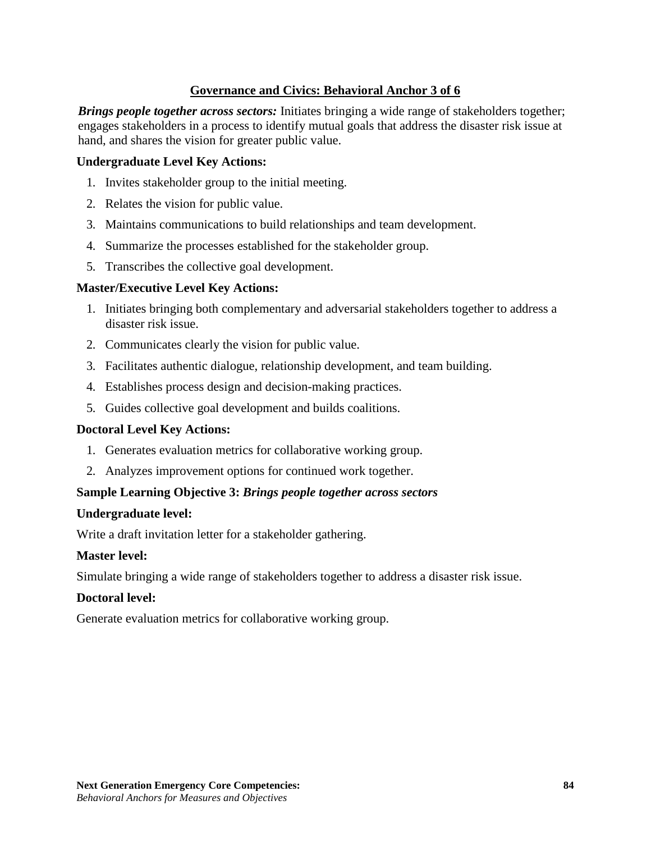# **Governance and Civics: Behavioral Anchor 3 of 6**

*Brings people together across sectors:* Initiates bringing a wide range of stakeholders together; engages stakeholders in a process to identify mutual goals that address the disaster risk issue at hand, and shares the vision for greater public value.

### **Undergraduate Level Key Actions:**

- 1. Invites stakeholder group to the initial meeting.
- 2. Relates the vision for public value.
- 3. Maintains communications to build relationships and team development.
- 4. Summarize the processes established for the stakeholder group.
- 5. Transcribes the collective goal development.

### **Master/Executive Level Key Actions:**

- 1. Initiates bringing both complementary and adversarial stakeholders together to address a disaster risk issue.
- 2. Communicates clearly the vision for public value.
- 3. Facilitates authentic dialogue, relationship development, and team building.
- 4. Establishes process design and decision-making practices.
- 5. Guides collective goal development and builds coalitions.

#### **Doctoral Level Key Actions:**

- 1. Generates evaluation metrics for collaborative working group.
- 2. Analyzes improvement options for continued work together.

## **Sample Learning Objective 3:** *Brings people together across sectors*

#### **Undergraduate level:**

Write a draft invitation letter for a stakeholder gathering.

#### **Master level:**

Simulate bringing a wide range of stakeholders together to address a disaster risk issue.

#### **Doctoral level:**

Generate evaluation metrics for collaborative working group.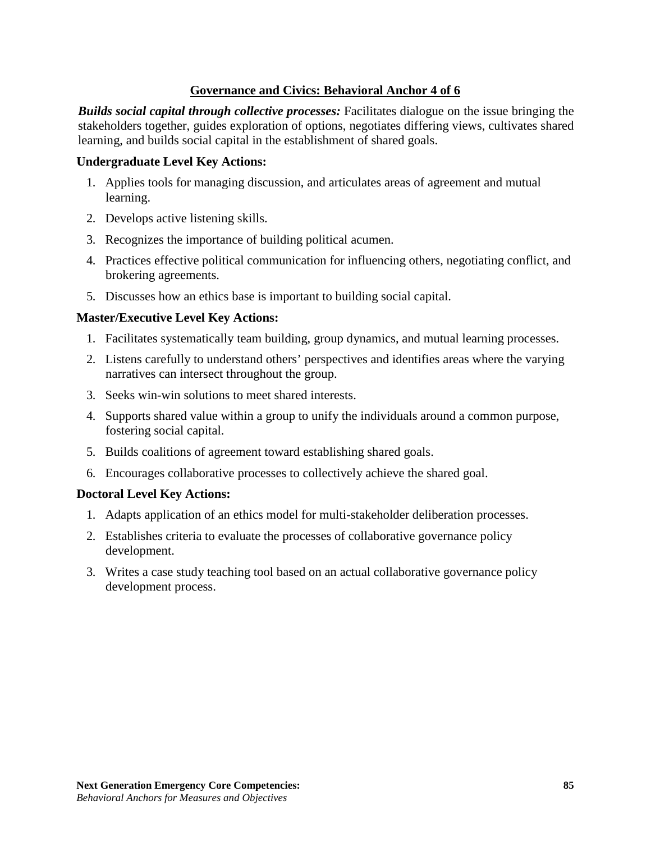## **Governance and Civics: Behavioral Anchor 4 of 6**

*Builds social capital through collective processes:* Facilitates dialogue on the issue bringing the stakeholders together, guides exploration of options, negotiates differing views, cultivates shared learning, and builds social capital in the establishment of shared goals.

### **Undergraduate Level Key Actions:**

- 1. Applies tools for managing discussion, and articulates areas of agreement and mutual learning.
- 2. Develops active listening skills.
- 3. Recognizes the importance of building political acumen.
- 4. Practices effective political communication for influencing others, negotiating conflict, and brokering agreements.
- 5. Discusses how an ethics base is important to building social capital.

### **Master/Executive Level Key Actions:**

- 1. Facilitates systematically team building, group dynamics, and mutual learning processes.
- 2. Listens carefully to understand others' perspectives and identifies areas where the varying narratives can intersect throughout the group.
- 3. Seeks win-win solutions to meet shared interests.
- 4. Supports shared value within a group to unify the individuals around a common purpose, fostering social capital.
- 5. Builds coalitions of agreement toward establishing shared goals.
- 6. Encourages collaborative processes to collectively achieve the shared goal.

- 1. Adapts application of an ethics model for multi-stakeholder deliberation processes.
- 2. Establishes criteria to evaluate the processes of collaborative governance policy development.
- 3. Writes a case study teaching tool based on an actual collaborative governance policy development process.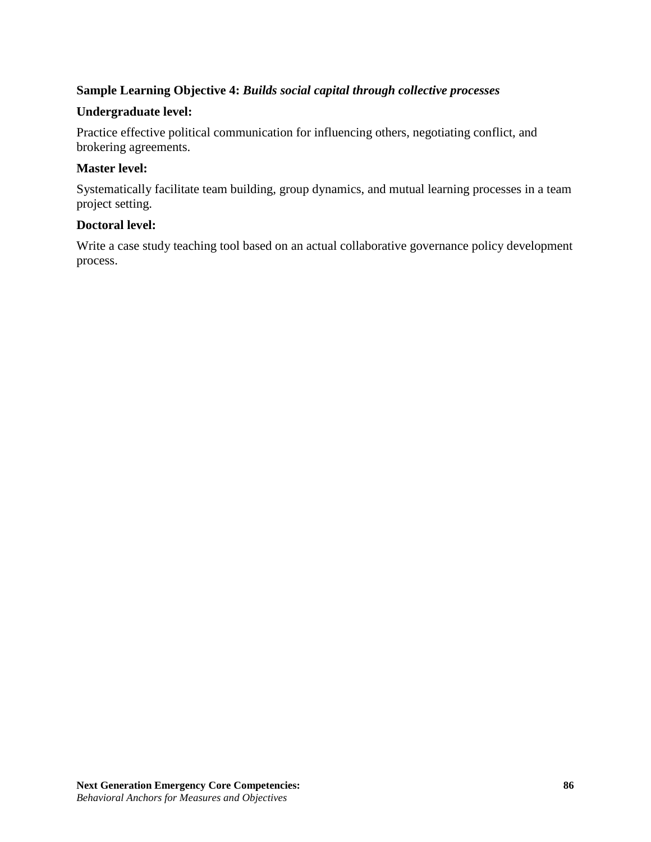# **Sample Learning Objective 4:** *Builds social capital through collective processes*

## **Undergraduate level:**

Practice effective political communication for influencing others, negotiating conflict, and brokering agreements.

### **Master level:**

Systematically facilitate team building, group dynamics, and mutual learning processes in a team project setting.

### **Doctoral level:**

Write a case study teaching tool based on an actual collaborative governance policy development process.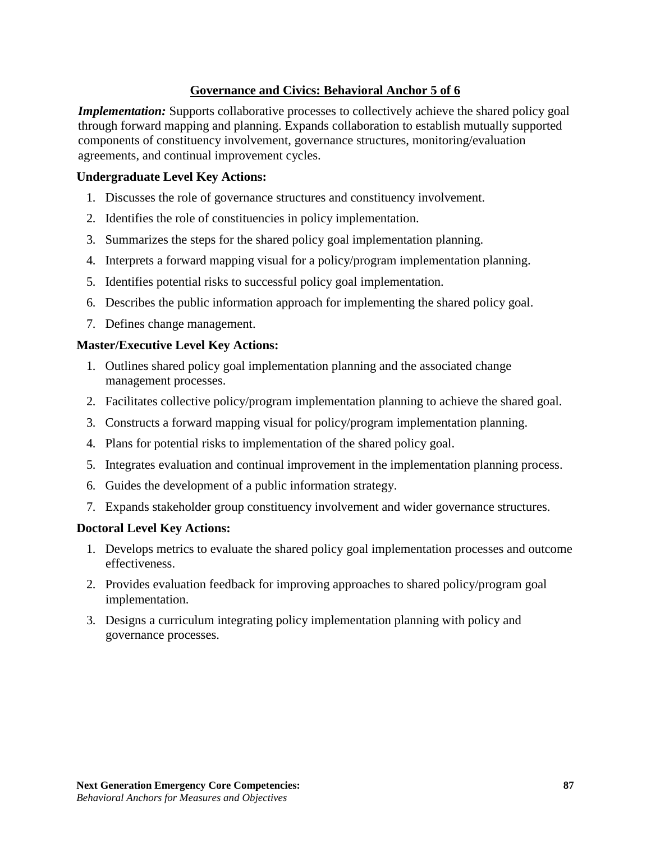# **Governance and Civics: Behavioral Anchor 5 of 6**

*Implementation:* Supports collaborative processes to collectively achieve the shared policy goal through forward mapping and planning. Expands collaboration to establish mutually supported components of constituency involvement, governance structures, monitoring/evaluation agreements, and continual improvement cycles.

### **Undergraduate Level Key Actions:**

- 1. Discusses the role of governance structures and constituency involvement.
- 2. Identifies the role of constituencies in policy implementation.
- 3. Summarizes the steps for the shared policy goal implementation planning.
- 4. Interprets a forward mapping visual for a policy/program implementation planning.
- 5. Identifies potential risks to successful policy goal implementation.
- 6. Describes the public information approach for implementing the shared policy goal.
- 7. Defines change management.

### **Master/Executive Level Key Actions:**

- 1. Outlines shared policy goal implementation planning and the associated change management processes.
- 2. Facilitates collective policy/program implementation planning to achieve the shared goal.
- 3. Constructs a forward mapping visual for policy/program implementation planning.
- 4. Plans for potential risks to implementation of the shared policy goal.
- 5. Integrates evaluation and continual improvement in the implementation planning process.
- 6. Guides the development of a public information strategy.
- 7. Expands stakeholder group constituency involvement and wider governance structures.

- 1. Develops metrics to evaluate the shared policy goal implementation processes and outcome effectiveness.
- 2. Provides evaluation feedback for improving approaches to shared policy/program goal implementation.
- 3. Designs a curriculum integrating policy implementation planning with policy and governance processes.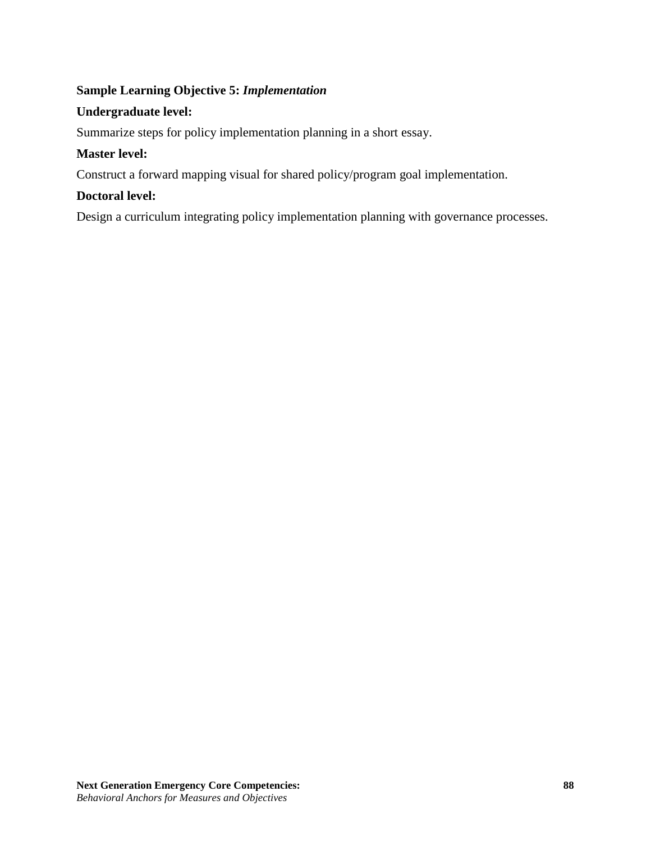# **Sample Learning Objective 5:** *Implementation*

## **Undergraduate level:**

Summarize steps for policy implementation planning in a short essay.

## **Master level:**

Construct a forward mapping visual for shared policy/program goal implementation.

## **Doctoral level:**

Design a curriculum integrating policy implementation planning with governance processes.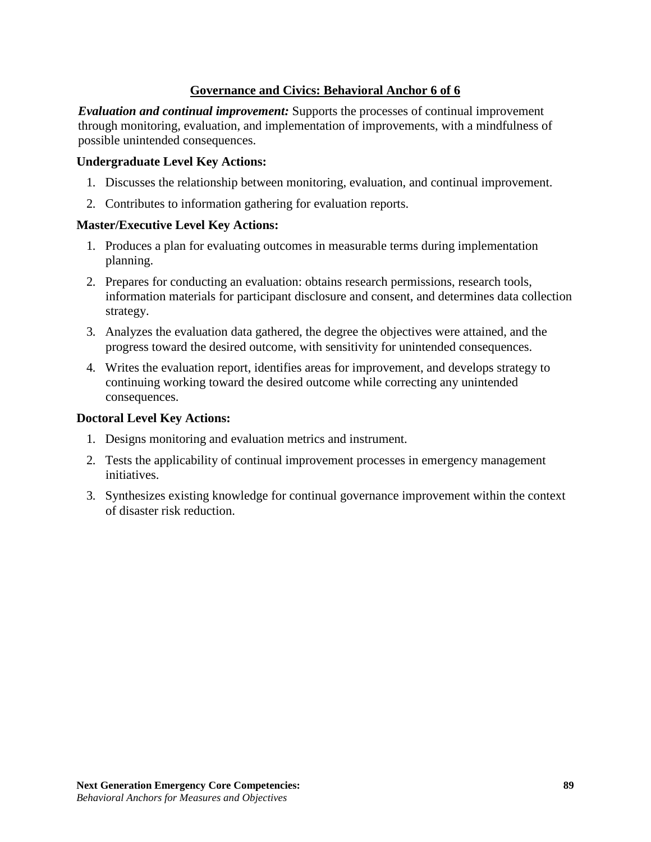# **Governance and Civics: Behavioral Anchor 6 of 6**

*Evaluation and continual improvement:* Supports the processes of continual improvement through monitoring, evaluation, and implementation of improvements, with a mindfulness of possible unintended consequences.

### **Undergraduate Level Key Actions:**

- 1. Discusses the relationship between monitoring, evaluation, and continual improvement.
- 2. Contributes to information gathering for evaluation reports.

### **Master/Executive Level Key Actions:**

- 1. Produces a plan for evaluating outcomes in measurable terms during implementation planning.
- 2. Prepares for conducting an evaluation: obtains research permissions, research tools, information materials for participant disclosure and consent, and determines data collection strategy.
- 3. Analyzes the evaluation data gathered, the degree the objectives were attained, and the progress toward the desired outcome, with sensitivity for unintended consequences.
- 4. Writes the evaluation report, identifies areas for improvement, and develops strategy to continuing working toward the desired outcome while correcting any unintended consequences.

- 1. Designs monitoring and evaluation metrics and instrument.
- 2. Tests the applicability of continual improvement processes in emergency management initiatives.
- 3. Synthesizes existing knowledge for continual governance improvement within the context of disaster risk reduction.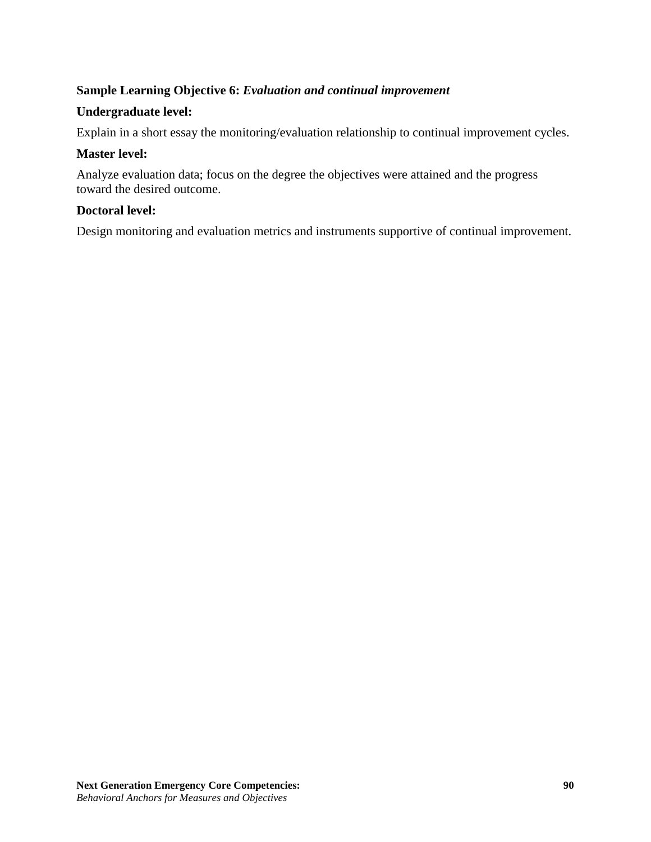## **Sample Learning Objective 6:** *Evaluation and continual improvement*

### **Undergraduate level:**

Explain in a short essay the monitoring/evaluation relationship to continual improvement cycles.

### **Master level:**

Analyze evaluation data; focus on the degree the objectives were attained and the progress toward the desired outcome.

### **Doctoral level:**

Design monitoring and evaluation metrics and instruments supportive of continual improvement.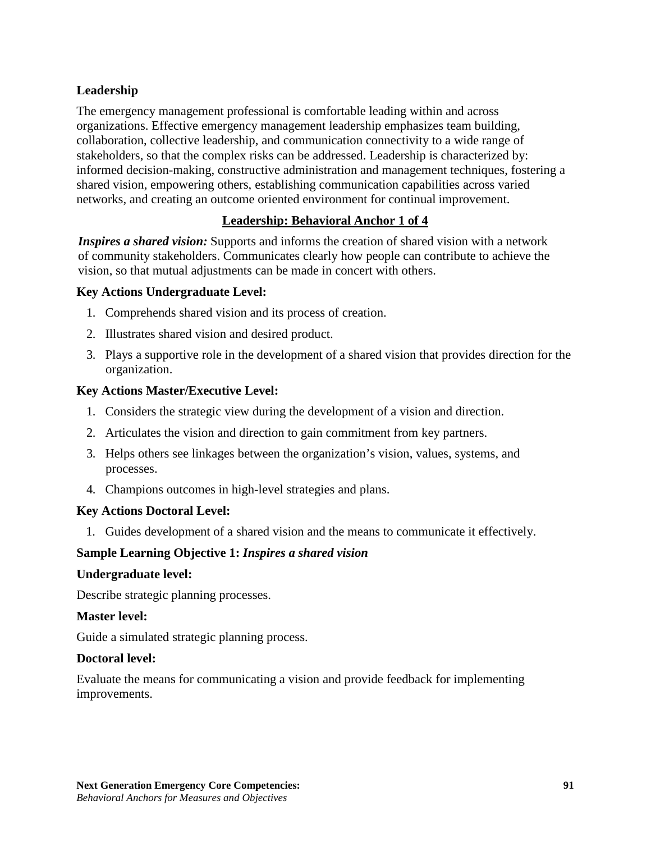# **Leadership**

The emergency management professional is comfortable leading within and across organizations. Effective emergency management leadership emphasizes team building, collaboration, collective leadership, and communication connectivity to a wide range of stakeholders, so that the complex risks can be addressed. Leadership is characterized by: informed decision-making, constructive administration and management techniques, fostering a shared vision, empowering others, establishing communication capabilities across varied networks, and creating an outcome oriented environment for continual improvement.

# **Leadership: Behavioral Anchor 1 of 4**

*Inspires a shared vision:* Supports and informs the creation of shared vision with a network of community stakeholders. Communicates clearly how people can contribute to achieve the vision, so that mutual adjustments can be made in concert with others.

### **Key Actions Undergraduate Level:**

- 1. Comprehends shared vision and its process of creation.
- 2. Illustrates shared vision and desired product.
- 3. Plays a supportive role in the development of a shared vision that provides direction for the organization.

#### **Key Actions Master/Executive Level:**

- 1. Considers the strategic view during the development of a vision and direction.
- 2. Articulates the vision and direction to gain commitment from key partners.
- 3. Helps others see linkages between the organization's vision, values, systems, and processes.
- 4. Champions outcomes in high-level strategies and plans.

#### **Key Actions Doctoral Level:**

1. Guides development of a shared vision and the means to communicate it effectively.

## **Sample Learning Objective 1:** *Inspires a shared vision*

#### **Undergraduate level:**

Describe strategic planning processes.

#### **Master level:**

Guide a simulated strategic planning process.

#### **Doctoral level:**

Evaluate the means for communicating a vision and provide feedback for implementing improvements.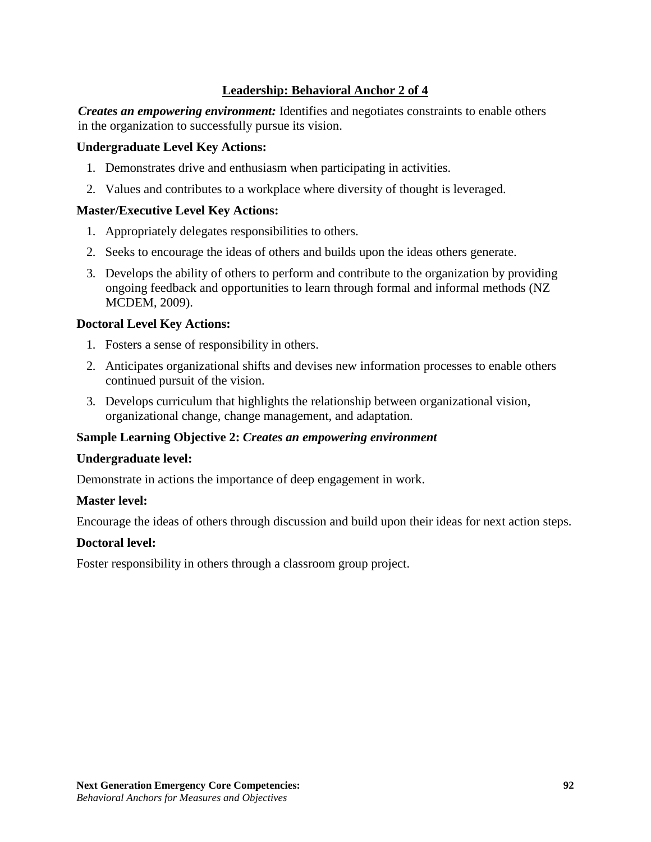# **Leadership: Behavioral Anchor 2 of 4**

*Creates an empowering environment:* Identifies and negotiates constraints to enable others in the organization to successfully pursue its vision.

#### **Undergraduate Level Key Actions:**

- 1. Demonstrates drive and enthusiasm when participating in activities.
- 2. Values and contributes to a workplace where diversity of thought is leveraged.

#### **Master/Executive Level Key Actions:**

- 1. Appropriately delegates responsibilities to others.
- 2. Seeks to encourage the ideas of others and builds upon the ideas others generate.
- 3. Develops the ability of others to perform and contribute to the organization by providing ongoing feedback and opportunities to learn through formal and informal methods (NZ MCDEM, 2009).

#### **Doctoral Level Key Actions:**

- 1. Fosters a sense of responsibility in others.
- 2. Anticipates organizational shifts and devises new information processes to enable others continued pursuit of the vision.
- 3. Develops curriculum that highlights the relationship between organizational vision, organizational change, change management, and adaptation.

#### **Sample Learning Objective 2:** *Creates an empowering environment*

#### **Undergraduate level:**

Demonstrate in actions the importance of deep engagement in work.

#### **Master level:**

Encourage the ideas of others through discussion and build upon their ideas for next action steps.

#### **Doctoral level:**

Foster responsibility in others through a classroom group project.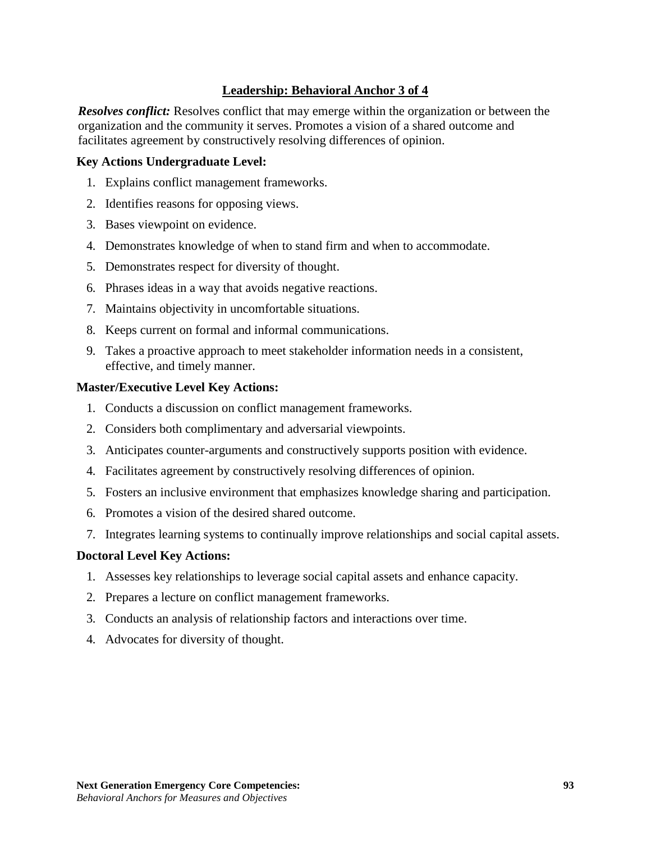# **Leadership: Behavioral Anchor 3 of 4**

*Resolves conflict:* Resolves conflict that may emerge within the organization or between the organization and the community it serves. Promotes a vision of a shared outcome and facilitates agreement by constructively resolving differences of opinion.

#### **Key Actions Undergraduate Level:**

- 1. Explains conflict management frameworks.
- 2. Identifies reasons for opposing views.
- 3. Bases viewpoint on evidence.
- 4. Demonstrates knowledge of when to stand firm and when to accommodate.
- 5. Demonstrates respect for diversity of thought.
- 6. Phrases ideas in a way that avoids negative reactions.
- 7. Maintains objectivity in uncomfortable situations.
- 8. Keeps current on formal and informal communications.
- 9. Takes a proactive approach to meet stakeholder information needs in a consistent, effective, and timely manner.

#### **Master/Executive Level Key Actions:**

- 1. Conducts a discussion on conflict management frameworks.
- 2. Considers both complimentary and adversarial viewpoints.
- 3. Anticipates counter-arguments and constructively supports position with evidence.
- 4. Facilitates agreement by constructively resolving differences of opinion.
- 5. Fosters an inclusive environment that emphasizes knowledge sharing and participation.
- 6. Promotes a vision of the desired shared outcome.
- 7. Integrates learning systems to continually improve relationships and social capital assets.

- 1. Assesses key relationships to leverage social capital assets and enhance capacity.
- 2. Prepares a lecture on conflict management frameworks.
- 3. Conducts an analysis of relationship factors and interactions over time.
- 4. Advocates for diversity of thought.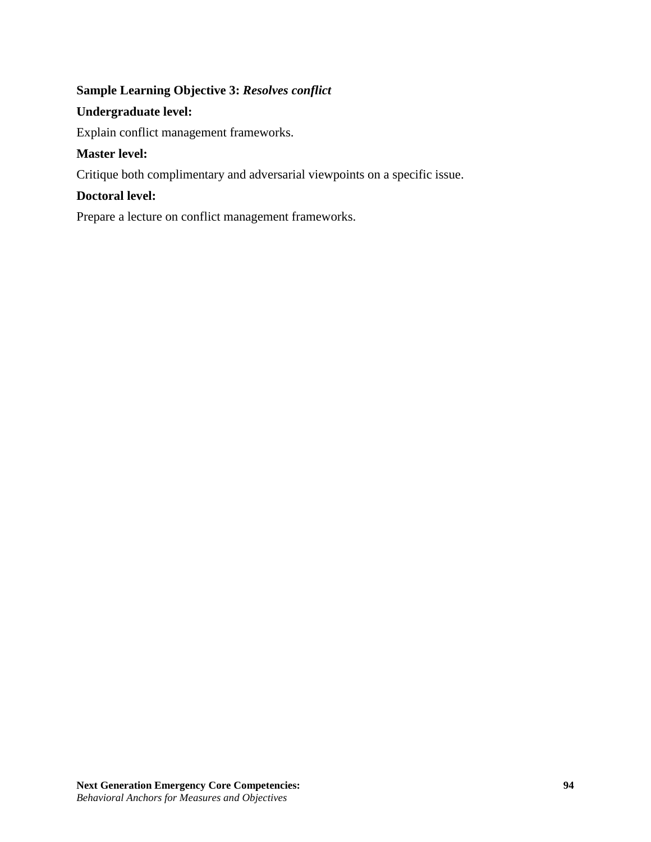# **Sample Learning Objective 3:** *Resolves conflict*

## **Undergraduate level:**

Explain conflict management frameworks.

# **Master level:**

Critique both complimentary and adversarial viewpoints on a specific issue.

# **Doctoral level:**

Prepare a lecture on conflict management frameworks.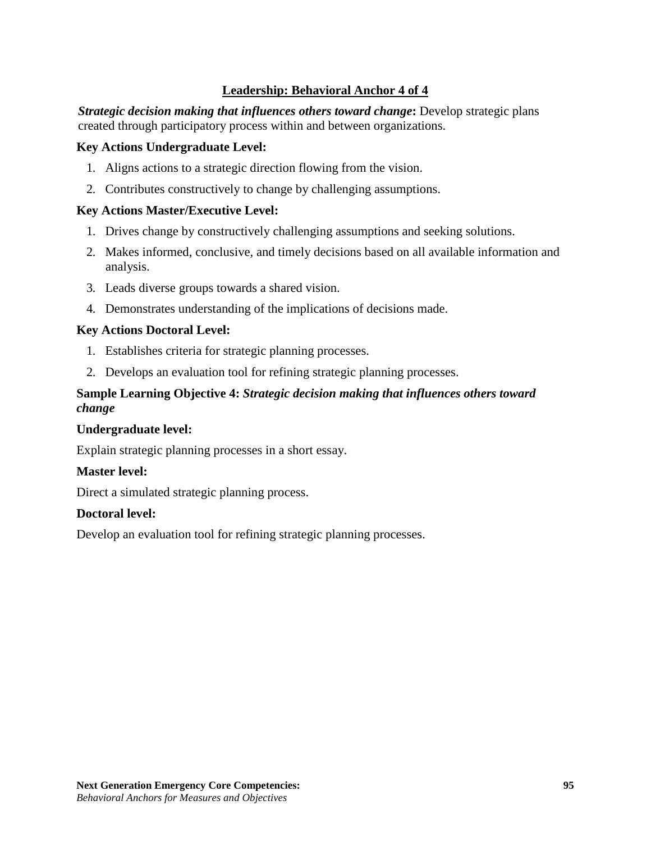# **Leadership: Behavioral Anchor 4 of 4**

*Strategic decision making that influences others toward change*: Develop strategic plans created through participatory process within and between organizations.

### **Key Actions Undergraduate Level:**

- 1. Aligns actions to a strategic direction flowing from the vision.
- 2. Contributes constructively to change by challenging assumptions.

### **Key Actions Master/Executive Level:**

- 1. Drives change by constructively challenging assumptions and seeking solutions.
- 2. Makes informed, conclusive, and timely decisions based on all available information and analysis.
- 3. Leads diverse groups towards a shared vision.
- 4. Demonstrates understanding of the implications of decisions made.

### **Key Actions Doctoral Level:**

- 1. Establishes criteria for strategic planning processes.
- 2. Develops an evaluation tool for refining strategic planning processes.

## **Sample Learning Objective 4:** *Strategic decision making that influences others toward change*

#### **Undergraduate level:**

Explain strategic planning processes in a short essay.

#### **Master level:**

Direct a simulated strategic planning process.

#### **Doctoral level:**

Develop an evaluation tool for refining strategic planning processes.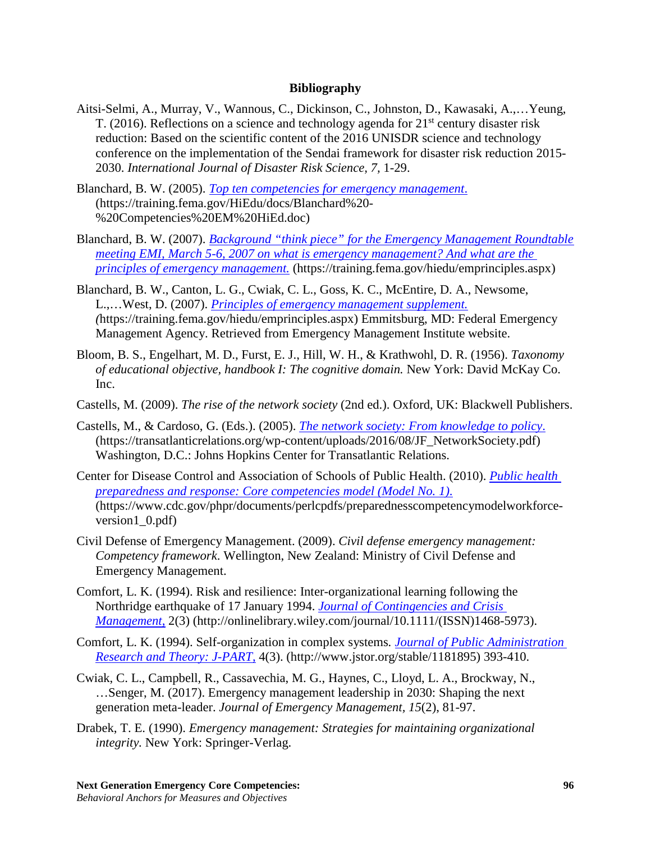#### **Bibliography**

- Aitsi-Selmi, A., Murray, V., Wannous, C., Dickinson, C., Johnston, D., Kawasaki, A.,…Yeung, T. (2016). Reflections on a science and technology agenda for  $21<sup>st</sup>$  century disaster risk reduction: Based on the scientific content of the 2016 UNISDR science and technology conference on the implementation of the Sendai framework for disaster risk reduction 2015- 2030. *International Journal of Disaster Risk Science, 7,* 1-29.
- Blanchard, B. W. (2005). *[Top ten competencies for emergency management](https://training.fema.gov/HiEdu/docs/Blanchard%20-%20Competencies%20EM%20HiEd.doc)*. (https://training.fema.gov/HiEdu/docs/Blanchard%20- %20Competencies%20EM%20HiEd.doc)
- Blanchard, B. W. (2007). *[Background "think piece" for the Emergency Management Roundtable](https://training.fema.gov/hiedu/emprinciples.aspx)  [meeting EMI, March 5-6, 2007 on what is emergency management? And what are the](https://training.fema.gov/hiedu/emprinciples.aspx)  [principles of emergency management.](https://training.fema.gov/hiedu/emprinciples.aspx)* (https://training.fema.gov/hiedu/emprinciples.aspx)
- Blanchard, B. W., Canton, L. G., Cwiak, C. L., Goss, K. C., McEntire, D. A., Newsome, L.,…West, D. (2007). *[Principles of emergency management supplement.](https://training.fema.gov/hiedu/emprinciples.aspx) (*https://training.fema.gov/hiedu/emprinciples.aspx) Emmitsburg, MD: Federal Emergency Management Agency. Retrieved from Emergency Management Institute website.
- Bloom, B. S., Engelhart, M. D., Furst, E. J., Hill, W. H., & Krathwohl, D. R. (1956). *Taxonomy of educational objective, handbook I: The cognitive domain.* New York: David McKay Co. Inc.
- Castells, M. (2009). *The rise of the network society* (2nd ed.). Oxford, UK: Blackwell Publishers.
- Castells, M., & Cardoso, G. (Eds.). (2005). *[The network society: From knowledge to policy](https://transatlanticrelations.org/wp-content/uploads/2016/08/JF_NetworkSociety.pdf)*. (https://transatlanticrelations.org/wp-content/uploads/2016/08/JF\_NetworkSociety.pdf) Washington, D.C.: Johns Hopkins Center for Transatlantic Relations.
- Center for Disease Control and Association of Schools of Public Health. (2010). *[Public health](https://www.cdc.gov/phpr/documents/perlcpdfs/preparednesscompetencymodelworkforce-version1_0.pdf)  [preparedness and response: Core competencies model \(Model No. 1\)](https://www.cdc.gov/phpr/documents/perlcpdfs/preparednesscompetencymodelworkforce-version1_0.pdf)*. (ht[tps://www.cdc.gov/phpr/documents/perlcpdfs/preparednesscompetencymodelworkforce](http://www.cdc.gov/phpr/documents/perlcpdfs/preparednesscompetencymodelworkforce)version1\_0.pdf)
- Civil Defense of Emergency Management. (2009). *Civil defense emergency management: Competency framework*. Wellington, New Zealand: Ministry of Civil Defense and Emergency Management.
- Comfort, L. K. (1994). Risk and resilience: Inter-organizational learning following the Northridge earthquake of 17 January 1994. *[Journal of Contingencies and Crisis](http://onlinelibrary.wiley.com/journal/10.1111/(ISSN)1468-5973) [Management](http://onlinelibrary.wiley.com/journal/10.1111/(ISSN)1468-5973)*, 2(3) (http://onlinelibrary.wiley.com/journal/10.1111/(ISSN)1468-5973).
- Comfort, L. K. (1994). Self-organization in complex systems*. [Journal of Public Administration](http://www.jstor.org/stable/1181895)  [Research and Theory:](http://www.jstor.org/stable/1181895) J-PART*, 4(3). (http://www.jstor.org/stable/1181895) 393-410.
- Cwiak, C. L., Campbell, R., Cassavechia, M. G., Haynes, C., Lloyd, L. A., Brockway, N., …Senger, M. (2017). Emergency management leadership in 2030: Shaping the next generation meta-leader. *Journal of Emergency Management, 15*(2), 81-97.
- Drabek, T. E. (1990). *Emergency management: Strategies for maintaining organizational integrity.* New York: Springer-Verlag.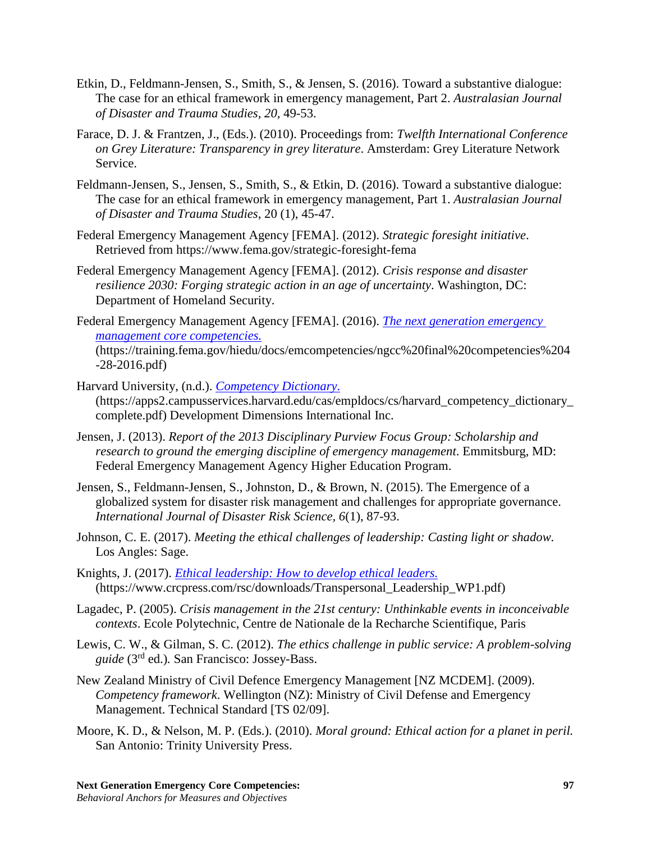- Etkin, D., Feldmann-Jensen, S., Smith, S., & Jensen, S. (2016). Toward a substantive dialogue: The case for an ethical framework in emergency management, Part 2. *Australasian Journal of Disaster and Trauma Studies, 20,* 49-53.
- Farace, D. J. & Frantzen, J., (Eds.). (2010). Proceedings from: *Twelfth International Conference on Grey Literature: Transparency in grey literature*. Amsterdam: Grey Literature Network Service.
- Feldmann-Jensen, S., Jensen, S., Smith, S., & Etkin, D. (2016). Toward a substantive dialogue: The case for an ethical framework in emergency management, Part 1. *Australasian Journal of Disaster and Trauma Studies*, 20 (1), 45-47.
- Federal Emergency Management Agency [FEMA]. (2012). *Strategic foresight initiative*. Retrieved from ht[tps://www.fema.gov/strategic-foresight-fema](http://www.fema.gov/strategic-foresight-fema)
- Federal Emergency Management Agency [FEMA]. (2012). *Crisis response and disaster resilience 2030: Forging strategic action in an age of uncertainty*. Washington, DC: Department of Homeland Security.
- Federal Emergency Management Agency [FEMA]. (2016). *[The next generation emergency](https://training.fema.gov/hiedu/docs/emcompetencies/ngcc%20final%20competencies%204-28-2016.pdf)  [management core competencies.](https://training.fema.gov/hiedu/docs/emcompetencies/ngcc%20final%20competencies%204-28-2016.pdf)* (https://training.fema.gov/hiedu/docs/emcompetencies/ngcc%20final%20competencies%204 -28-2016.pdf)
- Harvard University, (n.d.). *[Competency Dictionary](https://apps2.campusservices.harvard.edu/cas/empldocs/cs/harvard_competency_dictionary_complete.pdf)*. (https://apps2.campusservices.harvard.edu/cas/empldocs/cs/harvard\_competency\_dictionary\_ complete.pdf) Development Dimensions International Inc.
- Jensen, J. (2013). *Report of the 2013 Disciplinary Purview Focus Group: Scholarship and research to ground the emerging discipline of emergency management*. Emmitsburg, MD: Federal Emergency Management Agency Higher Education Program.
- Jensen, S., Feldmann-Jensen, S., Johnston, D., & Brown, N. (2015). The Emergence of a globalized system for disaster risk management and challenges for appropriate governance. *International Journal of Disaster Risk Science, 6*(1), 87-93.
- Johnson, C. E. (2017). *Meeting the ethical challenges of leadership: Casting light or shadow.* Los Angles: Sage.
- Knights, J. (2017). *[Ethical leadership: How to develop ethical leaders.](https://www.crcpress.com/rsc/downloads/Transpersonal_Leadership_WP1.pdf)* (https://www.crcpress.com/rsc/downloads/Transpersonal\_Leadership\_WP1.pdf)
- Lagadec, P. (2005). *Crisis management in the 21st century: Unthinkable events in inconceivable contexts*. Ecole Polytechnic, Centre de Nationale de la Recharche Scientifique, Paris
- Lewis, C. W., & Gilman, S. C. (2012). *The ethics challenge in public service: A problem-solving guide* (3rd ed.)*.* San Francisco: Jossey-Bass.
- New Zealand Ministry of Civil Defence Emergency Management [NZ MCDEM]. (2009). *Competency framework*. Wellington (NZ): Ministry of Civil Defense and Emergency Management. Technical Standard [TS 02/09].
- Moore, K. D., & Nelson, M. P. (Eds.). (2010). *Moral ground: Ethical action for a planet in peril.* San Antonio: Trinity University Press.